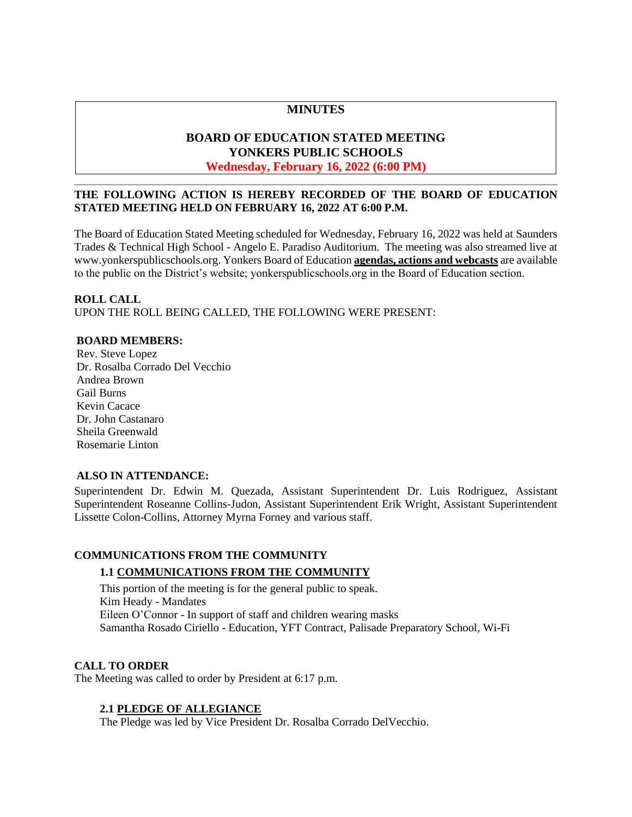# **MINUTES**

# **BOARD OF EDUCATION STATED MEETING YONKERS PUBLIC SCHOOLS**

# **Wednesday, February 16, 2022 (6:00 PM)**

### **THE FOLLOWING ACTION IS HEREBY RECORDED OF THE BOARD OF EDUCATION STATED MEETING HELD ON FEBRUARY 16, 2022 AT 6:00 P.M.**

The Board of Education Stated Meeting scheduled for Wednesday, February 16, 2022 was held at Saunders Trades & Technical High School - Angelo E. Paradiso Auditorium. The meeting was also streamed live at [www.yonkerspublicschools.org.](http://www.yonkerspublicschools.org/) Yonkers Board of Education **agendas, actions and webcasts** are available to the public on the District's website; yonkerspublicschools.org in the Board of Education section.

### **ROLL CALL**

UPON THE ROLL BEING CALLED, THE FOLLOWING WERE PRESENT:

### **BOARD MEMBERS:**

Rev. Steve Lopez Dr. Rosalba Corrado Del Vecchio Andrea Brown Gail Burns Kevin Cacace Dr. John Castanaro Sheila Greenwald Rosemarie Linton

### **ALSO IN ATTENDANCE:**

Superintendent Dr. Edwin M. Quezada, Assistant Superintendent Dr. Luis Rodriguez, Assistant Superintendent Roseanne Collins-Judon, Assistant Superintendent Erik Wright, Assistant Superintendent Lissette Colon-Collins, Attorney Myrna Forney and various staff.

#### **COMMUNICATIONS FROM THE COMMUNITY**

### **1.1 COMMUNICATIONS FROM THE COMMUNITY**

This portion of the meeting is for the general public to speak. Kim Heady - Mandates Eileen O'Connor - In support of staff and children wearing masks Samantha Rosado Ciriello - Education, YFT Contract, Palisade Preparatory School, Wi-Fi

### **CALL TO ORDER**

The Meeting was called to order by President at 6:17 p.m.

### **2.1 PLEDGE OF ALLEGIANCE**

The Pledge was led by Vice President Dr. Rosalba Corrado DelVecchio.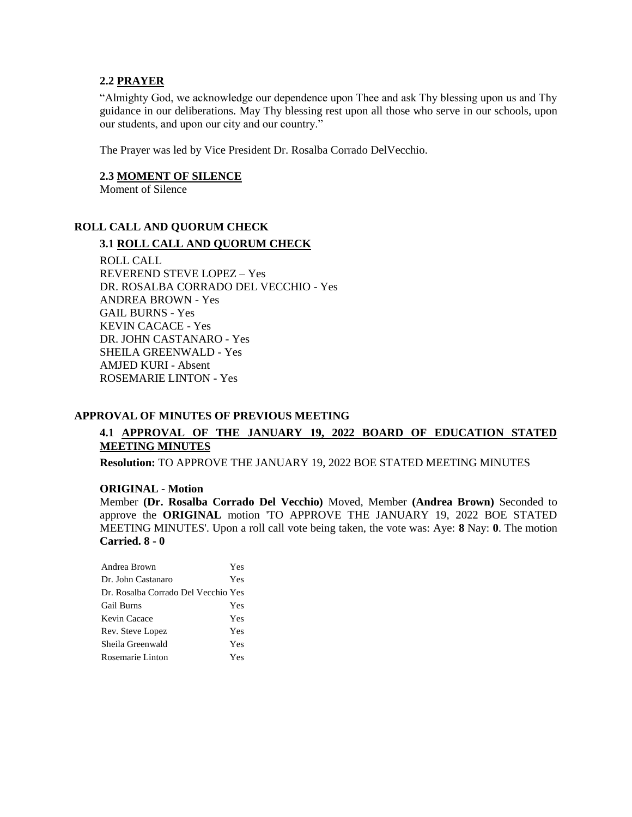#### **2.2 PRAYER**

"Almighty God, we acknowledge our dependence upon Thee and ask Thy blessing upon us and Thy guidance in our deliberations. May Thy blessing rest upon all those who serve in our schools, upon our students, and upon our city and our country."

The Prayer was led by Vice President Dr. Rosalba Corrado DelVecchio.

### **2.3 MOMENT OF SILENCE**

Moment of Silence

### **ROLL CALL AND QUORUM CHECK**

### **3.1 ROLL CALL AND QUORUM CHECK**

ROLL CALL REVEREND STEVE LOPEZ – Yes DR. ROSALBA CORRADO DEL VECCHIO - Yes ANDREA BROWN - Yes GAIL BURNS - Yes KEVIN CACACE - Yes DR. JOHN CASTANARO - Yes SHEILA GREENWALD - Yes AMJED KURI - Absent ROSEMARIE LINTON - Yes

#### **APPROVAL OF MINUTES OF PREVIOUS MEETING**

# **4.1 APPROVAL OF THE JANUARY 19, 2022 BOARD OF EDUCATION STATED MEETING MINUTES**

**Resolution:** TO APPROVE THE JANUARY 19, 2022 BOE STATED MEETING MINUTES

#### **ORIGINAL - Motion**

Member **(Dr. Rosalba Corrado Del Vecchio)** Moved, Member **(Andrea Brown)** Seconded to approve the **ORIGINAL** motion 'TO APPROVE THE JANUARY 19, 2022 BOE STATED MEETING MINUTES'. Upon a roll call vote being taken, the vote was: Aye: **8** Nay: **0**. The motion **Carried. 8 - 0** 

| Andrea Brown                        | Yes |
|-------------------------------------|-----|
| Dr. John Castanaro                  | Yes |
| Dr. Rosalba Corrado Del Vecchio Yes |     |
| <b>Gail Burns</b>                   | Yes |
| Kevin Cacace                        | Yes |
| Rev. Steve Lopez                    | Yes |
| Sheila Greenwald                    | Yes |
| Rosemarie Linton                    | Yes |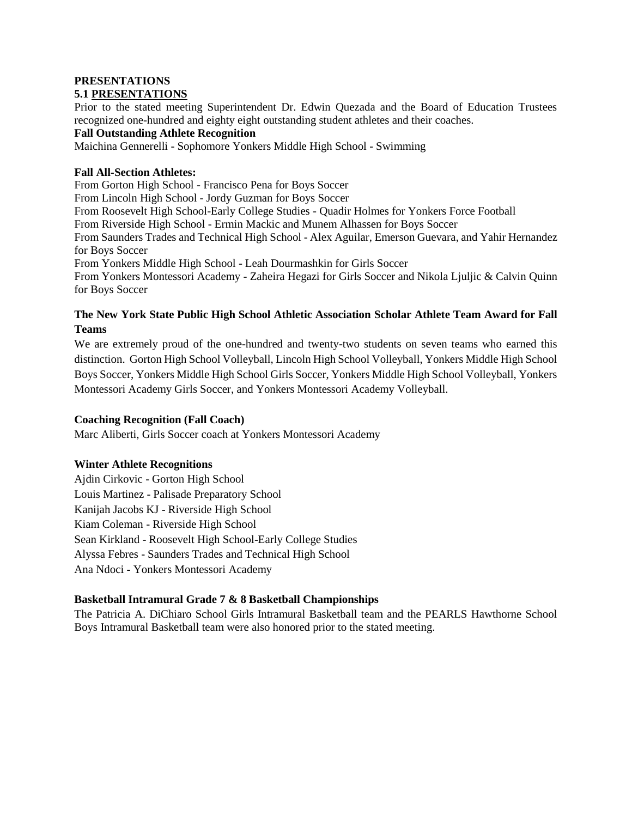#### **PRESENTATIONS 5.1 PRESENTATIONS**

Prior to the stated meeting Superintendent Dr. Edwin Quezada and the Board of Education Trustees recognized one-hundred and eighty eight outstanding student athletes and their coaches.

### **Fall Outstanding Athlete Recognition**

Maichina Gennerelli - Sophomore Yonkers Middle High School - Swimming

### **Fall All-Section Athletes:**

From Gorton High School - Francisco Pena for Boys Soccer From Lincoln High School - Jordy Guzman for Boys Soccer From Roosevelt High School-Early College Studies - Quadir Holmes for Yonkers Force Football From Riverside High School - Ermin Mackic and Munem Alhassen for Boys Soccer From Saunders Trades and Technical High School - Alex Aguilar, Emerson Guevara, and Yahir Hernandez for Boys Soccer From Yonkers Middle High School - Leah Dourmashkin for Girls Soccer From Yonkers Montessori Academy - Zaheira Hegazi for Girls Soccer and Nikola Ljuljic & Calvin Quinn for Boys Soccer

# **The New York State Public High School Athletic Association Scholar Athlete Team Award for Fall Teams**

We are extremely proud of the one-hundred and twenty-two students on seven teams who earned this distinction. Gorton High School Volleyball, Lincoln High School Volleyball, Yonkers Middle High School Boys Soccer, Yonkers Middle High School Girls Soccer, Yonkers Middle High School Volleyball, Yonkers Montessori Academy Girls Soccer, and Yonkers Montessori Academy Volleyball.

### **Coaching Recognition (Fall Coach)**

Marc Aliberti, Girls Soccer coach at Yonkers Montessori Academy

# **Winter Athlete Recognitions**

Ajdin Cirkovic - Gorton High School Louis Martinez - Palisade Preparatory School Kanijah Jacobs KJ - Riverside High School Kiam Coleman - Riverside High School Sean Kirkland - Roosevelt High School-Early College Studies Alyssa Febres - Saunders Trades and Technical High School Ana Ndoci **-** Yonkers Montessori Academy

# **Basketball Intramural Grade 7 & 8 Basketball Championships**

The Patricia A. DiChiaro School Girls Intramural Basketball team and the PEARLS Hawthorne School Boys Intramural Basketball team were also honored prior to the stated meeting.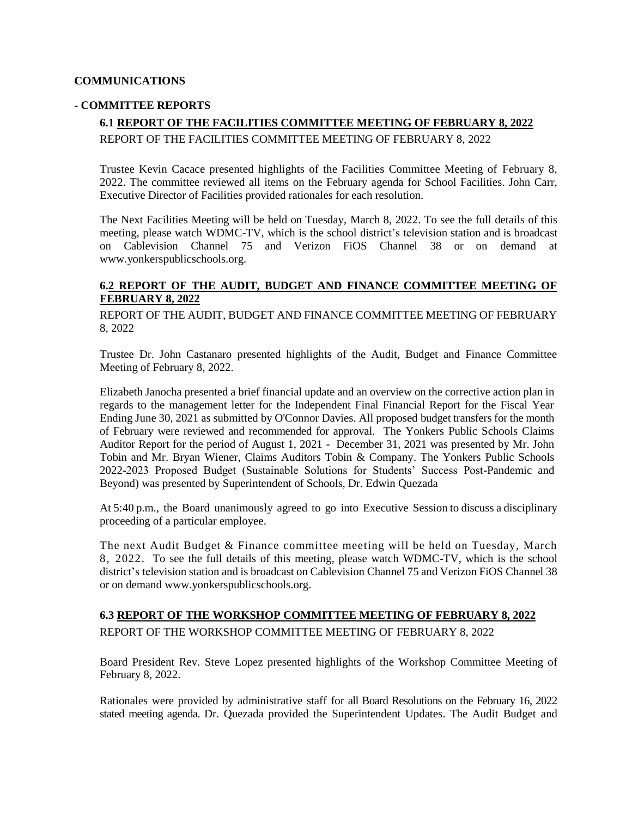### **COMMUNICATIONS**

### **- COMMITTEE REPORTS**

# **6.1 REPORT OF THE FACILITIES COMMITTEE MEETING OF FEBRUARY 8, 2022** REPORT OF THE FACILITIES COMMITTEE MEETING OF FEBRUARY 8, 2022

Trustee Kevin Cacace presented highlights of the Facilities Committee Meeting of February 8, 2022. The committee reviewed all items on the February agenda for School Facilities. John Carr, Executive Director of Facilities provided rationales for each resolution.

The Next Facilities Meeting will be held on Tuesday, March 8, 2022. To see the full details of this meeting, please watch WDMC-TV, which is the school district's television station and is broadcast on Cablevision Channel 75 and Verizon FiOS Channel 38 or on demand at [www.yonkerspublicschools.org.](http://www.yonkerspublicschools.org/)

### **6.2 REPORT OF THE AUDIT, BUDGET AND FINANCE COMMITTEE MEETING OF FEBRUARY 8, 2022**

REPORT OF THE AUDIT, BUDGET AND FINANCE COMMITTEE MEETING OF FEBRUARY 8, 2022

Trustee Dr. John Castanaro presented highlights of the Audit, Budget and Finance Committee Meeting of February 8, 2022.

Elizabeth Janocha presented a brief financial update and an overview on the corrective action plan in regards to the management letter for the Independent Final Financial Report for the Fiscal Year Ending June 30, 2021 as submitted by O'Connor Davies. All proposed budget transfers for the month of February were reviewed and recommended for approval. The Yonkers Public Schools Claims Auditor Report for the period of August 1, 2021 - December 31, 2021 was presented by Mr. John Tobin and Mr. Bryan Wiener, Claims Auditors Tobin & Company. The Yonkers Public Schools 2022-2023 Proposed Budget (Sustainable Solutions for Students' Success Post-Pandemic and Beyond) was presented by Superintendent of Schools, Dr. Edwin Quezada

At 5:40 p.m., the Board unanimously agreed to go into Executive Session to discuss a disciplinary proceeding of a particular employee.

The next Audit Budget & Finance committee meeting will be held on Tuesday, March 8, 2022. To see the full details of this meeting, please watch WDMC-TV, which is the school district's television station and is broadcast on Cablevision Channel 75 and Verizon FiOS Channel 38 or on demand [www.yonkerspublicschools.org.](http://www.yonkerspublicschools.org/)

# **6.3 REPORT OF THE WORKSHOP COMMITTEE MEETING OF FEBRUARY 8, 2022** REPORT OF THE WORKSHOP COMMITTEE MEETING OF FEBRUARY 8, 2022

Board President Rev. Steve Lopez presented highlights of the Workshop Committee Meeting of February 8, 2022.

Rationales were provided by administrative staff for all Board Resolutions on the February 16, 2022 stated meeting agenda. Dr. Quezada provided the Superintendent Updates. The Audit Budget and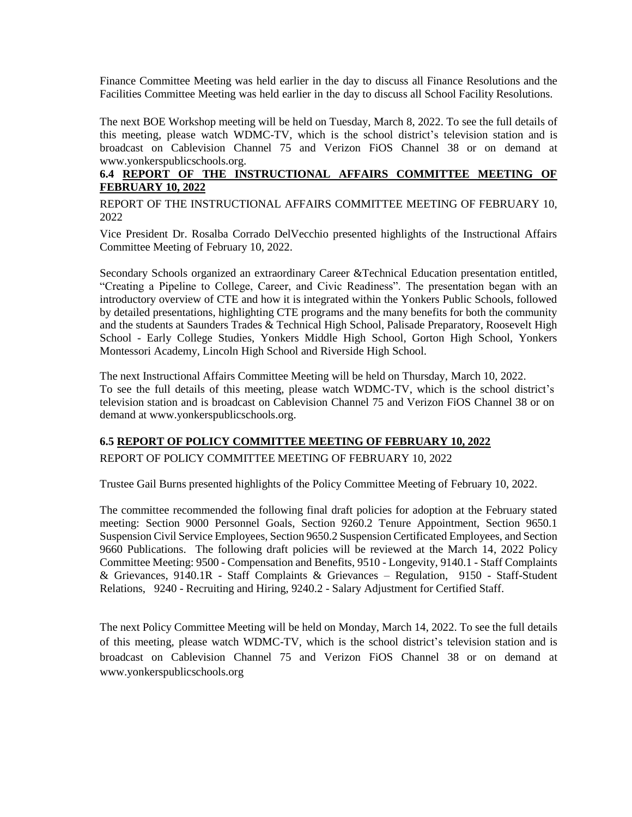Finance Committee Meeting was held earlier in the day to discuss all Finance Resolutions and the Facilities Committee Meeting was held earlier in the day to discuss all School Facility Resolutions.

The next BOE Workshop meeting will be held on Tuesday, March 8, 2022. To see the full details of this meeting, please watch WDMC-TV, which is the school district's television station and is broadcast on Cablevision Channel 75 and Verizon FiOS Channel 38 or on demand at [www.yonkerspublicschools.org.](http://www.yonkerspublicschools.org/)

# **6.4 REPORT OF THE INSTRUCTIONAL AFFAIRS COMMITTEE MEETING OF FEBRUARY 10, 2022**

REPORT OF THE INSTRUCTIONAL AFFAIRS COMMITTEE MEETING OF FEBRUARY 10, 2022

Vice President Dr. Rosalba Corrado DelVecchio presented highlights of the Instructional Affairs Committee Meeting of February 10, 2022.

Secondary Schools organized an extraordinary Career &Technical Education presentation entitled, "Creating a Pipeline to College, Career, and Civic Readiness". The presentation began with an introductory overview of CTE and how it is integrated within the Yonkers Public Schools, followed by detailed presentations, highlighting CTE programs and the many benefits for both the community and the students at Saunders Trades & Technical High School, Palisade Preparatory, Roosevelt High School - Early College Studies, Yonkers Middle High School, Gorton High School, Yonkers Montessori Academy, Lincoln High School and Riverside High School.

The next Instructional Affairs Committee Meeting will be held on Thursday, March 10, 2022. To see the full details of this meeting, please watch WDMC-TV, which is the school district's television station and is broadcast on Cablevision Channel 75 and Verizon FiOS Channel 38 or on demand at [www.yonkerspublicschools.org.](http://www.yonkerspublicschools.org/)

# **6.5 REPORT OF POLICY COMMITTEE MEETING OF FEBRUARY 10, 2022**

REPORT OF POLICY COMMITTEE MEETING OF FEBRUARY 10, 2022

Trustee Gail Burns presented highlights of the Policy Committee Meeting of February 10, 2022.

The committee recommended the following final draft policies for adoption at the February stated meeting: Section 9000 Personnel Goals, Section 9260.2 Tenure Appointment, Section 9650.1 Suspension Civil Service Employees, Section 9650.2 Suspension Certificated Employees, and Section 9660 Publications. The following draft policies will be reviewed at the March 14, 2022 Policy Committee Meeting: 9500 - Compensation and Benefits, 9510 - Longevity, 9140.1 - Staff Complaints & Grievances, 9140.1R - Staff Complaints & Grievances – Regulation, 9150 - Staff-Student Relations, 9240 - Recruiting and Hiring, 9240.2 - Salary Adjustment for Certified Staff.

The next Policy Committee Meeting will be held on Monday, March 14, 2022. To see the full details of this meeting, please watch WDMC-TV, which is the school district's television station and is broadcast on Cablevision Channel 75 and Verizon FiOS Channel 38 or on demand at [www.yonkerspublicschools.org](http://www.yonkerspublicschools.org/)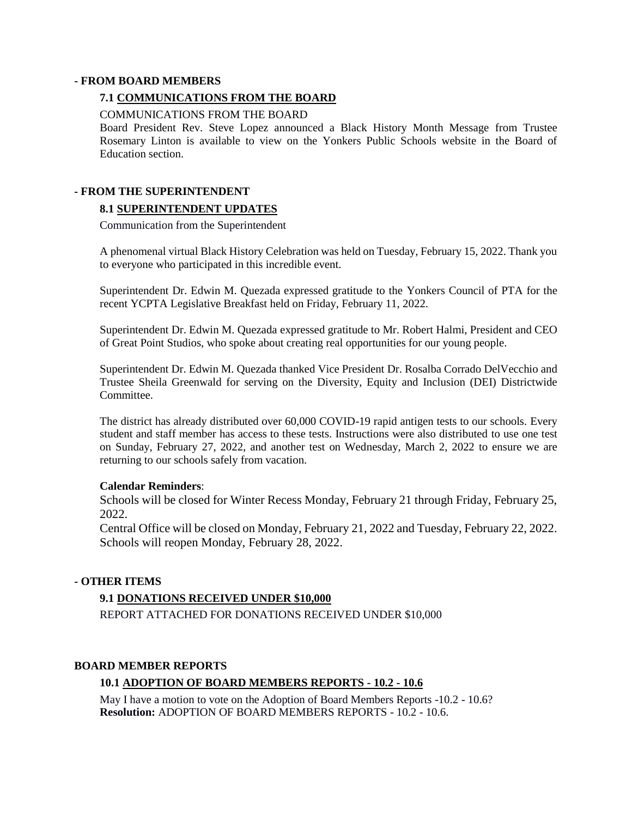#### **- FROM BOARD MEMBERS**

### **7.1 COMMUNICATIONS FROM THE BOARD**

#### COMMUNICATIONS FROM THE BOARD

Board President Rev. Steve Lopez announced a Black History Month Message from Trustee Rosemary Linton is available to view on the Yonkers Public Schools website in the Board of Education section.

### **- FROM THE SUPERINTENDENT**

### **8.1 SUPERINTENDENT UPDATES**

Communication from the Superintendent

A phenomenal virtual Black History Celebration was held on Tuesday, February 15, 2022. Thank you to everyone who participated in this incredible event.

Superintendent Dr. Edwin M. Quezada expressed gratitude to the Yonkers Council of PTA for the recent YCPTA Legislative Breakfast held on Friday, February 11, 2022.

Superintendent Dr. Edwin M. Quezada expressed gratitude to Mr. Robert Halmi, President and CEO of Great Point Studios, who spoke about creating real opportunities for our young people.

Superintendent Dr. Edwin M. Quezada thanked Vice President Dr. Rosalba Corrado DelVecchio and Trustee Sheila Greenwald for serving on the Diversity, Equity and Inclusion (DEI) Districtwide **Committee** 

The district has already distributed over 60,000 COVID-19 rapid antigen tests to our schools. Every student and staff member has access to these tests. Instructions were also distributed to use one test on Sunday, February 27, 2022, and another test on Wednesday, March 2, 2022 to ensure we are returning to our schools safely from vacation.

#### **Calendar Reminders**:

Schools will be closed for Winter Recess Monday, February 21 through Friday, February 25, 2022.

Central Office will be closed on Monday, February 21, 2022 and Tuesday, February 22, 2022. Schools will reopen Monday, February 28, 2022.

### **- OTHER ITEMS**

### **9.1 DONATIONS RECEIVED UNDER \$10,000**

REPORT ATTACHED FOR DONATIONS RECEIVED UNDER \$10,000

#### **BOARD MEMBER REPORTS**

### **10.1 ADOPTION OF BOARD MEMBERS REPORTS - 10.2 - 10.6**

May I have a motion to vote on the Adoption of Board Members Reports -10.2 - 10.6? **Resolution:** ADOPTION OF BOARD MEMBERS REPORTS - 10.2 - 10.6.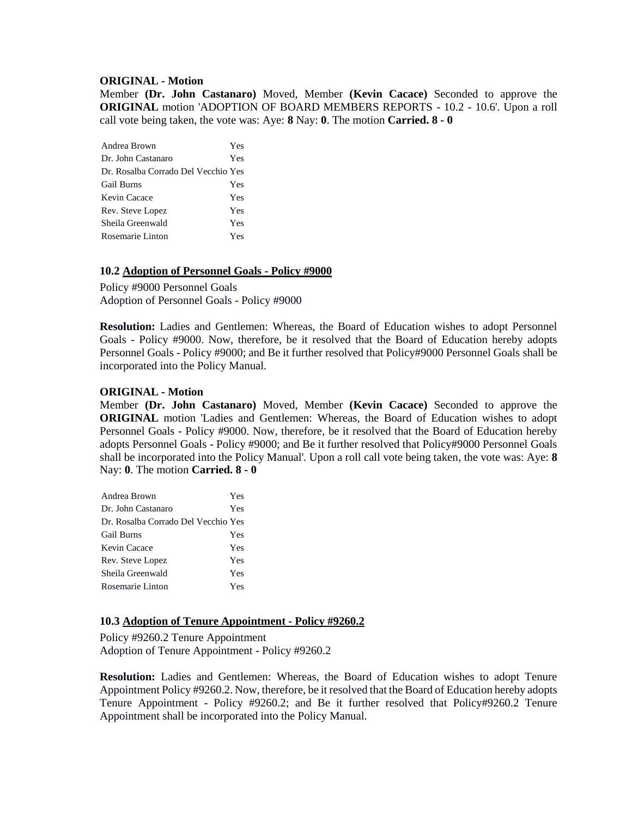#### **ORIGINAL - Motion**

Member **(Dr. John Castanaro)** Moved, Member **(Kevin Cacace)** Seconded to approve the **ORIGINAL** motion 'ADOPTION OF BOARD MEMBERS REPORTS - 10.2 - 10.6'. Upon a roll call vote being taken, the vote was: Aye: **8** Nay: **0**. The motion **Carried. 8 - 0** 

| Andrea Brown                        | Yes |
|-------------------------------------|-----|
| Dr. John Castanaro                  | Yes |
| Dr. Rosalba Corrado Del Vecchio Yes |     |
| <b>Gail Burns</b>                   | Yes |
| Kevin Cacace                        | Yes |
| Rev. Steve Lopez                    | Yes |
| Sheila Greenwald                    | Yes |
| Rosemarie Linton                    | Yes |

### **10.2 Adoption of Personnel Goals - Policy #9000**

Policy #9000 Personnel Goals Adoption of Personnel Goals - Policy #9000

**Resolution:** Ladies and Gentlemen: Whereas, the Board of Education wishes to adopt Personnel Goals - Policy #9000. Now, therefore, be it resolved that the Board of Education hereby adopts Personnel Goals - Policy #9000; and Be it further resolved that Policy#9000 Personnel Goals shall be incorporated into the Policy Manual.

#### **ORIGINAL - Motion**

Member **(Dr. John Castanaro)** Moved, Member **(Kevin Cacace)** Seconded to approve the **ORIGINAL** motion 'Ladies and Gentlemen: Whereas, the Board of Education wishes to adopt Personnel Goals - Policy #9000. Now, therefore, be it resolved that the Board of Education hereby adopts Personnel Goals - Policy #9000; and Be it further resolved that Policy#9000 Personnel Goals shall be incorporated into the Policy Manual'. Upon a roll call vote being taken, the vote was: Aye: **8** Nay: **0**. The motion **Carried. 8 - 0** 

| Andrea Brown                        | Yes |
|-------------------------------------|-----|
| Dr. John Castanaro                  | Yes |
| Dr. Rosalba Corrado Del Vecchio Yes |     |
| <b>Gail Burns</b>                   | Yes |
| Kevin Cacace                        | Yes |
| Rev. Steve Lopez                    | Yes |
| Sheila Greenwald                    | Yes |
| Rosemarie Linton                    | Yes |

### **10.3 Adoption of Tenure Appointment - Policy #9260.2**

Policy #9260.2 Tenure Appointment Adoption of Tenure Appointment - Policy #9260.2

**Resolution:** Ladies and Gentlemen: Whereas, the Board of Education wishes to adopt Tenure Appointment Policy #9260.2. Now, therefore, be it resolved that the Board of Education hereby adopts Tenure Appointment - Policy #9260.2; and Be it further resolved that Policy#9260.2 Tenure Appointment shall be incorporated into the Policy Manual.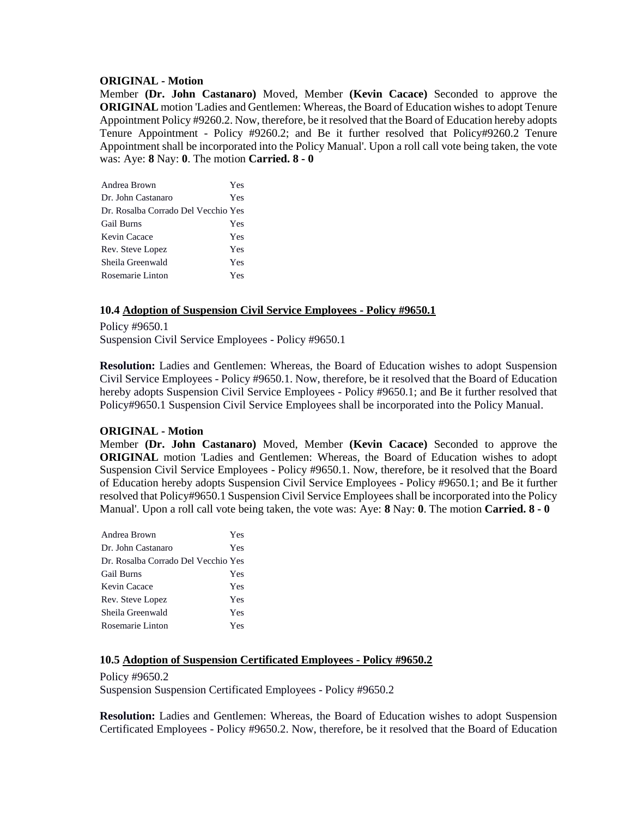#### **ORIGINAL - Motion**

Member **(Dr. John Castanaro)** Moved, Member **(Kevin Cacace)** Seconded to approve the **ORIGINAL** motion 'Ladies and Gentlemen: Whereas, the Board of Education wishes to adopt Tenure Appointment Policy #9260.2. Now, therefore, be it resolved that the Board of Education hereby adopts Tenure Appointment - Policy #9260.2; and Be it further resolved that Policy#9260.2 Tenure Appointment shall be incorporated into the Policy Manual'. Upon a roll call vote being taken, the vote was: Aye: **8** Nay: **0**. The motion **Carried. 8 - 0** 

| Andrea Brown                        | Yes |
|-------------------------------------|-----|
| Dr. John Castanaro                  | Yes |
| Dr. Rosalba Corrado Del Vecchio Yes |     |
| <b>Gail Burns</b>                   | Yes |
| Kevin Cacace                        | Yes |
| Rev. Steve Lopez                    | Yes |
| Sheila Greenwald                    | Yes |
| Rosemarie Linton                    | Yes |

### **10.4 Adoption of Suspension Civil Service Employees - Policy #9650.1**

Policy #9650.1 Suspension Civil Service Employees - Policy #9650.1

**Resolution:** Ladies and Gentlemen: Whereas, the Board of Education wishes to adopt Suspension Civil Service Employees - Policy #9650.1. Now, therefore, be it resolved that the Board of Education hereby adopts Suspension Civil Service Employees - Policy #9650.1; and Be it further resolved that Policy#9650.1 Suspension Civil Service Employees shall be incorporated into the Policy Manual.

### **ORIGINAL - Motion**

Member **(Dr. John Castanaro)** Moved, Member **(Kevin Cacace)** Seconded to approve the **ORIGINAL** motion 'Ladies and Gentlemen: Whereas, the Board of Education wishes to adopt Suspension Civil Service Employees - Policy #9650.1. Now, therefore, be it resolved that the Board of Education hereby adopts Suspension Civil Service Employees - Policy #9650.1; and Be it further resolved that Policy#9650.1 Suspension Civil Service Employees shall be incorporated into the Policy Manual'. Upon a roll call vote being taken, the vote was: Aye: **8** Nay: **0**. The motion **Carried. 8 - 0** 

| Andrea Brown                        | Yes |
|-------------------------------------|-----|
| Dr. John Castanaro                  | Yes |
| Dr. Rosalba Corrado Del Vecchio Yes |     |
| <b>Gail Burns</b>                   | Yes |
| Kevin Cacace                        | Yes |
| Rev. Steve Lopez                    | Yes |
| Sheila Greenwald                    | Yes |
| Rosemarie Linton                    | Yes |

#### **10.5 Adoption of Suspension Certificated Employees - Policy #9650.2**

Policy #9650.2 Suspension Suspension Certificated Employees - Policy #9650.2

**Resolution:** Ladies and Gentlemen: Whereas, the Board of Education wishes to adopt Suspension Certificated Employees - Policy #9650.2. Now, therefore, be it resolved that the Board of Education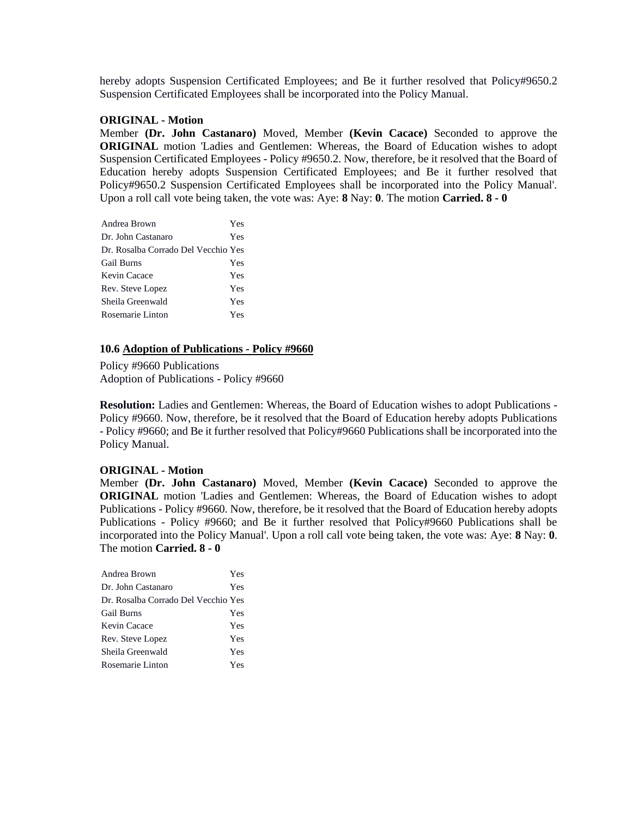hereby adopts Suspension Certificated Employees; and Be it further resolved that Policy#9650.2 Suspension Certificated Employees shall be incorporated into the Policy Manual.

#### **ORIGINAL - Motion**

Member **(Dr. John Castanaro)** Moved, Member **(Kevin Cacace)** Seconded to approve the **ORIGINAL** motion 'Ladies and Gentlemen: Whereas, the Board of Education wishes to adopt Suspension Certificated Employees - Policy #9650.2. Now, therefore, be it resolved that the Board of Education hereby adopts Suspension Certificated Employees; and Be it further resolved that Policy#9650.2 Suspension Certificated Employees shall be incorporated into the Policy Manual'. Upon a roll call vote being taken, the vote was: Aye: **8** Nay: **0**. The motion **Carried. 8 - 0** 

| Andrea Brown                        | Yes |
|-------------------------------------|-----|
| Dr. John Castanaro                  | Yes |
| Dr. Rosalba Corrado Del Vecchio Yes |     |
| <b>Gail Burns</b>                   | Yes |
| Kevin Cacace                        | Yes |
| Rev. Steve Lopez                    | Yes |
| Sheila Greenwald                    | Yes |
| Rosemarie Linton                    | Yes |

### **10.6 Adoption of Publications - Policy #9660**

Policy #9660 Publications Adoption of Publications - Policy #9660

**Resolution:** Ladies and Gentlemen: Whereas, the Board of Education wishes to adopt Publications - Policy #9660. Now, therefore, be it resolved that the Board of Education hereby adopts Publications - Policy #9660; and Be it further resolved that Policy#9660 Publications shall be incorporated into the Policy Manual.

#### **ORIGINAL - Motion**

Member **(Dr. John Castanaro)** Moved, Member **(Kevin Cacace)** Seconded to approve the **ORIGINAL** motion 'Ladies and Gentlemen: Whereas, the Board of Education wishes to adopt Publications - Policy #9660. Now, therefore, be it resolved that the Board of Education hereby adopts Publications - Policy #9660; and Be it further resolved that Policy#9660 Publications shall be incorporated into the Policy Manual'. Upon a roll call vote being taken, the vote was: Aye: **8** Nay: **0**. The motion **Carried. 8 - 0** 

| Andrea Brown                        | Yes |
|-------------------------------------|-----|
| Dr. John Castanaro                  | Yes |
| Dr. Rosalba Corrado Del Vecchio Yes |     |
| <b>Gail Burns</b>                   | Yes |
| Kevin Cacace                        | Yes |
| Rev. Steve Lopez                    | Yes |
| Sheila Greenwald                    | Yes |
| Rosemarie Linton                    | Yes |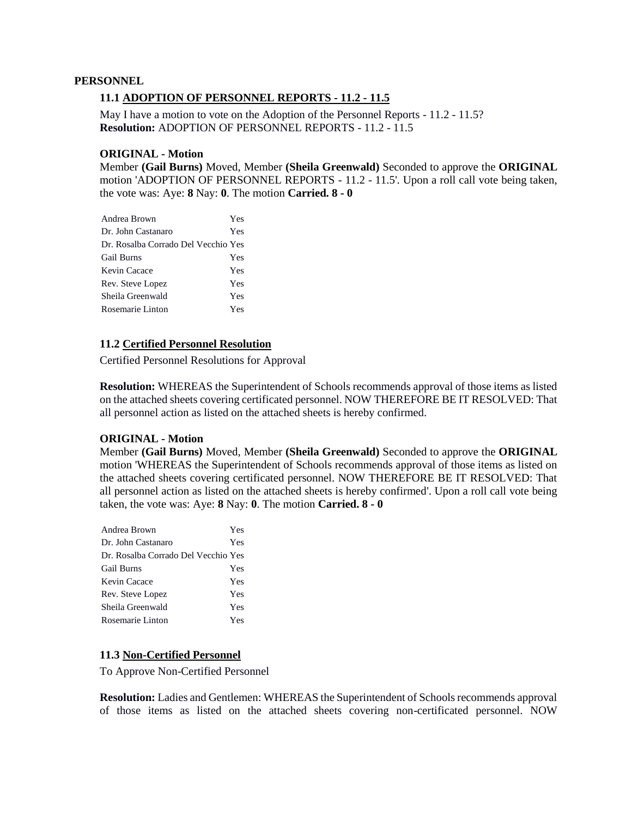#### **PERSONNEL**

### **11.1 ADOPTION OF PERSONNEL REPORTS - 11.2 - 11.5**

May I have a motion to vote on the Adoption of the Personnel Reports - 11.2 - 11.5? **Resolution:** ADOPTION OF PERSONNEL REPORTS - 11.2 - 11.5

### **ORIGINAL - Motion**

Member **(Gail Burns)** Moved, Member **(Sheila Greenwald)** Seconded to approve the **ORIGINAL**  motion 'ADOPTION OF PERSONNEL REPORTS - 11.2 - 11.5'. Upon a roll call vote being taken, the vote was: Aye: **8** Nay: **0**. The motion **Carried. 8 - 0** 

| Andrea Brown                        | Yes |
|-------------------------------------|-----|
| Dr. John Castanaro                  | Yes |
| Dr. Rosalba Corrado Del Vecchio Yes |     |
| <b>Gail Burns</b>                   | Yes |
| Kevin Cacace                        | Yes |
| Rev. Steve Lopez                    | Yes |
| Sheila Greenwald                    | Yes |
| Rosemarie Linton                    | Yes |

### **11.2 Certified Personnel Resolution**

Certified Personnel Resolutions for Approval

**Resolution:** WHEREAS the Superintendent of Schools recommends approval of those items as listed on the attached sheets covering certificated personnel. NOW THEREFORE BE IT RESOLVED: That all personnel action as listed on the attached sheets is hereby confirmed.

#### **ORIGINAL - Motion**

Member **(Gail Burns)** Moved, Member **(Sheila Greenwald)** Seconded to approve the **ORIGINAL** motion 'WHEREAS the Superintendent of Schools recommends approval of those items as listed on the attached sheets covering certificated personnel. NOW THEREFORE BE IT RESOLVED: That all personnel action as listed on the attached sheets is hereby confirmed'. Upon a roll call vote being taken, the vote was: Aye: **8** Nay: **0**. The motion **Carried. 8 - 0** 

| Andrea Brown                        | Yes |
|-------------------------------------|-----|
| Dr. John Castanaro                  | Yes |
| Dr. Rosalba Corrado Del Vecchio Yes |     |
| <b>Gail Burns</b>                   | Yes |
| Kevin Cacace                        | Yes |
| Rev. Steve Lopez                    | Yes |
| Sheila Greenwald                    | Yes |
| Rosemarie Linton                    | Yes |

### **11.3 Non-Certified Personnel**

To Approve Non-Certified Personnel

**Resolution:** Ladies and Gentlemen: WHEREAS the Superintendent of Schools recommends approval of those items as listed on the attached sheets covering non-certificated personnel. NOW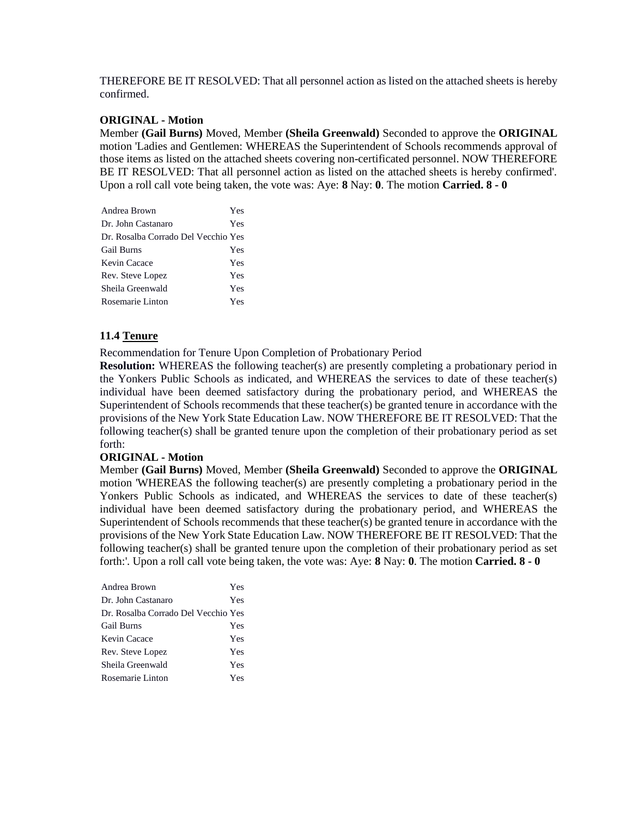THEREFORE BE IT RESOLVED: That all personnel action as listed on the attached sheets is hereby confirmed.

### **ORIGINAL - Motion**

Member **(Gail Burns)** Moved, Member **(Sheila Greenwald)** Seconded to approve the **ORIGINAL**  motion 'Ladies and Gentlemen: WHEREAS the Superintendent of Schools recommends approval of those items as listed on the attached sheets covering non-certificated personnel. NOW THEREFORE BE IT RESOLVED: That all personnel action as listed on the attached sheets is hereby confirmed'. Upon a roll call vote being taken, the vote was: Aye: **8** Nay: **0**. The motion **Carried. 8 - 0** 

| Andrea Brown                        | Yes |
|-------------------------------------|-----|
| Dr. John Castanaro                  | Yes |
| Dr. Rosalba Corrado Del Vecchio Yes |     |
| <b>Gail Burns</b>                   | Yes |
| Kevin Cacace                        | Yes |
| Rev. Steve Lopez                    | Yes |
| Sheila Greenwald                    | Yes |
| Rosemarie Linton                    | Yes |

### **11.4 Tenure**

Recommendation for Tenure Upon Completion of Probationary Period

**Resolution:** WHEREAS the following teacher(s) are presently completing a probationary period in the Yonkers Public Schools as indicated, and WHEREAS the services to date of these teacher(s) individual have been deemed satisfactory during the probationary period, and WHEREAS the Superintendent of Schools recommends that these teacher(s) be granted tenure in accordance with the provisions of the New York State Education Law. NOW THEREFORE BE IT RESOLVED: That the following teacher(s) shall be granted tenure upon the completion of their probationary period as set forth:

#### **ORIGINAL - Motion**

Member **(Gail Burns)** Moved, Member **(Sheila Greenwald)** Seconded to approve the **ORIGINAL**  motion 'WHEREAS the following teacher(s) are presently completing a probationary period in the Yonkers Public Schools as indicated, and WHEREAS the services to date of these teacher(s) individual have been deemed satisfactory during the probationary period, and WHEREAS the Superintendent of Schools recommends that these teacher(s) be granted tenure in accordance with the provisions of the New York State Education Law. NOW THEREFORE BE IT RESOLVED: That the following teacher(s) shall be granted tenure upon the completion of their probationary period as set forth:'. Upon a roll call vote being taken, the vote was: Aye: **8** Nay: **0**. The motion **Carried. 8 - 0** 

| Andrea Brown                        | Yes |
|-------------------------------------|-----|
| Dr. John Castanaro                  | Yes |
| Dr. Rosalba Corrado Del Vecchio Yes |     |
| <b>Gail Burns</b>                   | Yes |
| Kevin Cacace                        | Yes |
| Rev. Steve Lopez                    | Yes |
| Sheila Greenwald                    | Yes |
| Rosemarie Linton                    | Yes |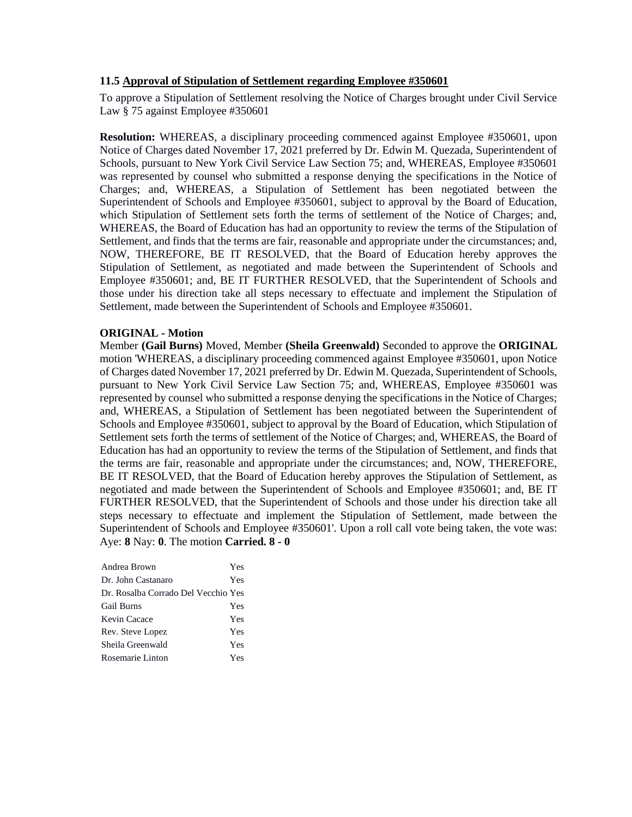### **11.5 Approval of Stipulation of Settlement regarding Employee #350601**

To approve a Stipulation of Settlement resolving the Notice of Charges brought under Civil Service Law § 75 against Employee #350601

**Resolution:** WHEREAS, a disciplinary proceeding commenced against Employee #350601, upon Notice of Charges dated November 17, 2021 preferred by Dr. Edwin M. Quezada, Superintendent of Schools, pursuant to New York Civil Service Law Section 75; and, WHEREAS, Employee #350601 was represented by counsel who submitted a response denying the specifications in the Notice of Charges; and, WHEREAS, a Stipulation of Settlement has been negotiated between the Superintendent of Schools and Employee #350601, subject to approval by the Board of Education, which Stipulation of Settlement sets forth the terms of settlement of the Notice of Charges; and, WHEREAS, the Board of Education has had an opportunity to review the terms of the Stipulation of Settlement, and finds that the terms are fair, reasonable and appropriate under the circumstances; and, NOW, THEREFORE, BE IT RESOLVED, that the Board of Education hereby approves the Stipulation of Settlement, as negotiated and made between the Superintendent of Schools and Employee #350601; and, BE IT FURTHER RESOLVED, that the Superintendent of Schools and those under his direction take all steps necessary to effectuate and implement the Stipulation of Settlement, made between the Superintendent of Schools and Employee #350601.

### **ORIGINAL - Motion**

Member **(Gail Burns)** Moved, Member **(Sheila Greenwald)** Seconded to approve the **ORIGINAL**  motion 'WHEREAS, a disciplinary proceeding commenced against Employee #350601, upon Notice of Charges dated November 17, 2021 preferred by Dr. Edwin M. Quezada, Superintendent of Schools, pursuant to New York Civil Service Law Section 75; and, WHEREAS, Employee #350601 was represented by counsel who submitted a response denying the specifications in the Notice of Charges; and, WHEREAS, a Stipulation of Settlement has been negotiated between the Superintendent of Schools and Employee #350601, subject to approval by the Board of Education, which Stipulation of Settlement sets forth the terms of settlement of the Notice of Charges; and, WHEREAS, the Board of Education has had an opportunity to review the terms of the Stipulation of Settlement, and finds that the terms are fair, reasonable and appropriate under the circumstances; and, NOW, THEREFORE, BE IT RESOLVED, that the Board of Education hereby approves the Stipulation of Settlement, as negotiated and made between the Superintendent of Schools and Employee #350601; and, BE IT FURTHER RESOLVED, that the Superintendent of Schools and those under his direction take all steps necessary to effectuate and implement the Stipulation of Settlement, made between the Superintendent of Schools and Employee #350601'. Upon a roll call vote being taken, the vote was: Aye: **8** Nay: **0**. The motion **Carried. 8 - 0** 

| Andrea Brown                        | Yes |
|-------------------------------------|-----|
| Dr. John Castanaro                  | Yes |
| Dr. Rosalba Corrado Del Vecchio Yes |     |
| <b>Gail Burns</b>                   | Yes |
| Kevin Cacace                        | Yes |
| Rev. Steve Lopez                    | Yes |
| Sheila Greenwald                    | Yes |
| Rosemarie Linton                    | Yes |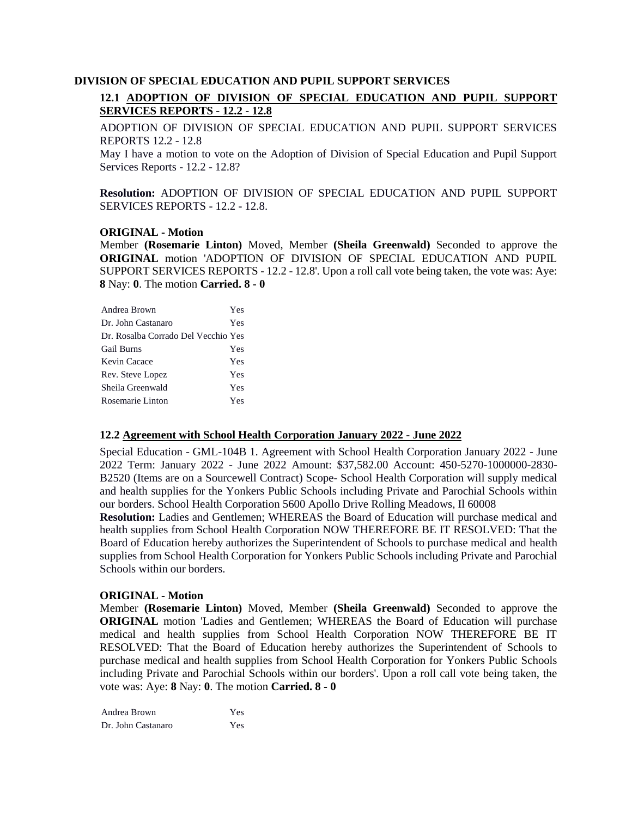### **DIVISION OF SPECIAL EDUCATION AND PUPIL SUPPORT SERVICES**

# **12.1 ADOPTION OF DIVISION OF SPECIAL EDUCATION AND PUPIL SUPPORT SERVICES REPORTS - 12.2 - 12.8**

ADOPTION OF DIVISION OF SPECIAL EDUCATION AND PUPIL SUPPORT SERVICES REPORTS 12.2 - 12.8

May I have a motion to vote on the Adoption of Division of Special Education and Pupil Support Services Reports - 12.2 - 12.8?

**Resolution:** ADOPTION OF DIVISION OF SPECIAL EDUCATION AND PUPIL SUPPORT SERVICES REPORTS - 12.2 - 12.8.

### **ORIGINAL - Motion**

Member **(Rosemarie Linton)** Moved, Member **(Sheila Greenwald)** Seconded to approve the **ORIGINAL** motion 'ADOPTION OF DIVISION OF SPECIAL EDUCATION AND PUPIL SUPPORT SERVICES REPORTS - 12.2 - 12.8'. Upon a roll call vote being taken, the vote was: Aye: **8** Nay: **0**. The motion **Carried. 8 - 0** 

| Andrea Brown                        | Yes |
|-------------------------------------|-----|
| Dr. John Castanaro                  | Yes |
| Dr. Rosalba Corrado Del Vecchio Yes |     |
| <b>Gail Burns</b>                   | Yes |
| Kevin Cacace                        | Yes |
| Rev. Steve Lopez                    | Yes |
| Sheila Greenwald                    | Yes |
| Rosemarie Linton                    | Yes |

#### **12.2 Agreement with School Health Corporation January 2022 - June 2022**

Special Education - GML-104B 1. Agreement with School Health Corporation January 2022 - June 2022 Term: January 2022 - June 2022 Amount: \$37,582.00 Account: 450-5270-1000000-2830- B2520 (Items are on a Sourcewell Contract) Scope- School Health Corporation will supply medical and health supplies for the Yonkers Public Schools including Private and Parochial Schools within our borders. School Health Corporation 5600 Apollo Drive Rolling Meadows, Il 60008

**Resolution:** Ladies and Gentlemen; WHEREAS the Board of Education will purchase medical and health supplies from School Health Corporation NOW THEREFORE BE IT RESOLVED: That the Board of Education hereby authorizes the Superintendent of Schools to purchase medical and health supplies from School Health Corporation for Yonkers Public Schools including Private and Parochial Schools within our borders.

#### **ORIGINAL - Motion**

Member **(Rosemarie Linton)** Moved, Member **(Sheila Greenwald)** Seconded to approve the **ORIGINAL** motion 'Ladies and Gentlemen; WHEREAS the Board of Education will purchase medical and health supplies from School Health Corporation NOW THEREFORE BE IT RESOLVED: That the Board of Education hereby authorizes the Superintendent of Schools to purchase medical and health supplies from School Health Corporation for Yonkers Public Schools including Private and Parochial Schools within our borders'. Upon a roll call vote being taken, the vote was: Aye: **8** Nay: **0**. The motion **Carried. 8 - 0** 

Andrea Brown Yes Dr. John Castanaro Yes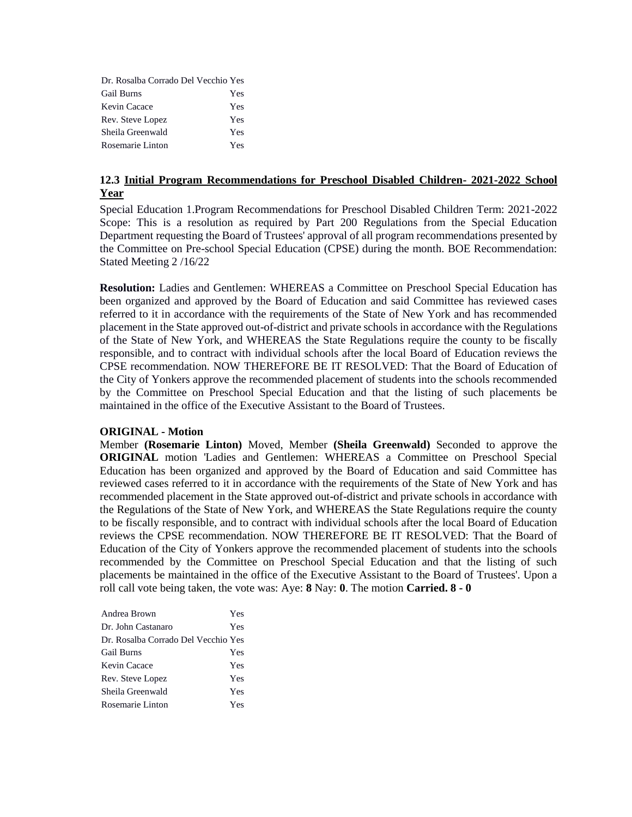| Dr. Rosalba Corrado Del Vecchio Yes |     |
|-------------------------------------|-----|
| <b>Gail Burns</b>                   | Yes |
| Kevin Cacace                        | Yes |
| Rev. Steve Lopez                    | Yes |
| Sheila Greenwald                    | Yes |
| Rosemarie Linton                    | Yes |

### **12.3 Initial Program Recommendations for Preschool Disabled Children- 2021-2022 School Year**

Special Education 1.Program Recommendations for Preschool Disabled Children Term: 2021-2022 Scope: This is a resolution as required by Part 200 Regulations from the Special Education Department requesting the Board of Trustees' approval of all program recommendations presented by the Committee on Pre-school Special Education (CPSE) during the month. BOE Recommendation: Stated Meeting 2 /16/22

**Resolution:** Ladies and Gentlemen: WHEREAS a Committee on Preschool Special Education has been organized and approved by the Board of Education and said Committee has reviewed cases referred to it in accordance with the requirements of the State of New York and has recommended placement in the State approved out-of-district and private schools in accordance with the Regulations of the State of New York, and WHEREAS the State Regulations require the county to be fiscally responsible, and to contract with individual schools after the local Board of Education reviews the CPSE recommendation. NOW THEREFORE BE IT RESOLVED: That the Board of Education of the City of Yonkers approve the recommended placement of students into the schools recommended by the Committee on Preschool Special Education and that the listing of such placements be maintained in the office of the Executive Assistant to the Board of Trustees.

#### **ORIGINAL - Motion**

Member **(Rosemarie Linton)** Moved, Member **(Sheila Greenwald)** Seconded to approve the **ORIGINAL** motion 'Ladies and Gentlemen: WHEREAS a Committee on Preschool Special Education has been organized and approved by the Board of Education and said Committee has reviewed cases referred to it in accordance with the requirements of the State of New York and has recommended placement in the State approved out-of-district and private schools in accordance with the Regulations of the State of New York, and WHEREAS the State Regulations require the county to be fiscally responsible, and to contract with individual schools after the local Board of Education reviews the CPSE recommendation. NOW THEREFORE BE IT RESOLVED: That the Board of Education of the City of Yonkers approve the recommended placement of students into the schools recommended by the Committee on Preschool Special Education and that the listing of such placements be maintained in the office of the Executive Assistant to the Board of Trustees'. Upon a roll call vote being taken, the vote was: Aye: **8** Nay: **0**. The motion **Carried. 8 - 0** 

| Andrea Brown                        | Yes |
|-------------------------------------|-----|
| Dr. John Castanaro                  | Yes |
| Dr. Rosalba Corrado Del Vecchio Yes |     |
| <b>Gail Burns</b>                   | Yes |
| Kevin Cacace                        | Yes |
| Rev. Steve Lopez                    | Yes |
| Sheila Greenwald                    | Yes |
| Rosemarie Linton                    | Yes |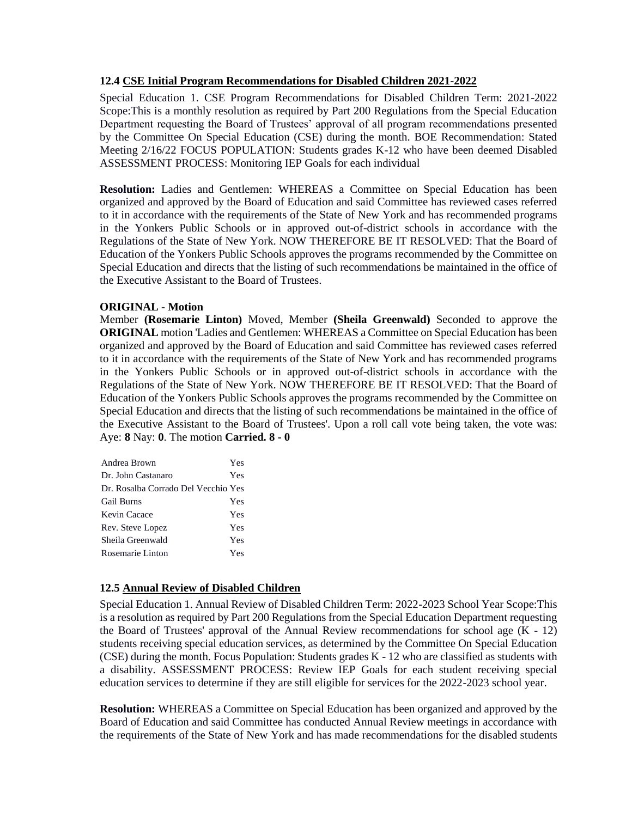### **12.4 CSE Initial Program Recommendations for Disabled Children 2021-2022**

Special Education 1. CSE Program Recommendations for Disabled Children Term: 2021-2022 Scope:This is a monthly resolution as required by Part 200 Regulations from the Special Education Department requesting the Board of Trustees' approval of all program recommendations presented by the Committee On Special Education (CSE) during the month. BOE Recommendation: Stated Meeting 2/16/22 FOCUS POPULATION: Students grades K-12 who have been deemed Disabled ASSESSMENT PROCESS: Monitoring IEP Goals for each individual

**Resolution:** Ladies and Gentlemen: WHEREAS a Committee on Special Education has been organized and approved by the Board of Education and said Committee has reviewed cases referred to it in accordance with the requirements of the State of New York and has recommended programs in the Yonkers Public Schools or in approved out-of-district schools in accordance with the Regulations of the State of New York. NOW THEREFORE BE IT RESOLVED: That the Board of Education of the Yonkers Public Schools approves the programs recommended by the Committee on Special Education and directs that the listing of such recommendations be maintained in the office of the Executive Assistant to the Board of Trustees.

### **ORIGINAL - Motion**

Member **(Rosemarie Linton)** Moved, Member **(Sheila Greenwald)** Seconded to approve the **ORIGINAL** motion 'Ladies and Gentlemen: WHEREAS a Committee on Special Education has been organized and approved by the Board of Education and said Committee has reviewed cases referred to it in accordance with the requirements of the State of New York and has recommended programs in the Yonkers Public Schools or in approved out-of-district schools in accordance with the Regulations of the State of New York. NOW THEREFORE BE IT RESOLVED: That the Board of Education of the Yonkers Public Schools approves the programs recommended by the Committee on Special Education and directs that the listing of such recommendations be maintained in the office of the Executive Assistant to the Board of Trustees'. Upon a roll call vote being taken, the vote was: Aye: **8** Nay: **0**. The motion **Carried. 8 - 0** 

| Andrea Brown                        | Yes |
|-------------------------------------|-----|
| Dr. John Castanaro                  | Yes |
| Dr. Rosalba Corrado Del Vecchio Yes |     |
| <b>Gail Burns</b>                   | Yes |
| Kevin Cacace                        | Yes |
| Rev. Steve Lopez                    | Yes |
| Sheila Greenwald                    | Yes |
| Rosemarie Linton                    | Yes |

### **12.5 Annual Review of Disabled Children**

Special Education 1. Annual Review of Disabled Children Term: 2022-2023 School Year Scope:This is a resolution as required by Part 200 Regulations from the Special Education Department requesting the Board of Trustees' approval of the Annual Review recommendations for school age  $(K - 12)$ students receiving special education services, as determined by the Committee On Special Education (CSE) during the month. Focus Population: Students grades K - 12 who are classified as students with a disability. ASSESSMENT PROCESS: Review IEP Goals for each student receiving special education services to determine if they are still eligible for services for the 2022-2023 school year.

**Resolution:** WHEREAS a Committee on Special Education has been organized and approved by the Board of Education and said Committee has conducted Annual Review meetings in accordance with the requirements of the State of New York and has made recommendations for the disabled students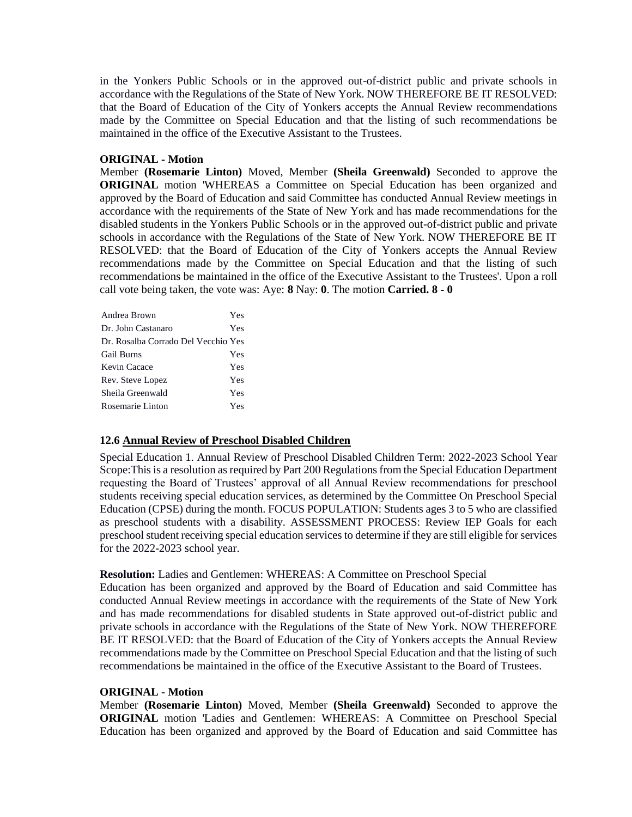in the Yonkers Public Schools or in the approved out-of-district public and private schools in accordance with the Regulations of the State of New York. NOW THEREFORE BE IT RESOLVED: that the Board of Education of the City of Yonkers accepts the Annual Review recommendations made by the Committee on Special Education and that the listing of such recommendations be maintained in the office of the Executive Assistant to the Trustees.

### **ORIGINAL - Motion**

Member **(Rosemarie Linton)** Moved, Member **(Sheila Greenwald)** Seconded to approve the **ORIGINAL** motion 'WHEREAS a Committee on Special Education has been organized and approved by the Board of Education and said Committee has conducted Annual Review meetings in accordance with the requirements of the State of New York and has made recommendations for the disabled students in the Yonkers Public Schools or in the approved out-of-district public and private schools in accordance with the Regulations of the State of New York. NOW THEREFORE BE IT RESOLVED: that the Board of Education of the City of Yonkers accepts the Annual Review recommendations made by the Committee on Special Education and that the listing of such recommendations be maintained in the office of the Executive Assistant to the Trustees'. Upon a roll call vote being taken, the vote was: Aye: **8** Nay: **0**. The motion **Carried. 8 - 0** 

| Andrea Brown                        | Yes |
|-------------------------------------|-----|
| Dr. John Castanaro                  | Yes |
| Dr. Rosalba Corrado Del Vecchio Yes |     |
| <b>Gail Burns</b>                   | Yes |
| Kevin Cacace                        | Yes |
| Rev. Steve Lopez                    | Yes |
| Sheila Greenwald                    | Yes |
| Rosemarie Linton                    | Yes |

### **12.6 Annual Review of Preschool Disabled Children**

Special Education 1. Annual Review of Preschool Disabled Children Term: 2022-2023 School Year Scope:This is a resolution as required by Part 200 Regulations from the Special Education Department requesting the Board of Trustees' approval of all Annual Review recommendations for preschool students receiving special education services, as determined by the Committee On Preschool Special Education (CPSE) during the month. FOCUS POPULATION: Students ages 3 to 5 who are classified as preschool students with a disability. ASSESSMENT PROCESS: Review IEP Goals for each preschool student receiving special education services to determine if they are still eligible for services for the 2022-2023 school year.

#### **Resolution:** Ladies and Gentlemen: WHEREAS: A Committee on Preschool Special

Education has been organized and approved by the Board of Education and said Committee has conducted Annual Review meetings in accordance with the requirements of the State of New York and has made recommendations for disabled students in State approved out-of-district public and private schools in accordance with the Regulations of the State of New York. NOW THEREFORE BE IT RESOLVED: that the Board of Education of the City of Yonkers accepts the Annual Review recommendations made by the Committee on Preschool Special Education and that the listing of such recommendations be maintained in the office of the Executive Assistant to the Board of Trustees.

#### **ORIGINAL - Motion**

Member **(Rosemarie Linton)** Moved, Member **(Sheila Greenwald)** Seconded to approve the **ORIGINAL** motion 'Ladies and Gentlemen: WHEREAS: A Committee on Preschool Special Education has been organized and approved by the Board of Education and said Committee has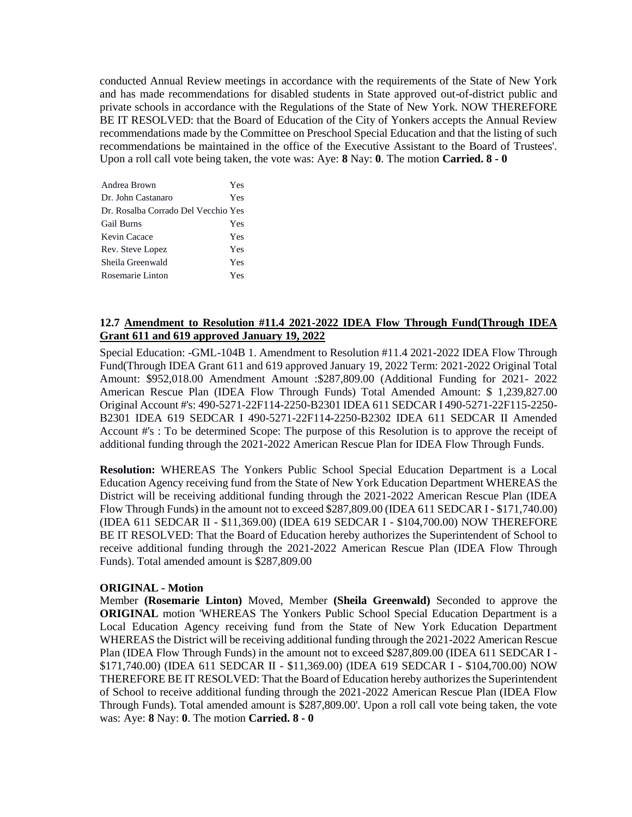conducted Annual Review meetings in accordance with the requirements of the State of New York and has made recommendations for disabled students in State approved out-of-district public and private schools in accordance with the Regulations of the State of New York. NOW THEREFORE BE IT RESOLVED: that the Board of Education of the City of Yonkers accepts the Annual Review recommendations made by the Committee on Preschool Special Education and that the listing of such recommendations be maintained in the office of the Executive Assistant to the Board of Trustees'. Upon a roll call vote being taken, the vote was: Aye: **8** Nay: **0**. The motion **Carried. 8 - 0** 

| Andrea Brown                        | Yes |
|-------------------------------------|-----|
| Dr. John Castanaro                  | Yes |
| Dr. Rosalba Corrado Del Vecchio Yes |     |
| <b>Gail Burns</b>                   | Yes |
| Kevin Cacace                        | Yes |
| Rev. Steve Lopez                    | Yes |
| Sheila Greenwald                    | Yes |
| Rosemarie Linton                    | Yes |

### **12.7 Amendment to Resolution #11.4 2021-2022 IDEA Flow Through Fund(Through IDEA Grant 611 and 619 approved January 19, 2022**

Special Education: -GML-104B 1. Amendment to Resolution #11.4 2021-2022 IDEA Flow Through Fund(Through IDEA Grant 611 and 619 approved January 19, 2022 Term: 2021-2022 Original Total Amount: \$952,018.00 Amendment Amount :\$287,809.00 (Additional Funding for 2021- 2022 American Rescue Plan (IDEA Flow Through Funds) Total Amended Amount: \$ 1,239,827.00 Original Account #'s: 490-5271-22F114-2250-B2301 IDEA 611 SEDCAR I 490-5271-22F115-2250- B2301 IDEA 619 SEDCAR I 490-5271-22F114-2250-B2302 IDEA 611 SEDCAR II Amended Account #'s : To be determined Scope: The purpose of this Resolution is to approve the receipt of additional funding through the 2021-2022 American Rescue Plan for IDEA Flow Through Funds.

**Resolution:** WHEREAS The Yonkers Public School Special Education Department is a Local Education Agency receiving fund from the State of New York Education Department WHEREAS the District will be receiving additional funding through the 2021-2022 American Rescue Plan (IDEA Flow Through Funds) in the amount not to exceed \$287,809.00 (IDEA 611 SEDCAR I - \$171,740.00) (IDEA 611 SEDCAR II - \$11,369.00) (IDEA 619 SEDCAR I - \$104,700.00) NOW THEREFORE BE IT RESOLVED: That the Board of Education hereby authorizes the Superintendent of School to receive additional funding through the 2021-2022 American Rescue Plan (IDEA Flow Through Funds). Total amended amount is \$287,809.00

#### **ORIGINAL - Motion**

Member **(Rosemarie Linton)** Moved, Member **(Sheila Greenwald)** Seconded to approve the **ORIGINAL** motion 'WHEREAS The Yonkers Public School Special Education Department is a Local Education Agency receiving fund from the State of New York Education Department WHEREAS the District will be receiving additional funding through the 2021-2022 American Rescue Plan (IDEA Flow Through Funds) in the amount not to exceed \$287,809.00 (IDEA 611 SEDCAR I - \$171,740.00) (IDEA 611 SEDCAR II - \$11,369.00) (IDEA 619 SEDCAR I - \$104,700.00) NOW THEREFORE BE IT RESOLVED: That the Board of Education hereby authorizes the Superintendent of School to receive additional funding through the 2021-2022 American Rescue Plan (IDEA Flow Through Funds). Total amended amount is \$287,809.00'. Upon a roll call vote being taken, the vote was: Aye: **8** Nay: **0**. The motion **Carried. 8 - 0**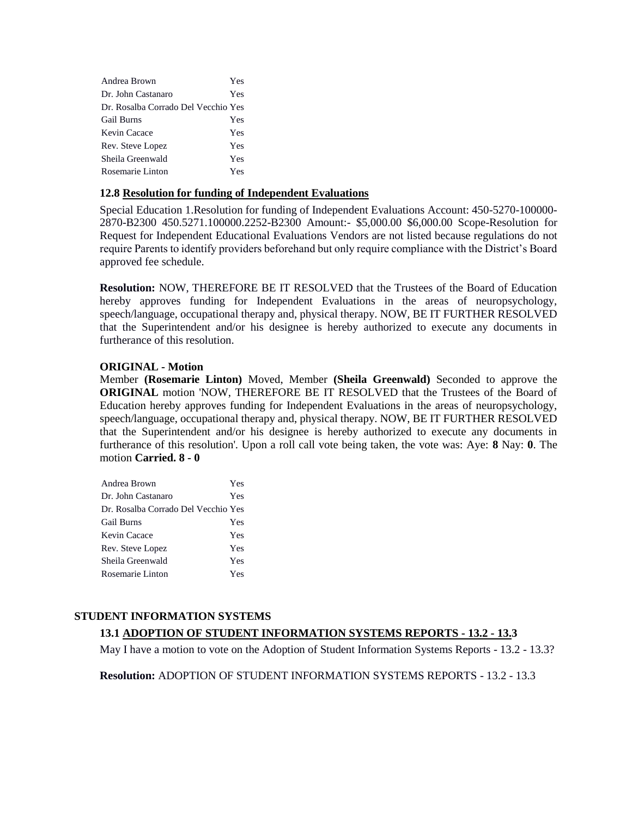| Andrea Brown                        | Yes |
|-------------------------------------|-----|
| Dr. John Castanaro                  | Yes |
| Dr. Rosalba Corrado Del Vecchio Yes |     |
| <b>Gail Burns</b>                   | Yes |
| Kevin Cacace                        | Yes |
| Rev. Steve Lopez                    | Yes |
| Sheila Greenwald                    | Yes |
| Rosemarie Linton                    | Yes |

### **12.8 Resolution for funding of Independent Evaluations**

Special Education 1.Resolution for funding of Independent Evaluations Account: 450-5270-100000- 2870-B2300 450.5271.100000.2252-B2300 Amount:- \$5,000.00 \$6,000.00 Scope-Resolution for Request for Independent Educational Evaluations Vendors are not listed because regulations do not require Parents to identify providers beforehand but only require compliance with the District's Board approved fee schedule.

**Resolution:** NOW, THEREFORE BE IT RESOLVED that the Trustees of the Board of Education hereby approves funding for Independent Evaluations in the areas of neuropsychology, speech/language, occupational therapy and, physical therapy. NOW, BE IT FURTHER RESOLVED that the Superintendent and/or his designee is hereby authorized to execute any documents in furtherance of this resolution.

### **ORIGINAL - Motion**

Member **(Rosemarie Linton)** Moved, Member **(Sheila Greenwald)** Seconded to approve the **ORIGINAL** motion 'NOW, THEREFORE BE IT RESOLVED that the Trustees of the Board of Education hereby approves funding for Independent Evaluations in the areas of neuropsychology, speech/language, occupational therapy and, physical therapy. NOW, BE IT FURTHER RESOLVED that the Superintendent and/or his designee is hereby authorized to execute any documents in furtherance of this resolution'. Upon a roll call vote being taken, the vote was: Aye: **8** Nay: **0**. The motion **Carried. 8 - 0** 

| Andrea Brown                        | Yes |
|-------------------------------------|-----|
| Dr. John Castanaro                  | Yes |
| Dr. Rosalba Corrado Del Vecchio Yes |     |
| Gail Burns                          | Yes |
| Kevin Cacace                        | Yes |
| Rev. Steve Lopez                    | Yes |
| Sheila Greenwald                    | Yes |
| Rosemarie Linton                    | Yes |

# **STUDENT INFORMATION SYSTEMS**

# **13.1 ADOPTION OF STUDENT INFORMATION SYSTEMS REPORTS - 13.2 - 13.3**

May I have a motion to vote on the Adoption of Student Information Systems Reports - 13.2 - 13.3?

**Resolution:** ADOPTION OF STUDENT INFORMATION SYSTEMS REPORTS - 13.2 - 13.3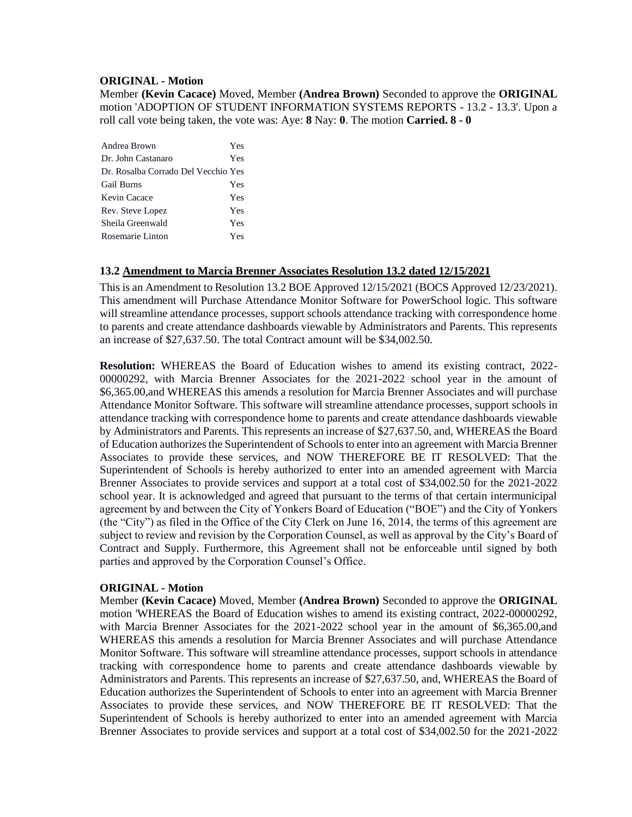#### **ORIGINAL - Motion**

Member **(Kevin Cacace)** Moved, Member **(Andrea Brown)** Seconded to approve the **ORIGINAL**  motion 'ADOPTION OF STUDENT INFORMATION SYSTEMS REPORTS - 13.2 - 13.3'. Upon a roll call vote being taken, the vote was: Aye: **8** Nay: **0**. The motion **Carried. 8 - 0** 

| Andrea Brown                        | Yes |
|-------------------------------------|-----|
| Dr. John Castanaro                  | Yes |
| Dr. Rosalba Corrado Del Vecchio Yes |     |
| <b>Gail Burns</b>                   | Yes |
| Kevin Cacace                        | Yes |
| Rev. Steve Lopez                    | Yes |
| Sheila Greenwald                    | Yes |
| Rosemarie Linton                    | Yes |

### **13.2 Amendment to Marcia Brenner Associates Resolution 13.2 dated 12/15/2021**

This is an Amendment to Resolution 13.2 BOE Approved 12/15/2021 (BOCS Approved 12/23/2021). This amendment will Purchase Attendance Monitor Software for PowerSchool logic. This software will streamline attendance processes, support schools attendance tracking with correspondence home to parents and create attendance dashboards viewable by Administrators and Parents. This represents an increase of \$27,637.50. The total Contract amount will be \$34,002.50.

**Resolution:** WHEREAS the Board of Education wishes to amend its existing contract, 2022- 00000292, with Marcia Brenner Associates for the 2021-2022 school year in the amount of \$6,365.00,and WHEREAS this amends a resolution for Marcia Brenner Associates and will purchase Attendance Monitor Software. This software will streamline attendance processes, support schools in attendance tracking with correspondence home to parents and create attendance dashboards viewable by Administrators and Parents. This represents an increase of \$27,637.50, and, WHEREAS the Board of Education authorizes the Superintendent of Schools to enter into an agreement with Marcia Brenner Associates to provide these services, and NOW THEREFORE BE IT RESOLVED: That the Superintendent of Schools is hereby authorized to enter into an amended agreement with Marcia Brenner Associates to provide services and support at a total cost of \$34,002.50 for the 2021-2022 school year. It is acknowledged and agreed that pursuant to the terms of that certain intermunicipal agreement by and between the City of Yonkers Board of Education ("BOE") and the City of Yonkers (the "City") as filed in the Office of the City Clerk on June 16, 2014, the terms of this agreement are subject to review and revision by the Corporation Counsel, as well as approval by the City's Board of Contract and Supply. Furthermore, this Agreement shall not be enforceable until signed by both parties and approved by the Corporation Counsel's Office.

#### **ORIGINAL - Motion**

Member **(Kevin Cacace)** Moved, Member **(Andrea Brown)** Seconded to approve the **ORIGINAL**  motion 'WHEREAS the Board of Education wishes to amend its existing contract, 2022-00000292, with Marcia Brenner Associates for the 2021-2022 school year in the amount of \$6,365.00,and WHEREAS this amends a resolution for Marcia Brenner Associates and will purchase Attendance Monitor Software. This software will streamline attendance processes, support schools in attendance tracking with correspondence home to parents and create attendance dashboards viewable by Administrators and Parents. This represents an increase of \$27,637.50, and, WHEREAS the Board of Education authorizes the Superintendent of Schools to enter into an agreement with Marcia Brenner Associates to provide these services, and NOW THEREFORE BE IT RESOLVED: That the Superintendent of Schools is hereby authorized to enter into an amended agreement with Marcia Brenner Associates to provide services and support at a total cost of \$34,002.50 for the 2021-2022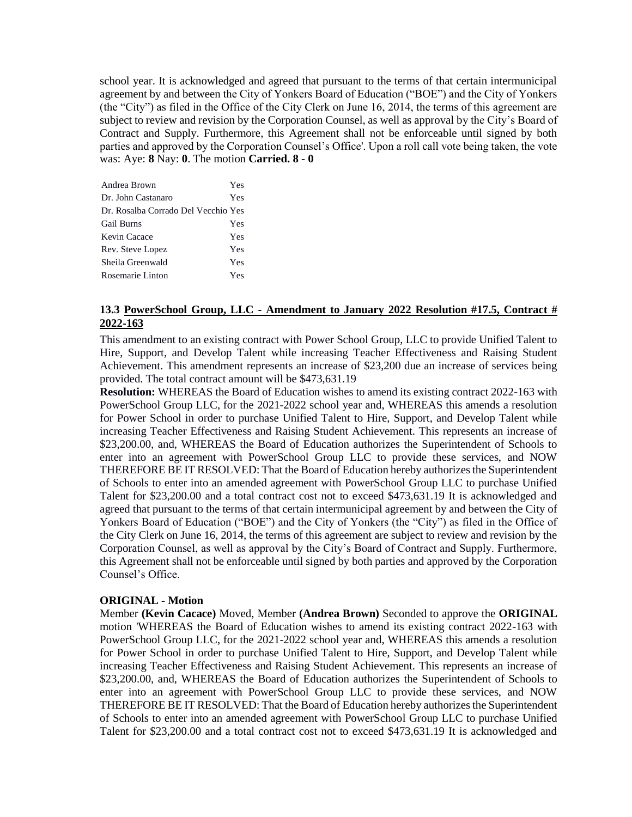school year. It is acknowledged and agreed that pursuant to the terms of that certain intermunicipal agreement by and between the City of Yonkers Board of Education ("BOE") and the City of Yonkers (the "City") as filed in the Office of the City Clerk on June 16, 2014, the terms of this agreement are subject to review and revision by the Corporation Counsel, as well as approval by the City's Board of Contract and Supply. Furthermore, this Agreement shall not be enforceable until signed by both parties and approved by the Corporation Counsel's Office'. Upon a roll call vote being taken, the vote was: Aye: **8** Nay: **0**. The motion **Carried. 8 - 0** 

| Andrea Brown                        | Yes |
|-------------------------------------|-----|
| Dr. John Castanaro                  | Yes |
| Dr. Rosalba Corrado Del Vecchio Yes |     |
| <b>Gail Burns</b>                   | Yes |
| Kevin Cacace                        | Yes |
| Rev. Steve Lopez                    | Yes |
| Sheila Greenwald                    | Yes |
| Rosemarie Linton                    | Yes |

### **13.3 PowerSchool Group, LLC - Amendment to January 2022 Resolution #17.5, Contract # 2022-163**

This amendment to an existing contract with Power School Group, LLC to provide Unified Talent to Hire, Support, and Develop Talent while increasing Teacher Effectiveness and Raising Student Achievement. This amendment represents an increase of \$23,200 due an increase of services being provided. The total contract amount will be \$473,631.19

**Resolution:** WHEREAS the Board of Education wishes to amend its existing contract 2022-163 with PowerSchool Group LLC, for the 2021-2022 school year and, WHEREAS this amends a resolution for Power School in order to purchase Unified Talent to Hire, Support, and Develop Talent while increasing Teacher Effectiveness and Raising Student Achievement. This represents an increase of \$23,200.00, and, WHEREAS the Board of Education authorizes the Superintendent of Schools to enter into an agreement with PowerSchool Group LLC to provide these services, and NOW THEREFORE BE IT RESOLVED: That the Board of Education hereby authorizes the Superintendent of Schools to enter into an amended agreement with PowerSchool Group LLC to purchase Unified Talent for \$23,200.00 and a total contract cost not to exceed \$473,631.19 It is acknowledged and agreed that pursuant to the terms of that certain intermunicipal agreement by and between the City of Yonkers Board of Education ("BOE") and the City of Yonkers (the "City") as filed in the Office of the City Clerk on June 16, 2014, the terms of this agreement are subject to review and revision by the Corporation Counsel, as well as approval by the City's Board of Contract and Supply. Furthermore, this Agreement shall not be enforceable until signed by both parties and approved by the Corporation Counsel's Office.

### **ORIGINAL - Motion**

Member **(Kevin Cacace)** Moved, Member **(Andrea Brown)** Seconded to approve the **ORIGINAL**  motion 'WHEREAS the Board of Education wishes to amend its existing contract 2022-163 with PowerSchool Group LLC, for the 2021-2022 school year and, WHEREAS this amends a resolution for Power School in order to purchase Unified Talent to Hire, Support, and Develop Talent while increasing Teacher Effectiveness and Raising Student Achievement. This represents an increase of \$23,200.00, and, WHEREAS the Board of Education authorizes the Superintendent of Schools to enter into an agreement with PowerSchool Group LLC to provide these services, and NOW THEREFORE BE IT RESOLVED: That the Board of Education hereby authorizes the Superintendent of Schools to enter into an amended agreement with PowerSchool Group LLC to purchase Unified Talent for \$23,200.00 and a total contract cost not to exceed \$473,631.19 It is acknowledged and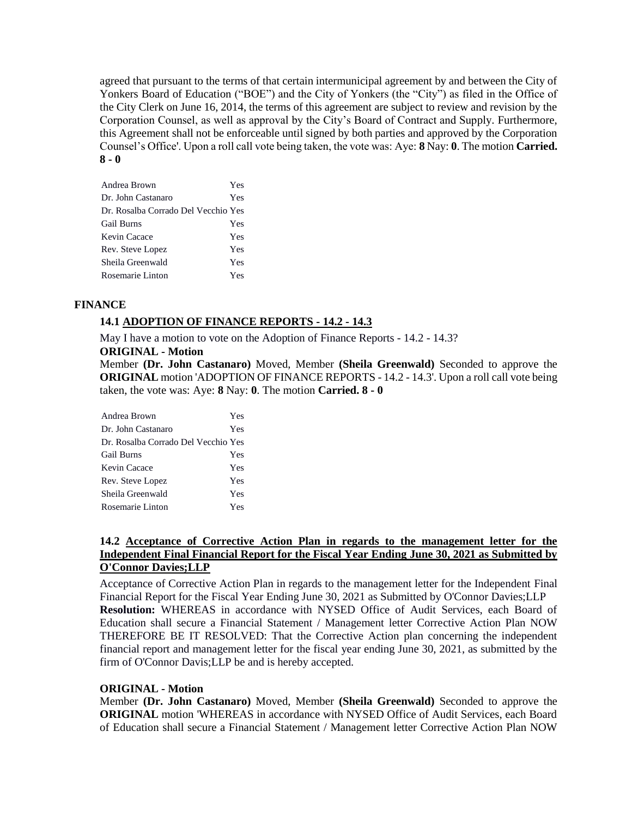agreed that pursuant to the terms of that certain intermunicipal agreement by and between the City of Yonkers Board of Education ("BOE") and the City of Yonkers (the "City") as filed in the Office of the City Clerk on June 16, 2014, the terms of this agreement are subject to review and revision by the Corporation Counsel, as well as approval by the City's Board of Contract and Supply. Furthermore, this Agreement shall not be enforceable until signed by both parties and approved by the Corporation Counsel's Office'. Upon a roll call vote being taken, the vote was: Aye: **8** Nay: **0**. The motion **Carried. 8 - 0** 

| Andrea Brown                        | Yes |
|-------------------------------------|-----|
| Dr. John Castanaro                  | Yes |
| Dr. Rosalba Corrado Del Vecchio Yes |     |
| <b>Gail Burns</b>                   | Yes |
| Kevin Cacace                        | Yes |
| Rev. Steve Lopez                    | Yes |
| Sheila Greenwald                    | Yes |
| Rosemarie Linton                    | Yes |

### **FINANCE**

### **14.1 ADOPTION OF FINANCE REPORTS - 14.2 - 14.3**

May I have a motion to vote on the Adoption of Finance Reports - 14.2 - 14.3?

### **ORIGINAL - Motion**

Member **(Dr. John Castanaro)** Moved, Member **(Sheila Greenwald)** Seconded to approve the **ORIGINAL** motion 'ADOPTION OF FINANCE REPORTS - 14.2 - 14.3'. Upon a roll call vote being taken, the vote was: Aye: **8** Nay: **0**. The motion **Carried. 8 - 0** 

| Andrea Brown                        | Yes |
|-------------------------------------|-----|
| Dr. John Castanaro                  | Yes |
| Dr. Rosalba Corrado Del Vecchio Yes |     |
| <b>Gail Burns</b>                   | Yes |
| Kevin Cacace                        | Yes |
| Rev. Steve Lopez                    | Yes |
| Sheila Greenwald                    | Yes |
| Rosemarie Linton                    | Yes |

### **14.2 Acceptance of Corrective Action Plan in regards to the management letter for the Independent Final Financial Report for the Fiscal Year Ending June 30, 2021 as Submitted by O'Connor Davies;LLP**

Acceptance of Corrective Action Plan in regards to the management letter for the Independent Final Financial Report for the Fiscal Year Ending June 30, 2021 as Submitted by O'Connor Davies;LLP **Resolution:** WHEREAS in accordance with NYSED Office of Audit Services, each Board of Education shall secure a Financial Statement / Management letter Corrective Action Plan NOW THEREFORE BE IT RESOLVED: That the Corrective Action plan concerning the independent financial report and management letter for the fiscal year ending June 30, 2021, as submitted by the firm of O'Connor Davis;LLP be and is hereby accepted.

#### **ORIGINAL - Motion**

Member **(Dr. John Castanaro)** Moved, Member **(Sheila Greenwald)** Seconded to approve the **ORIGINAL** motion 'WHEREAS in accordance with NYSED Office of Audit Services, each Board of Education shall secure a Financial Statement / Management letter Corrective Action Plan NOW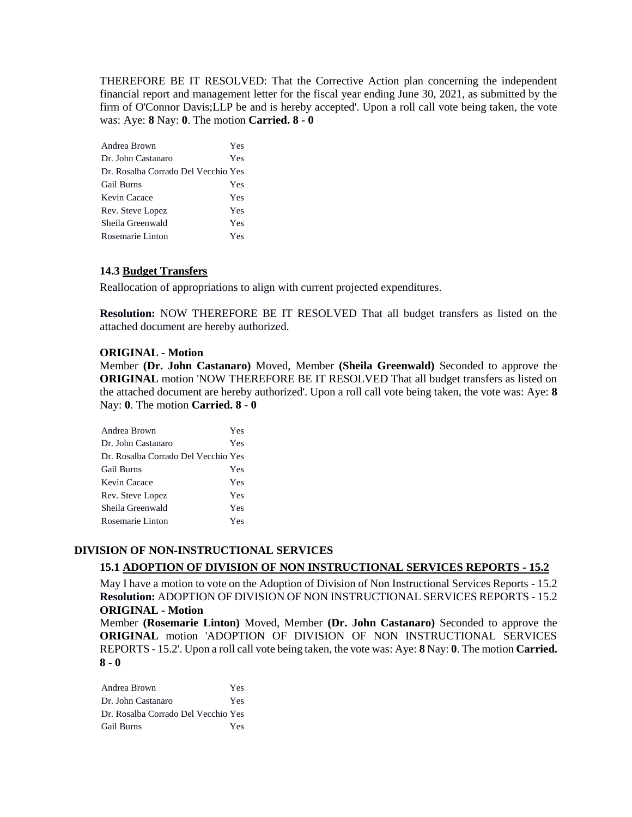THEREFORE BE IT RESOLVED: That the Corrective Action plan concerning the independent financial report and management letter for the fiscal year ending June 30, 2021, as submitted by the firm of O'Connor Davis;LLP be and is hereby accepted'. Upon a roll call vote being taken, the vote was: Aye: **8** Nay: **0**. The motion **Carried. 8 - 0** 

| Andrea Brown                        | Yes |
|-------------------------------------|-----|
| Dr. John Castanaro                  | Yes |
| Dr. Rosalba Corrado Del Vecchio Yes |     |
| <b>Gail Burns</b>                   | Yes |
| Kevin Cacace                        | Yes |
| Rev. Steve Lopez                    | Yes |
| Sheila Greenwald                    | Yes |
| Rosemarie Linton                    | Yes |

### **14.3 Budget Transfers**

Reallocation of appropriations to align with current projected expenditures.

**Resolution:** NOW THEREFORE BE IT RESOLVED That all budget transfers as listed on the attached document are hereby authorized.

### **ORIGINAL - Motion**

Member **(Dr. John Castanaro)** Moved, Member **(Sheila Greenwald)** Seconded to approve the **ORIGINAL** motion 'NOW THEREFORE BE IT RESOLVED That all budget transfers as listed on the attached document are hereby authorized'. Upon a roll call vote being taken, the vote was: Aye: **8** Nay: **0**. The motion **Carried. 8 - 0** 

| Andrea Brown                        | Yes |
|-------------------------------------|-----|
| Dr. John Castanaro                  | Yes |
| Dr. Rosalba Corrado Del Vecchio Yes |     |
| <b>Gail Burns</b>                   | Yes |
| Kevin Cacace                        | Yes |
| Rev. Steve Lopez                    | Yes |
| Sheila Greenwald                    | Yes |
| Rosemarie Linton                    | Yes |

#### **DIVISION OF NON-INSTRUCTIONAL SERVICES**

#### **15.1 ADOPTION OF DIVISION OF NON INSTRUCTIONAL SERVICES REPORTS - 15.2**

May I have a motion to vote on the Adoption of Division of Non Instructional Services Reports - 15.2 **Resolution:** ADOPTION OF DIVISION OF NON INSTRUCTIONAL SERVICES REPORTS - 15.2 **ORIGINAL - Motion**

Member **(Rosemarie Linton)** Moved, Member **(Dr. John Castanaro)** Seconded to approve the **ORIGINAL** motion 'ADOPTION OF DIVISION OF NON INSTRUCTIONAL SERVICES REPORTS - 15.2'. Upon a roll call vote being taken, the vote was: Aye: **8** Nay: **0**. The motion **Carried. 8 - 0** 

Andrea Brown Yes Dr. John Castanaro Yes Dr. Rosalba Corrado Del Vecchio Yes Gail Burns Yes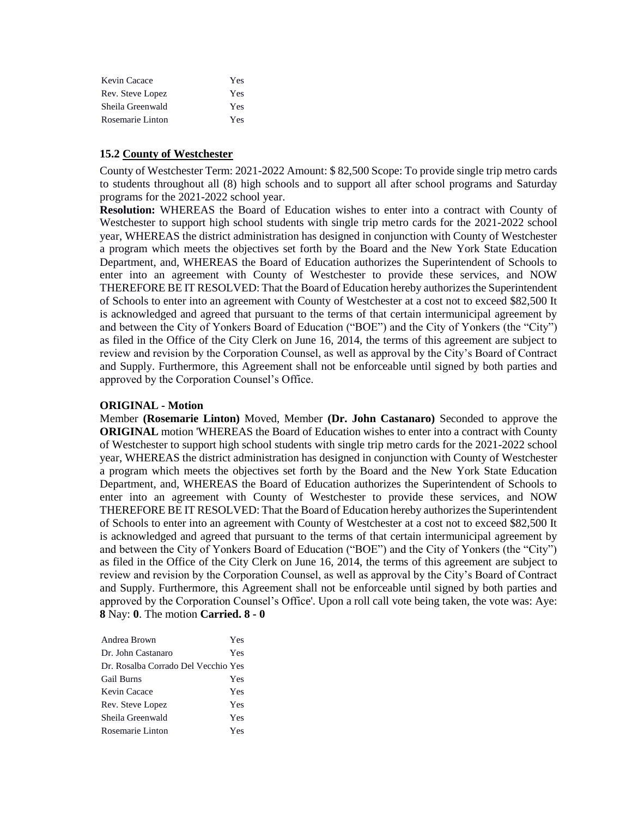| Kevin Cacace     | Yes |
|------------------|-----|
| Rev. Steve Lopez | Yes |
| Sheila Greenwald | Yes |
| Rosemarie Linton | Yes |

### **15.2 County of Westchester**

County of Westchester Term: 2021-2022 Amount: \$ 82,500 Scope: To provide single trip metro cards to students throughout all (8) high schools and to support all after school programs and Saturday programs for the 2021-2022 school year.

**Resolution:** WHEREAS the Board of Education wishes to enter into a contract with County of Westchester to support high school students with single trip metro cards for the 2021-2022 school year, WHEREAS the district administration has designed in conjunction with County of Westchester a program which meets the objectives set forth by the Board and the New York State Education Department, and, WHEREAS the Board of Education authorizes the Superintendent of Schools to enter into an agreement with County of Westchester to provide these services, and NOW THEREFORE BE IT RESOLVED: That the Board of Education hereby authorizes the Superintendent of Schools to enter into an agreement with County of Westchester at a cost not to exceed \$82,500 It is acknowledged and agreed that pursuant to the terms of that certain intermunicipal agreement by and between the City of Yonkers Board of Education ("BOE") and the City of Yonkers (the "City") as filed in the Office of the City Clerk on June 16, 2014, the terms of this agreement are subject to review and revision by the Corporation Counsel, as well as approval by the City's Board of Contract and Supply. Furthermore, this Agreement shall not be enforceable until signed by both parties and approved by the Corporation Counsel's Office.

#### **ORIGINAL - Motion**

Member **(Rosemarie Linton)** Moved, Member **(Dr. John Castanaro)** Seconded to approve the **ORIGINAL** motion 'WHEREAS the Board of Education wishes to enter into a contract with County of Westchester to support high school students with single trip metro cards for the 2021-2022 school year, WHEREAS the district administration has designed in conjunction with County of Westchester a program which meets the objectives set forth by the Board and the New York State Education Department, and, WHEREAS the Board of Education authorizes the Superintendent of Schools to enter into an agreement with County of Westchester to provide these services, and NOW THEREFORE BE IT RESOLVED: That the Board of Education hereby authorizes the Superintendent of Schools to enter into an agreement with County of Westchester at a cost not to exceed \$82,500 It is acknowledged and agreed that pursuant to the terms of that certain intermunicipal agreement by and between the City of Yonkers Board of Education ("BOE") and the City of Yonkers (the "City") as filed in the Office of the City Clerk on June 16, 2014, the terms of this agreement are subject to review and revision by the Corporation Counsel, as well as approval by the City's Board of Contract and Supply. Furthermore, this Agreement shall not be enforceable until signed by both parties and approved by the Corporation Counsel's Office'. Upon a roll call vote being taken, the vote was: Aye: **8** Nay: **0**. The motion **Carried. 8 - 0** 

| Andrea Brown                        | Yes |
|-------------------------------------|-----|
| Dr. John Castanaro                  | Yes |
| Dr. Rosalba Corrado Del Vecchio Yes |     |
| <b>Gail Burns</b>                   | Yes |
| Kevin Cacace                        | Yes |
| Rev. Steve Lopez                    | Yes |
| Sheila Greenwald                    | Yes |
| Rosemarie Linton                    | Yes |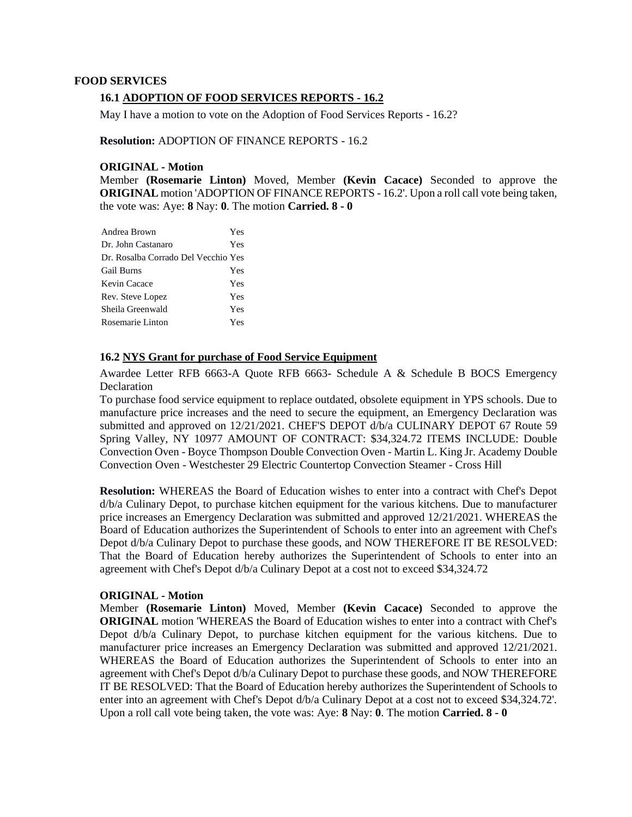#### **FOOD SERVICES**

#### **16.1 ADOPTION OF FOOD SERVICES REPORTS - 16.2**

May I have a motion to vote on the Adoption of Food Services Reports - 16.2?

#### **Resolution:** ADOPTION OF FINANCE REPORTS - 16.2

#### **ORIGINAL - Motion**

Member **(Rosemarie Linton)** Moved, Member **(Kevin Cacace)** Seconded to approve the **ORIGINAL** motion 'ADOPTION OF FINANCE REPORTS - 16.2'. Upon a roll call vote being taken, the vote was: Aye: **8** Nay: **0**. The motion **Carried. 8 - 0** 

| Andrea Brown                        | Yes |
|-------------------------------------|-----|
| Dr. John Castanaro                  | Yes |
| Dr. Rosalba Corrado Del Vecchio Yes |     |
| <b>Gail Burns</b>                   | Yes |
| Kevin Cacace                        | Yes |
| Rev. Steve Lopez                    | Yes |
| Sheila Greenwald                    | Yes |
| Rosemarie Linton                    | Yes |

### **16.2 NYS Grant for purchase of Food Service Equipment**

Awardee Letter RFB 6663-A Quote RFB 6663- Schedule A & Schedule B BOCS Emergency Declaration

To purchase food service equipment to replace outdated, obsolete equipment in YPS schools. Due to manufacture price increases and the need to secure the equipment, an Emergency Declaration was submitted and approved on 12/21/2021. CHEF'S DEPOT d/b/a CULINARY DEPOT 67 Route 59 Spring Valley, NY 10977 AMOUNT OF CONTRACT: \$34,324.72 ITEMS INCLUDE: Double Convection Oven - Boyce Thompson Double Convection Oven - Martin L. King Jr. Academy Double Convection Oven - Westchester 29 Electric Countertop Convection Steamer - Cross Hill

**Resolution:** WHEREAS the Board of Education wishes to enter into a contract with Chef's Depot d/b/a Culinary Depot, to purchase kitchen equipment for the various kitchens. Due to manufacturer price increases an Emergency Declaration was submitted and approved 12/21/2021. WHEREAS the Board of Education authorizes the Superintendent of Schools to enter into an agreement with Chef's Depot d/b/a Culinary Depot to purchase these goods, and NOW THEREFORE IT BE RESOLVED: That the Board of Education hereby authorizes the Superintendent of Schools to enter into an agreement with Chef's Depot d/b/a Culinary Depot at a cost not to exceed \$34,324.72

#### **ORIGINAL - Motion**

Member **(Rosemarie Linton)** Moved, Member **(Kevin Cacace)** Seconded to approve the **ORIGINAL** motion 'WHEREAS the Board of Education wishes to enter into a contract with Chef's Depot d/b/a Culinary Depot, to purchase kitchen equipment for the various kitchens. Due to manufacturer price increases an Emergency Declaration was submitted and approved 12/21/2021. WHEREAS the Board of Education authorizes the Superintendent of Schools to enter into an agreement with Chef's Depot d/b/a Culinary Depot to purchase these goods, and NOW THEREFORE IT BE RESOLVED: That the Board of Education hereby authorizes the Superintendent of Schools to enter into an agreement with Chef's Depot d/b/a Culinary Depot at a cost not to exceed \$34,324.72'. Upon a roll call vote being taken, the vote was: Aye: **8** Nay: **0**. The motion **Carried. 8 - 0**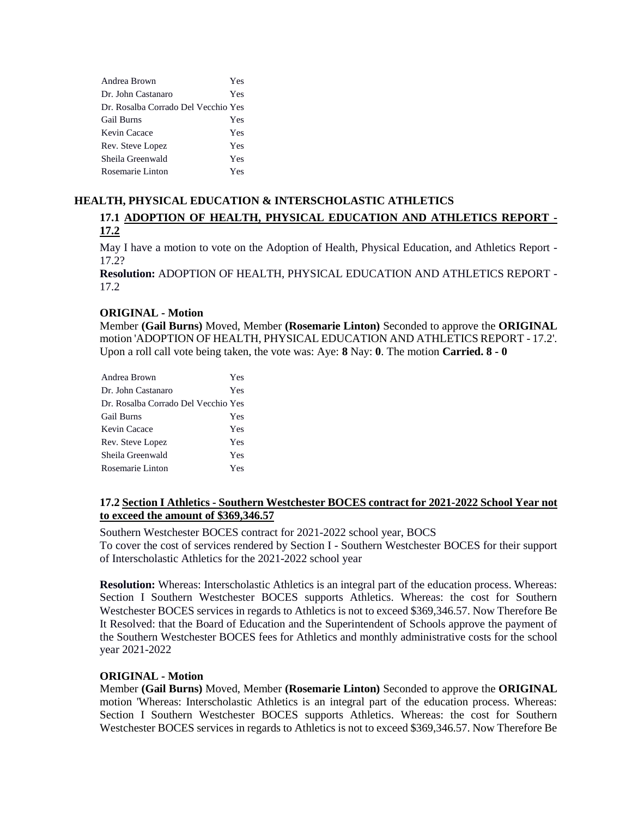| Andrea Brown                        | Yes |
|-------------------------------------|-----|
| Dr. John Castanaro                  | Yes |
| Dr. Rosalba Corrado Del Vecchio Yes |     |
| <b>Gail Burns</b>                   | Yes |
| Kevin Cacace                        | Yes |
| Rev. Steve Lopez                    | Yes |
| Sheila Greenwald                    | Yes |
| Rosemarie Linton                    | Yes |

# **HEALTH, PHYSICAL EDUCATION & INTERSCHOLASTIC ATHLETICS 17.1 ADOPTION OF HEALTH, PHYSICAL EDUCATION AND ATHLETICS REPORT - 17.2**

May I have a motion to vote on the Adoption of Health, Physical Education, and Athletics Report - 17.2?

**Resolution:** ADOPTION OF HEALTH, PHYSICAL EDUCATION AND ATHLETICS REPORT -  $17.2<sub>2</sub>$ 

### **ORIGINAL - Motion**

Member **(Gail Burns)** Moved, Member **(Rosemarie Linton)** Seconded to approve the **ORIGINAL**  motion 'ADOPTION OF HEALTH, PHYSICAL EDUCATION AND ATHLETICS REPORT - 17.2'. Upon a roll call vote being taken, the vote was: Aye: **8** Nay: **0**. The motion **Carried. 8 - 0** 

| Andrea Brown                        | Yes |
|-------------------------------------|-----|
| Dr. John Castanaro                  | Yes |
| Dr. Rosalba Corrado Del Vecchio Yes |     |
| <b>Gail Burns</b>                   | Yes |
| Kevin Cacace                        | Yes |
| Rev. Steve Lopez                    | Yes |
| Sheila Greenwald                    | Yes |
| Rosemarie Linton                    | Yes |

# **17.2 Section I Athletics - Southern Westchester BOCES contract for 2021-2022 School Year not to exceed the amount of \$369,346.57**

Southern Westchester BOCES contract for 2021-2022 school year, BOCS To cover the cost of services rendered by Section I - Southern Westchester BOCES for their support of Interscholastic Athletics for the 2021-2022 school year

**Resolution:** Whereas: Interscholastic Athletics is an integral part of the education process. Whereas: Section I Southern Westchester BOCES supports Athletics. Whereas: the cost for Southern Westchester BOCES services in regards to Athletics is not to exceed \$369,346.57. Now Therefore Be It Resolved: that the Board of Education and the Superintendent of Schools approve the payment of the Southern Westchester BOCES fees for Athletics and monthly administrative costs for the school year 2021-2022

### **ORIGINAL - Motion**

Member **(Gail Burns)** Moved, Member **(Rosemarie Linton)** Seconded to approve the **ORIGINAL**  motion 'Whereas: Interscholastic Athletics is an integral part of the education process. Whereas: Section I Southern Westchester BOCES supports Athletics. Whereas: the cost for Southern Westchester BOCES services in regards to Athletics is not to exceed \$369,346.57. Now Therefore Be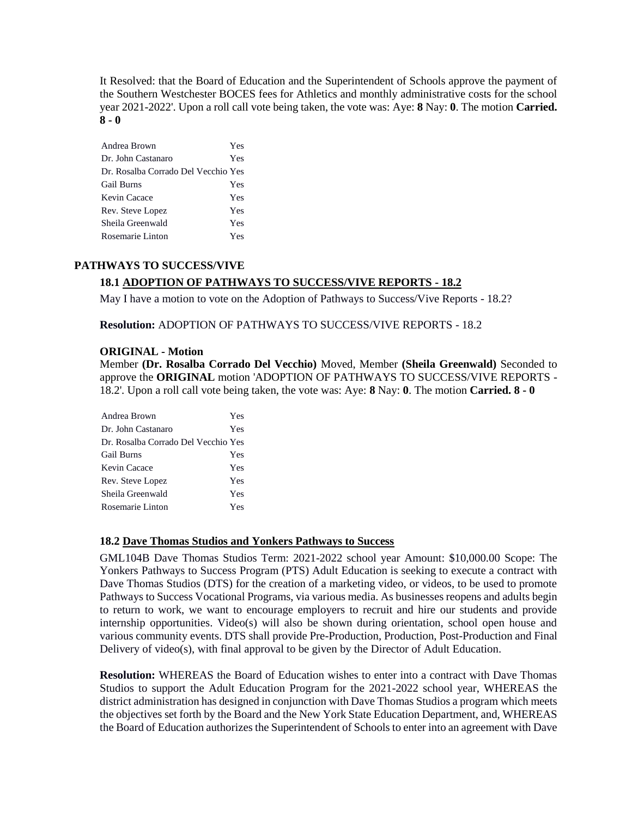It Resolved: that the Board of Education and the Superintendent of Schools approve the payment of the Southern Westchester BOCES fees for Athletics and monthly administrative costs for the school year 2021-2022'. Upon a roll call vote being taken, the vote was: Aye: **8** Nay: **0**. The motion **Carried. 8 - 0** 

| Andrea Brown                        | Yes |
|-------------------------------------|-----|
| Dr. John Castanaro                  | Yes |
| Dr. Rosalba Corrado Del Vecchio Yes |     |
| Gail Burns                          | Yes |
| Kevin Cacace                        | Yes |
| Rev. Steve Lopez                    | Yes |
| Sheila Greenwald                    | Yes |
| Rosemarie Linton                    | Yes |
|                                     |     |

#### **PATHWAYS TO SUCCESS/VIVE**

### **18.1 ADOPTION OF PATHWAYS TO SUCCESS/VIVE REPORTS - 18.2**

May I have a motion to vote on the Adoption of Pathways to Success/Vive Reports - 18.2?

**Resolution:** ADOPTION OF PATHWAYS TO SUCCESS/VIVE REPORTS - 18.2

#### **ORIGINAL - Motion**

Member **(Dr. Rosalba Corrado Del Vecchio)** Moved, Member **(Sheila Greenwald)** Seconded to approve the **ORIGINAL** motion 'ADOPTION OF PATHWAYS TO SUCCESS/VIVE REPORTS - 18.2'. Upon a roll call vote being taken, the vote was: Aye: **8** Nay: **0**. The motion **Carried. 8 - 0** 

| Andrea Brown                        | Yes |
|-------------------------------------|-----|
| Dr. John Castanaro                  | Yes |
| Dr. Rosalba Corrado Del Vecchio Yes |     |
| <b>Gail Burns</b>                   | Yes |
| Kevin Cacace                        | Yes |
| Rev. Steve Lopez                    | Yes |
| Sheila Greenwald                    | Yes |
| Rosemarie Linton                    | Yes |

#### **18.2 Dave Thomas Studios and Yonkers Pathways to Success**

GML104B Dave Thomas Studios Term: 2021-2022 school year Amount: \$10,000.00 Scope: The Yonkers Pathways to Success Program (PTS) Adult Education is seeking to execute a contract with Dave Thomas Studios (DTS) for the creation of a marketing video, or videos, to be used to promote Pathways to Success Vocational Programs, via various media. As businesses reopens and adults begin to return to work, we want to encourage employers to recruit and hire our students and provide internship opportunities. Video(s) will also be shown during orientation, school open house and various community events. DTS shall provide Pre-Production, Production, Post-Production and Final Delivery of video(s), with final approval to be given by the Director of Adult Education.

**Resolution:** WHEREAS the Board of Education wishes to enter into a contract with Dave Thomas Studios to support the Adult Education Program for the 2021-2022 school year, WHEREAS the district administration has designed in conjunction with Dave Thomas Studios a program which meets the objectives set forth by the Board and the New York State Education Department, and, WHEREAS the Board of Education authorizes the Superintendent of Schools to enter into an agreement with Dave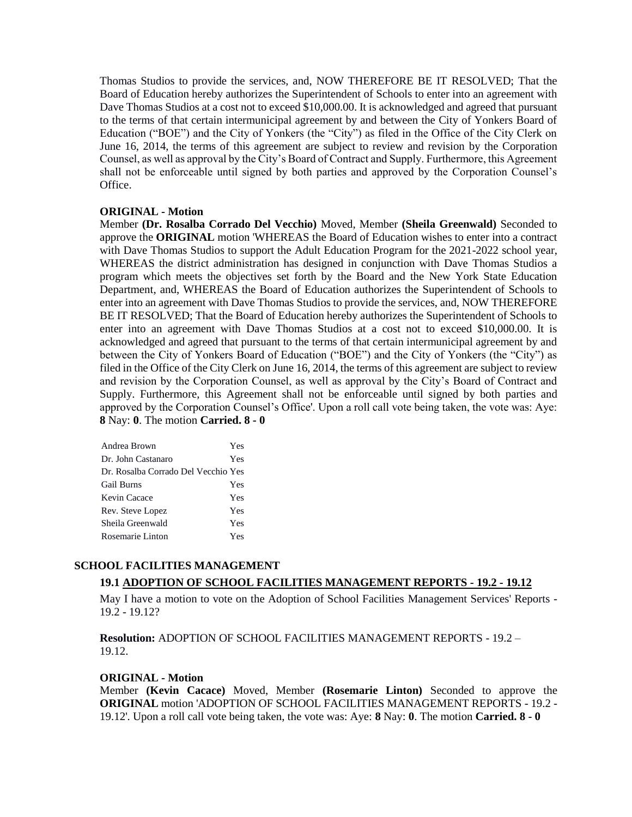Thomas Studios to provide the services, and, NOW THEREFORE BE IT RESOLVED; That the Board of Education hereby authorizes the Superintendent of Schools to enter into an agreement with Dave Thomas Studios at a cost not to exceed \$10,000.00. It is acknowledged and agreed that pursuant to the terms of that certain intermunicipal agreement by and between the City of Yonkers Board of Education ("BOE") and the City of Yonkers (the "City") as filed in the Office of the City Clerk on June 16, 2014, the terms of this agreement are subject to review and revision by the Corporation Counsel, as well as approval by the City's Board of Contract and Supply. Furthermore, this Agreement shall not be enforceable until signed by both parties and approved by the Corporation Counsel's Office.

### **ORIGINAL - Motion**

Member **(Dr. Rosalba Corrado Del Vecchio)** Moved, Member **(Sheila Greenwald)** Seconded to approve the **ORIGINAL** motion 'WHEREAS the Board of Education wishes to enter into a contract with Dave Thomas Studios to support the Adult Education Program for the 2021-2022 school year, WHEREAS the district administration has designed in conjunction with Dave Thomas Studios a program which meets the objectives set forth by the Board and the New York State Education Department, and, WHEREAS the Board of Education authorizes the Superintendent of Schools to enter into an agreement with Dave Thomas Studios to provide the services, and, NOW THEREFORE BE IT RESOLVED; That the Board of Education hereby authorizes the Superintendent of Schools to enter into an agreement with Dave Thomas Studios at a cost not to exceed \$10,000.00. It is acknowledged and agreed that pursuant to the terms of that certain intermunicipal agreement by and between the City of Yonkers Board of Education ("BOE") and the City of Yonkers (the "City") as filed in the Office of the City Clerk on June 16, 2014, the terms of this agreement are subject to review and revision by the Corporation Counsel, as well as approval by the City's Board of Contract and Supply. Furthermore, this Agreement shall not be enforceable until signed by both parties and approved by the Corporation Counsel's Office'. Upon a roll call vote being taken, the vote was: Aye: **8** Nay: **0**. The motion **Carried. 8 - 0** 

| Andrea Brown                        | Yes |
|-------------------------------------|-----|
| Dr. John Castanaro                  | Yes |
| Dr. Rosalba Corrado Del Vecchio Yes |     |
| <b>Gail Burns</b>                   | Yes |
| Kevin Cacace                        | Yes |
| Rev. Steve Lopez                    | Yes |
| Sheila Greenwald                    | Yes |
| Rosemarie Linton                    | Yes |

### **SCHOOL FACILITIES MANAGEMENT**

### **19.1 ADOPTION OF SCHOOL FACILITIES MANAGEMENT REPORTS - 19.2 - 19.12**

May I have a motion to vote on the Adoption of School Facilities Management Services' Reports - 19.2 - 19.12?

**Resolution:** ADOPTION OF SCHOOL FACILITIES MANAGEMENT REPORTS - 19.2 – 19.12.

#### **ORIGINAL - Motion**

Member **(Kevin Cacace)** Moved, Member **(Rosemarie Linton)** Seconded to approve the **ORIGINAL** motion 'ADOPTION OF SCHOOL FACILITIES MANAGEMENT REPORTS - 19.2 - 19.12'. Upon a roll call vote being taken, the vote was: Aye: **8** Nay: **0**. The motion **Carried. 8 - 0**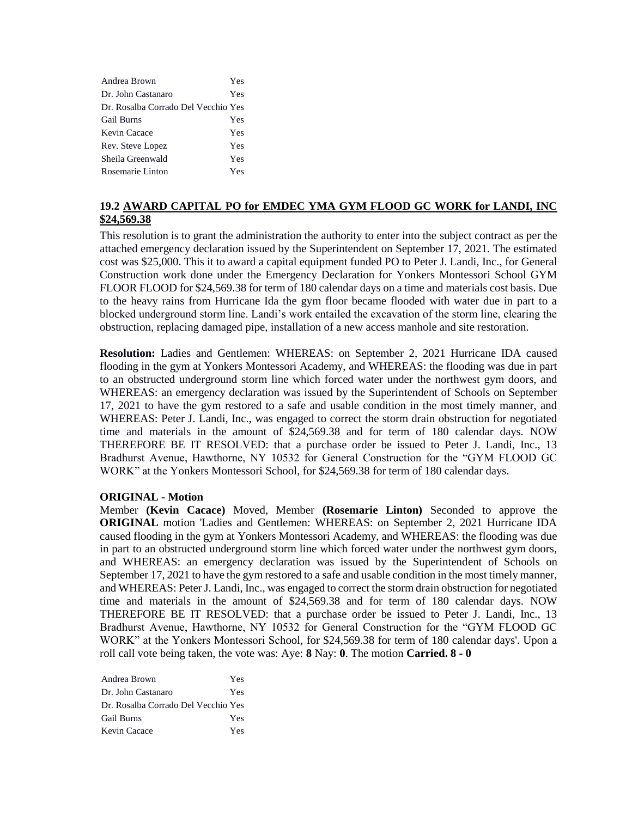| Andrea Brown                        | Yes |
|-------------------------------------|-----|
| Dr. John Castanaro                  | Yes |
| Dr. Rosalba Corrado Del Vecchio Yes |     |
| <b>Gail Burns</b>                   | Yes |
| Kevin Cacace                        | Yes |
| Rev. Steve Lopez                    | Yes |
| Sheila Greenwald                    | Yes |
| Rosemarie Linton                    | Yes |

# **19.2 AWARD CAPITAL PO for EMDEC YMA GYM FLOOD GC WORK for LANDI, INC \$24,569.38**

This resolution is to grant the administration the authority to enter into the subject contract as per the attached emergency declaration issued by the Superintendent on September 17, 2021. The estimated cost was \$25,000. This it to award a capital equipment funded PO to Peter J. Landi, Inc., for General Construction work done under the Emergency Declaration for Yonkers Montessori School GYM FLOOR FLOOD for \$24,569.38 for term of 180 calendar days on a time and materials cost basis. Due to the heavy rains from Hurricane Ida the gym floor became flooded with water due in part to a blocked underground storm line. Landi's work entailed the excavation of the storm line, clearing the obstruction, replacing damaged pipe, installation of a new access manhole and site restoration.

**Resolution:** Ladies and Gentlemen: WHEREAS: on September 2, 2021 Hurricane IDA caused flooding in the gym at Yonkers Montessori Academy, and WHEREAS: the flooding was due in part to an obstructed underground storm line which forced water under the northwest gym doors, and WHEREAS: an emergency declaration was issued by the Superintendent of Schools on September 17, 2021 to have the gym restored to a safe and usable condition in the most timely manner, and WHEREAS: Peter J. Landi, Inc., was engaged to correct the storm drain obstruction for negotiated time and materials in the amount of \$24,569.38 and for term of 180 calendar days. NOW THEREFORE BE IT RESOLVED: that a purchase order be issued to Peter J. Landi, Inc., 13 Bradhurst Avenue, Hawthorne, NY 10532 for General Construction for the "GYM FLOOD GC WORK" at the Yonkers Montessori School, for \$24,569.38 for term of 180 calendar days.

#### **ORIGINAL - Motion**

Member **(Kevin Cacace)** Moved, Member **(Rosemarie Linton)** Seconded to approve the **ORIGINAL** motion 'Ladies and Gentlemen: WHEREAS: on September 2, 2021 Hurricane IDA caused flooding in the gym at Yonkers Montessori Academy, and WHEREAS: the flooding was due in part to an obstructed underground storm line which forced water under the northwest gym doors, and WHEREAS: an emergency declaration was issued by the Superintendent of Schools on September 17, 2021 to have the gym restored to a safe and usable condition in the most timely manner, and WHEREAS: Peter J. Landi, Inc., was engaged to correct the storm drain obstruction for negotiated time and materials in the amount of \$24,569.38 and for term of 180 calendar days. NOW THEREFORE BE IT RESOLVED: that a purchase order be issued to Peter J. Landi, Inc., 13 Bradhurst Avenue, Hawthorne, NY 10532 for General Construction for the "GYM FLOOD GC WORK" at the Yonkers Montessori School, for \$24,569.38 for term of 180 calendar days'. Upon a roll call vote being taken, the vote was: Aye: **8** Nay: **0**. The motion **Carried. 8 - 0** 

| Andrea Brown                        | Yes |
|-------------------------------------|-----|
| Dr. John Castanaro                  | Yes |
| Dr. Rosalba Corrado Del Vecchio Yes |     |
| <b>Gail Burns</b>                   | Yes |
| Kevin Cacace                        | Yes |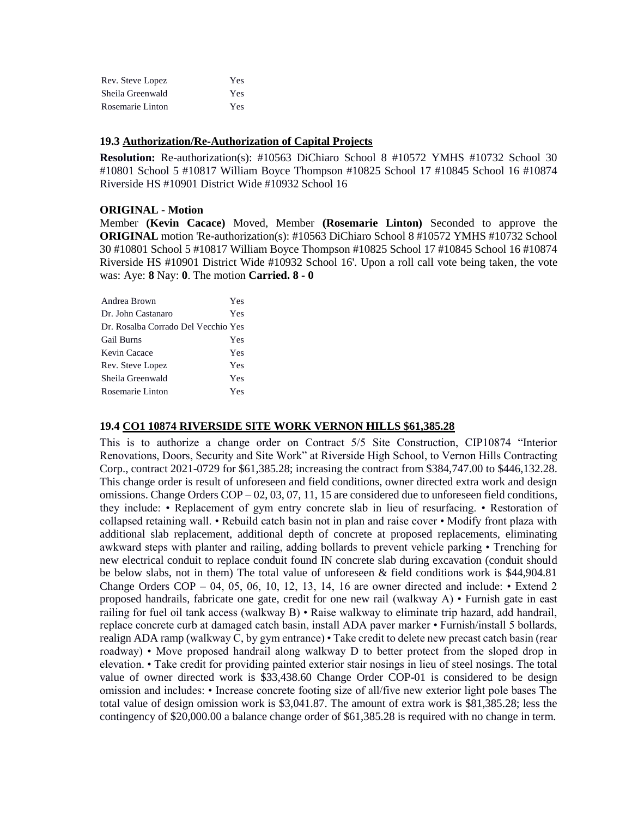| Rev. Steve Lopez | Yes |
|------------------|-----|
| Sheila Greenwald | Yes |
| Rosemarie Linton | Yes |

#### **19.3 Authorization/Re-Authorization of Capital Projects**

**Resolution:** Re-authorization(s): #10563 DiChiaro School 8 #10572 YMHS #10732 School 30 #10801 School 5 #10817 William Boyce Thompson #10825 School 17 #10845 School 16 #10874 Riverside HS #10901 District Wide #10932 School 16

### **ORIGINAL - Motion**

Member **(Kevin Cacace)** Moved, Member **(Rosemarie Linton)** Seconded to approve the **ORIGINAL** motion 'Re-authorization(s): #10563 DiChiaro School 8 #10572 YMHS #10732 School 30 #10801 School 5 #10817 William Boyce Thompson #10825 School 17 #10845 School 16 #10874 Riverside HS #10901 District Wide #10932 School 16'. Upon a roll call vote being taken, the vote was: Aye: **8** Nay: **0**. The motion **Carried. 8 - 0** 

| Andrea Brown                        | Yes |
|-------------------------------------|-----|
| Dr. John Castanaro                  | Yes |
| Dr. Rosalba Corrado Del Vecchio Yes |     |
| <b>Gail Burns</b>                   | Yes |
| Kevin Cacace                        | Yes |
| Rev. Steve Lopez                    | Yes |
| Sheila Greenwald                    | Yes |
| Rosemarie Linton                    | Yes |

#### **19.4 CO1 10874 RIVERSIDE SITE WORK VERNON HILLS \$61,385.28**

This is to authorize a change order on Contract 5/5 Site Construction, CIP10874 "Interior Renovations, Doors, Security and Site Work" at Riverside High School, to Vernon Hills Contracting Corp., contract 2021-0729 for \$61,385.28; increasing the contract from \$384,747.00 to \$446,132.28. This change order is result of unforeseen and field conditions, owner directed extra work and design omissions. Change Orders COP – 02, 03, 07, 11, 15 are considered due to unforeseen field conditions, they include: • Replacement of gym entry concrete slab in lieu of resurfacing. • Restoration of collapsed retaining wall. • Rebuild catch basin not in plan and raise cover • Modify front plaza with additional slab replacement, additional depth of concrete at proposed replacements, eliminating awkward steps with planter and railing, adding bollards to prevent vehicle parking • Trenching for new electrical conduit to replace conduit found IN concrete slab during excavation (conduit should be below slabs, not in them) The total value of unforeseen & field conditions work is \$44,904.81 Change Orders  $COP - 04$ , 05, 06, 10, 12, 13, 14, 16 are owner directed and include: • Extend 2 proposed handrails, fabricate one gate, credit for one new rail (walkway A) • Furnish gate in east railing for fuel oil tank access (walkway B) • Raise walkway to eliminate trip hazard, add handrail, replace concrete curb at damaged catch basin, install ADA paver marker • Furnish/install 5 bollards, realign ADA ramp (walkway C, by gym entrance) • Take credit to delete new precast catch basin (rear roadway) • Move proposed handrail along walkway D to better protect from the sloped drop in elevation. • Take credit for providing painted exterior stair nosings in lieu of steel nosings. The total value of owner directed work is \$33,438.60 Change Order COP-01 is considered to be design omission and includes: • Increase concrete footing size of all/five new exterior light pole bases The total value of design omission work is \$3,041.87. The amount of extra work is \$81,385.28; less the contingency of \$20,000.00 a balance change order of \$61,385.28 is required with no change in term.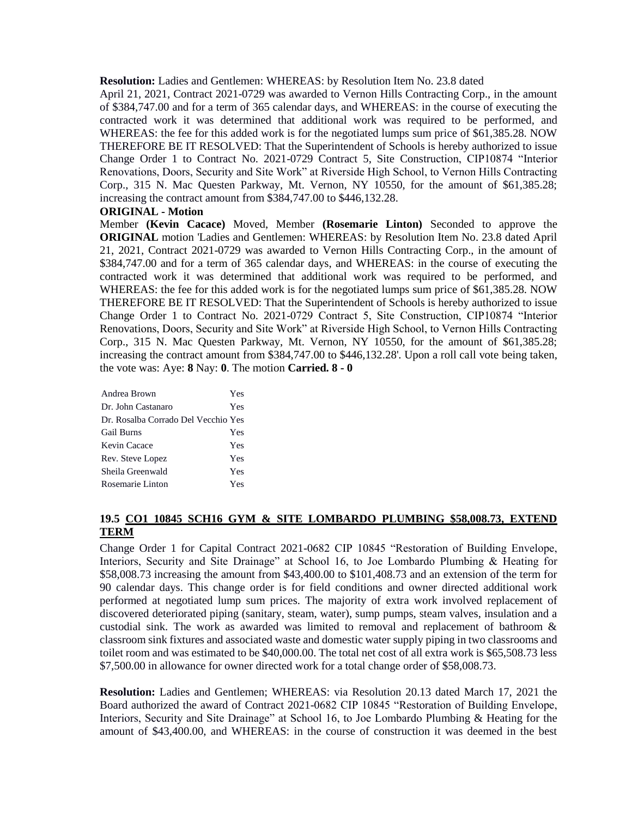**Resolution:** Ladies and Gentlemen: WHEREAS: by Resolution Item No. 23.8 dated

April 21, 2021, Contract 2021-0729 was awarded to Vernon Hills Contracting Corp., in the amount of \$384,747.00 and for a term of 365 calendar days, and WHEREAS: in the course of executing the contracted work it was determined that additional work was required to be performed, and WHEREAS: the fee for this added work is for the negotiated lumps sum price of \$61,385.28. NOW THEREFORE BE IT RESOLVED: That the Superintendent of Schools is hereby authorized to issue Change Order 1 to Contract No. 2021-0729 Contract 5, Site Construction, CIP10874 "Interior Renovations, Doors, Security and Site Work" at Riverside High School, to Vernon Hills Contracting Corp., 315 N. Mac Questen Parkway, Mt. Vernon, NY 10550, for the amount of \$61,385.28; increasing the contract amount from \$384,747.00 to \$446,132.28.

### **ORIGINAL - Motion**

Member **(Kevin Cacace)** Moved, Member **(Rosemarie Linton)** Seconded to approve the **ORIGINAL** motion 'Ladies and Gentlemen: WHEREAS: by Resolution Item No. 23.8 dated April 21, 2021, Contract 2021-0729 was awarded to Vernon Hills Contracting Corp., in the amount of \$384,747.00 and for a term of 365 calendar days, and WHEREAS: in the course of executing the contracted work it was determined that additional work was required to be performed, and WHEREAS: the fee for this added work is for the negotiated lumps sum price of \$61,385.28. NOW THEREFORE BE IT RESOLVED: That the Superintendent of Schools is hereby authorized to issue Change Order 1 to Contract No. 2021-0729 Contract 5, Site Construction, CIP10874 "Interior Renovations, Doors, Security and Site Work" at Riverside High School, to Vernon Hills Contracting Corp., 315 N. Mac Questen Parkway, Mt. Vernon, NY 10550, for the amount of \$61,385.28; increasing the contract amount from \$384,747.00 to \$446,132.28'. Upon a roll call vote being taken, the vote was: Aye: **8** Nay: **0**. The motion **Carried. 8 - 0** 

| Andrea Brown                        | Yes |
|-------------------------------------|-----|
| Dr. John Castanaro                  | Yes |
| Dr. Rosalba Corrado Del Vecchio Yes |     |
| <b>Gail Burns</b>                   | Yes |
| Kevin Cacace                        | Yes |
| Rev. Steve Lopez                    | Yes |
| Sheila Greenwald                    | Yes |
| Rosemarie Linton                    | Yes |
|                                     |     |

### **19.5 CO1 10845 SCH16 GYM & SITE LOMBARDO PLUMBING \$58,008.73, EXTEND TERM**

Change Order 1 for Capital Contract 2021-0682 CIP 10845 "Restoration of Building Envelope, Interiors, Security and Site Drainage" at School 16, to Joe Lombardo Plumbing & Heating for \$58,008.73 increasing the amount from \$43,400.00 to \$101,408.73 and an extension of the term for 90 calendar days. This change order is for field conditions and owner directed additional work performed at negotiated lump sum prices. The majority of extra work involved replacement of discovered deteriorated piping (sanitary, steam, water), sump pumps, steam valves, insulation and a custodial sink. The work as awarded was limited to removal and replacement of bathroom & classroom sink fixtures and associated waste and domestic water supply piping in two classrooms and toilet room and was estimated to be \$40,000.00. The total net cost of all extra work is \$65,508.73 less \$7,500.00 in allowance for owner directed work for a total change order of \$58,008.73.

**Resolution:** Ladies and Gentlemen; WHEREAS: via Resolution 20.13 dated March 17, 2021 the Board authorized the award of Contract 2021-0682 CIP 10845 "Restoration of Building Envelope, Interiors, Security and Site Drainage" at School 16, to Joe Lombardo Plumbing & Heating for the amount of \$43,400.00, and WHEREAS: in the course of construction it was deemed in the best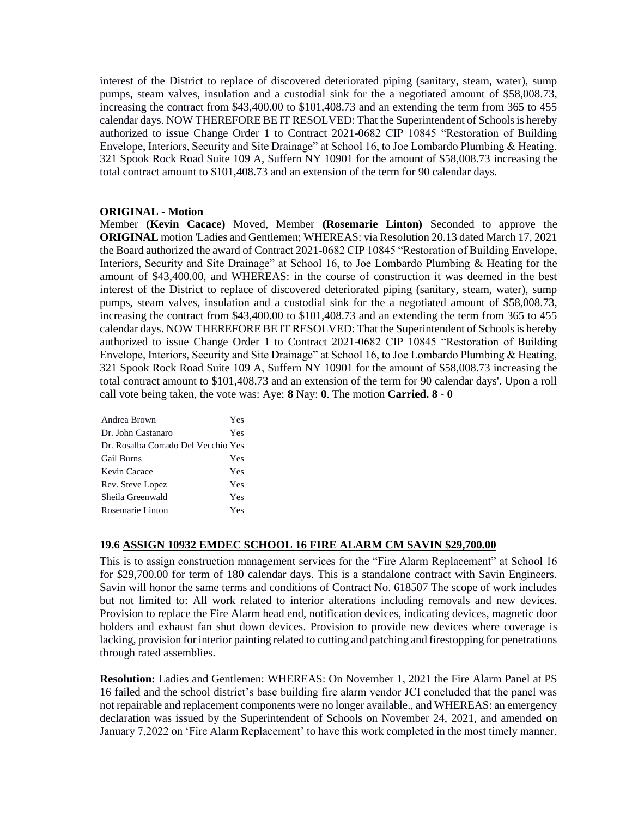interest of the District to replace of discovered deteriorated piping (sanitary, steam, water), sump pumps, steam valves, insulation and a custodial sink for the a negotiated amount of \$58,008.73, increasing the contract from \$43,400.00 to \$101,408.73 and an extending the term from 365 to 455 calendar days. NOW THEREFORE BE IT RESOLVED: That the Superintendent of Schools is hereby authorized to issue Change Order 1 to Contract 2021-0682 CIP 10845 "Restoration of Building Envelope, Interiors, Security and Site Drainage" at School 16, to Joe Lombardo Plumbing & Heating, 321 Spook Rock Road Suite 109 A, Suffern NY 10901 for the amount of \$58,008.73 increasing the total contract amount to \$101,408.73 and an extension of the term for 90 calendar days.

#### **ORIGINAL - Motion**

Member **(Kevin Cacace)** Moved, Member **(Rosemarie Linton)** Seconded to approve the **ORIGINAL** motion 'Ladies and Gentlemen; WHEREAS: via Resolution 20.13 dated March 17, 2021 the Board authorized the award of Contract 2021-0682 CIP 10845 "Restoration of Building Envelope, Interiors, Security and Site Drainage" at School 16, to Joe Lombardo Plumbing & Heating for the amount of \$43,400.00, and WHEREAS: in the course of construction it was deemed in the best interest of the District to replace of discovered deteriorated piping (sanitary, steam, water), sump pumps, steam valves, insulation and a custodial sink for the a negotiated amount of \$58,008.73, increasing the contract from \$43,400.00 to \$101,408.73 and an extending the term from 365 to 455 calendar days. NOW THEREFORE BE IT RESOLVED: That the Superintendent of Schools is hereby authorized to issue Change Order 1 to Contract 2021-0682 CIP 10845 "Restoration of Building Envelope, Interiors, Security and Site Drainage" at School 16, to Joe Lombardo Plumbing & Heating, 321 Spook Rock Road Suite 109 A, Suffern NY 10901 for the amount of \$58,008.73 increasing the total contract amount to \$101,408.73 and an extension of the term for 90 calendar days'. Upon a roll call vote being taken, the vote was: Aye: **8** Nay: **0**. The motion **Carried. 8 - 0** 

| Yes                                 |
|-------------------------------------|
| Yes                                 |
| Dr. Rosalba Corrado Del Vecchio Yes |
| Yes                                 |
| Yes                                 |
| Yes                                 |
| Yes                                 |
| Yes                                 |
|                                     |

### **19.6 ASSIGN 10932 EMDEC SCHOOL 16 FIRE ALARM CM SAVIN \$29,700.00**

This is to assign construction management services for the "Fire Alarm Replacement" at School 16 for \$29,700.00 for term of 180 calendar days. This is a standalone contract with Savin Engineers. Savin will honor the same terms and conditions of Contract No. 618507 The scope of work includes but not limited to: All work related to interior alterations including removals and new devices. Provision to replace the Fire Alarm head end, notification devices, indicating devices, magnetic door holders and exhaust fan shut down devices. Provision to provide new devices where coverage is lacking, provision for interior painting related to cutting and patching and firestopping for penetrations through rated assemblies.

**Resolution:** Ladies and Gentlemen: WHEREAS: On November 1, 2021 the Fire Alarm Panel at PS 16 failed and the school district's base building fire alarm vendor JCI concluded that the panel was not repairable and replacement components were no longer available., and WHEREAS: an emergency declaration was issued by the Superintendent of Schools on November 24, 2021, and amended on January 7,2022 on 'Fire Alarm Replacement' to have this work completed in the most timely manner,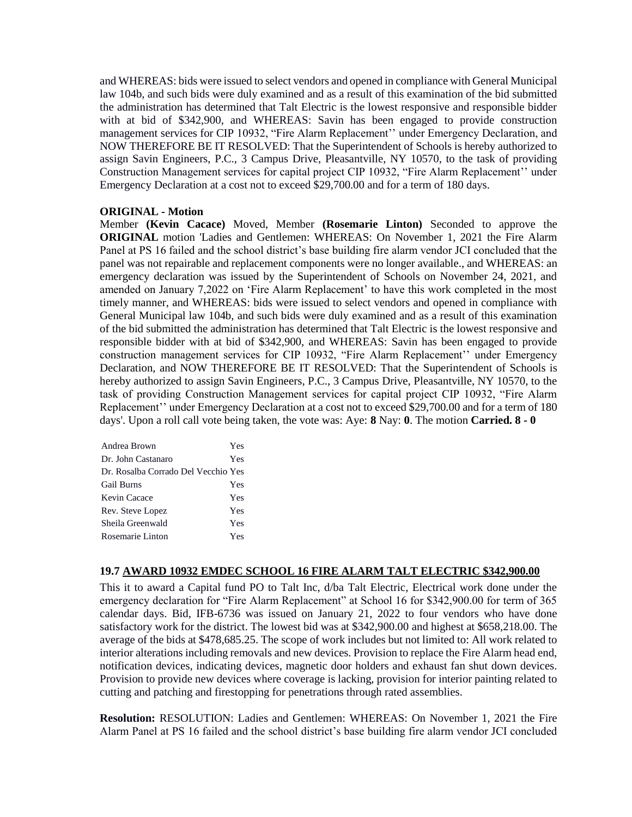and WHEREAS: bids were issued to select vendors and opened in compliance with General Municipal law 104b, and such bids were duly examined and as a result of this examination of the bid submitted the administration has determined that Talt Electric is the lowest responsive and responsible bidder with at bid of \$342,900, and WHEREAS: Savin has been engaged to provide construction management services for CIP 10932, "Fire Alarm Replacement'' under Emergency Declaration, and NOW THEREFORE BE IT RESOLVED: That the Superintendent of Schools is hereby authorized to assign Savin Engineers, P.C., 3 Campus Drive, Pleasantville, NY 10570, to the task of providing Construction Management services for capital project CIP 10932, "Fire Alarm Replacement'' under Emergency Declaration at a cost not to exceed \$29,700.00 and for a term of 180 days.

### **ORIGINAL - Motion**

Member **(Kevin Cacace)** Moved, Member **(Rosemarie Linton)** Seconded to approve the **ORIGINAL** motion 'Ladies and Gentlemen: WHEREAS: On November 1, 2021 the Fire Alarm Panel at PS 16 failed and the school district's base building fire alarm vendor JCI concluded that the panel was not repairable and replacement components were no longer available., and WHEREAS: an emergency declaration was issued by the Superintendent of Schools on November 24, 2021, and amended on January 7,2022 on 'Fire Alarm Replacement' to have this work completed in the most timely manner, and WHEREAS: bids were issued to select vendors and opened in compliance with General Municipal law 104b, and such bids were duly examined and as a result of this examination of the bid submitted the administration has determined that Talt Electric is the lowest responsive and responsible bidder with at bid of \$342,900, and WHEREAS: Savin has been engaged to provide construction management services for CIP 10932, "Fire Alarm Replacement'' under Emergency Declaration, and NOW THEREFORE BE IT RESOLVED: That the Superintendent of Schools is hereby authorized to assign Savin Engineers, P.C., 3 Campus Drive, Pleasantville, NY 10570, to the task of providing Construction Management services for capital project CIP 10932, "Fire Alarm Replacement'' under Emergency Declaration at a cost not to exceed \$29,700.00 and for a term of 180 days'. Upon a roll call vote being taken, the vote was: Aye: **8** Nay: **0**. The motion **Carried. 8 - 0** 

| Andrea Brown                        | Yes |
|-------------------------------------|-----|
| Dr. John Castanaro                  | Yes |
| Dr. Rosalba Corrado Del Vecchio Yes |     |
| <b>Gail Burns</b>                   | Yes |
| Kevin Cacace                        | Yes |
| Rev. Steve Lopez                    | Yes |
| Sheila Greenwald                    | Yes |
| Rosemarie Linton                    | Yes |

#### **19.7 AWARD 10932 EMDEC SCHOOL 16 FIRE ALARM TALT ELECTRIC \$342,900.00**

This it to award a Capital fund PO to Talt Inc, d/ba Talt Electric, Electrical work done under the emergency declaration for "Fire Alarm Replacement" at School 16 for \$342,900.00 for term of 365 calendar days. Bid, IFB-6736 was issued on January 21, 2022 to four vendors who have done satisfactory work for the district. The lowest bid was at \$342,900.00 and highest at \$658,218.00. The average of the bids at \$478,685.25. The scope of work includes but not limited to: All work related to interior alterations including removals and new devices. Provision to replace the Fire Alarm head end, notification devices, indicating devices, magnetic door holders and exhaust fan shut down devices. Provision to provide new devices where coverage is lacking, provision for interior painting related to cutting and patching and firestopping for penetrations through rated assemblies.

**Resolution:** RESOLUTION: Ladies and Gentlemen: WHEREAS: On November 1, 2021 the Fire Alarm Panel at PS 16 failed and the school district's base building fire alarm vendor JCI concluded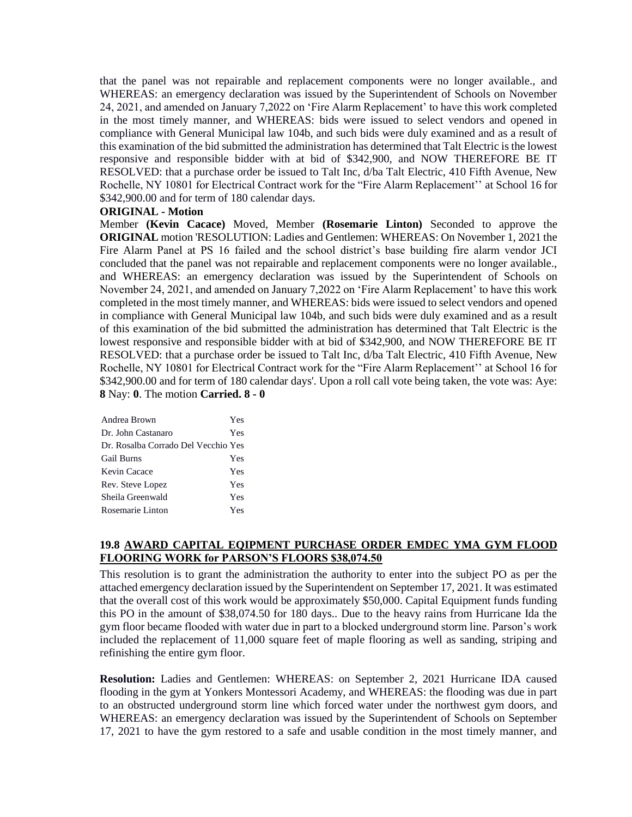that the panel was not repairable and replacement components were no longer available., and WHEREAS: an emergency declaration was issued by the Superintendent of Schools on November 24, 2021, and amended on January 7,2022 on 'Fire Alarm Replacement' to have this work completed in the most timely manner, and WHEREAS: bids were issued to select vendors and opened in compliance with General Municipal law 104b, and such bids were duly examined and as a result of this examination of the bid submitted the administration has determined that Talt Electric is the lowest responsive and responsible bidder with at bid of \$342,900, and NOW THEREFORE BE IT RESOLVED: that a purchase order be issued to Talt Inc, d/ba Talt Electric, 410 Fifth Avenue, New Rochelle, NY 10801 for Electrical Contract work for the "Fire Alarm Replacement'' at School 16 for \$342,900.00 and for term of 180 calendar days.

### **ORIGINAL - Motion**

Member **(Kevin Cacace)** Moved, Member **(Rosemarie Linton)** Seconded to approve the **ORIGINAL** motion 'RESOLUTION: Ladies and Gentlemen: WHEREAS: On November 1, 2021 the Fire Alarm Panel at PS 16 failed and the school district's base building fire alarm vendor JCI concluded that the panel was not repairable and replacement components were no longer available., and WHEREAS: an emergency declaration was issued by the Superintendent of Schools on November 24, 2021, and amended on January 7,2022 on 'Fire Alarm Replacement' to have this work completed in the most timely manner, and WHEREAS: bids were issued to select vendors and opened in compliance with General Municipal law 104b, and such bids were duly examined and as a result of this examination of the bid submitted the administration has determined that Talt Electric is the lowest responsive and responsible bidder with at bid of \$342,900, and NOW THEREFORE BE IT RESOLVED: that a purchase order be issued to Talt Inc, d/ba Talt Electric, 410 Fifth Avenue, New Rochelle, NY 10801 for Electrical Contract work for the "Fire Alarm Replacement'' at School 16 for \$342,900.00 and for term of 180 calendar days'. Upon a roll call vote being taken, the vote was: Aye: **8** Nay: **0**. The motion **Carried. 8 - 0** 

| Yes                                 |
|-------------------------------------|
| Yes                                 |
| Dr. Rosalba Corrado Del Vecchio Yes |
| Yes                                 |
| Yes                                 |
| Yes                                 |
| Yes                                 |
| Yes                                 |
|                                     |

### **19.8 AWARD CAPITAL EQIPMENT PURCHASE ORDER EMDEC YMA GYM FLOOD FLOORING WORK for PARSON'S FLOORS \$38,074.50**

This resolution is to grant the administration the authority to enter into the subject PO as per the attached emergency declaration issued by the Superintendent on September 17, 2021. It was estimated that the overall cost of this work would be approximately \$50,000. Capital Equipment funds funding this PO in the amount of \$38,074.50 for 180 days.. Due to the heavy rains from Hurricane Ida the gym floor became flooded with water due in part to a blocked underground storm line. Parson's work included the replacement of 11,000 square feet of maple flooring as well as sanding, striping and refinishing the entire gym floor.

**Resolution:** Ladies and Gentlemen: WHEREAS: on September 2, 2021 Hurricane IDA caused flooding in the gym at Yonkers Montessori Academy, and WHEREAS: the flooding was due in part to an obstructed underground storm line which forced water under the northwest gym doors, and WHEREAS: an emergency declaration was issued by the Superintendent of Schools on September 17, 2021 to have the gym restored to a safe and usable condition in the most timely manner, and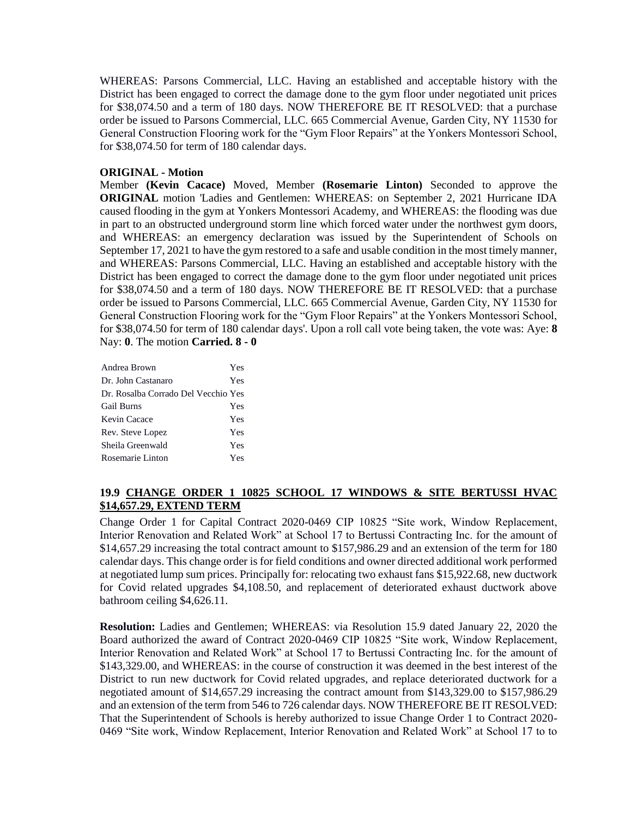WHEREAS: Parsons Commercial, LLC. Having an established and acceptable history with the District has been engaged to correct the damage done to the gym floor under negotiated unit prices for \$38,074.50 and a term of 180 days. NOW THEREFORE BE IT RESOLVED: that a purchase order be issued to Parsons Commercial, LLC. 665 Commercial Avenue, Garden City, NY 11530 for General Construction Flooring work for the "Gym Floor Repairs" at the Yonkers Montessori School, for \$38,074.50 for term of 180 calendar days.

### **ORIGINAL - Motion**

Member **(Kevin Cacace)** Moved, Member **(Rosemarie Linton)** Seconded to approve the **ORIGINAL** motion 'Ladies and Gentlemen: WHEREAS: on September 2, 2021 Hurricane IDA caused flooding in the gym at Yonkers Montessori Academy, and WHEREAS: the flooding was due in part to an obstructed underground storm line which forced water under the northwest gym doors, and WHEREAS: an emergency declaration was issued by the Superintendent of Schools on September 17, 2021 to have the gym restored to a safe and usable condition in the most timely manner, and WHEREAS: Parsons Commercial, LLC. Having an established and acceptable history with the District has been engaged to correct the damage done to the gym floor under negotiated unit prices for \$38,074.50 and a term of 180 days. NOW THEREFORE BE IT RESOLVED: that a purchase order be issued to Parsons Commercial, LLC. 665 Commercial Avenue, Garden City, NY 11530 for General Construction Flooring work for the "Gym Floor Repairs" at the Yonkers Montessori School, for \$38,074.50 for term of 180 calendar days'. Upon a roll call vote being taken, the vote was: Aye: **8** Nay: **0**. The motion **Carried. 8 - 0** 

| Andrea Brown                        | Yes |
|-------------------------------------|-----|
| Dr. John Castanaro                  | Yes |
| Dr. Rosalba Corrado Del Vecchio Yes |     |
| <b>Gail Burns</b>                   | Yes |
| Kevin Cacace                        | Yes |
| Rev. Steve Lopez                    | Yes |
| Sheila Greenwald                    | Yes |
| Rosemarie Linton                    | Yes |

### **19.9 CHANGE ORDER 1 10825 SCHOOL 17 WINDOWS & SITE BERTUSSI HVAC \$14,657.29, EXTEND TERM**

Change Order 1 for Capital Contract 2020-0469 CIP 10825 "Site work, Window Replacement, Interior Renovation and Related Work" at School 17 to Bertussi Contracting Inc. for the amount of \$14,657.29 increasing the total contract amount to \$157,986.29 and an extension of the term for 180 calendar days. This change order is for field conditions and owner directed additional work performed at negotiated lump sum prices. Principally for: relocating two exhaust fans \$15,922.68, new ductwork for Covid related upgrades \$4,108.50, and replacement of deteriorated exhaust ductwork above bathroom ceiling \$4,626.11.

**Resolution:** Ladies and Gentlemen; WHEREAS: via Resolution 15.9 dated January 22, 2020 the Board authorized the award of Contract 2020-0469 CIP 10825 "Site work, Window Replacement, Interior Renovation and Related Work" at School 17 to Bertussi Contracting Inc. for the amount of \$143,329.00, and WHEREAS: in the course of construction it was deemed in the best interest of the District to run new ductwork for Covid related upgrades, and replace deteriorated ductwork for a negotiated amount of \$14,657.29 increasing the contract amount from \$143,329.00 to \$157,986.29 and an extension of the term from 546 to 726 calendar days. NOW THEREFORE BE IT RESOLVED: That the Superintendent of Schools is hereby authorized to issue Change Order 1 to Contract 2020- 0469 "Site work, Window Replacement, Interior Renovation and Related Work" at School 17 to to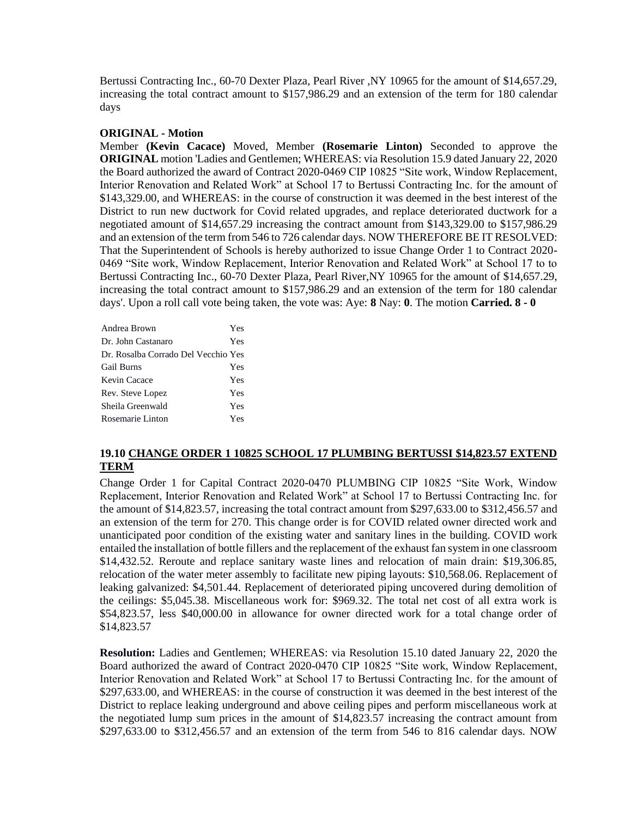Bertussi Contracting Inc., 60-70 Dexter Plaza, Pearl River ,NY 10965 for the amount of \$14,657.29, increasing the total contract amount to \$157,986.29 and an extension of the term for 180 calendar days

### **ORIGINAL - Motion**

Member **(Kevin Cacace)** Moved, Member **(Rosemarie Linton)** Seconded to approve the **ORIGINAL** motion 'Ladies and Gentlemen; WHEREAS: via Resolution 15.9 dated January 22, 2020 the Board authorized the award of Contract 2020-0469 CIP 10825 "Site work, Window Replacement, Interior Renovation and Related Work" at School 17 to Bertussi Contracting Inc. for the amount of \$143,329.00, and WHEREAS: in the course of construction it was deemed in the best interest of the District to run new ductwork for Covid related upgrades, and replace deteriorated ductwork for a negotiated amount of \$14,657.29 increasing the contract amount from \$143,329.00 to \$157,986.29 and an extension of the term from 546 to 726 calendar days. NOW THEREFORE BE IT RESOLVED: That the Superintendent of Schools is hereby authorized to issue Change Order 1 to Contract 2020- 0469 "Site work, Window Replacement, Interior Renovation and Related Work" at School 17 to to Bertussi Contracting Inc., 60-70 Dexter Plaza, Pearl River,NY 10965 for the amount of \$14,657.29, increasing the total contract amount to \$157,986.29 and an extension of the term for 180 calendar days'. Upon a roll call vote being taken, the vote was: Aye: **8** Nay: **0**. The motion **Carried. 8 - 0** 

| Andrea Brown                        | Yes |
|-------------------------------------|-----|
| Dr. John Castanaro                  | Yes |
| Dr. Rosalba Corrado Del Vecchio Yes |     |
| <b>Gail Burns</b>                   | Yes |
| Kevin Cacace                        | Yes |
| Rev. Steve Lopez                    | Yes |
| Sheila Greenwald                    | Yes |
| Rosemarie Linton                    | Yes |

### **19.10 CHANGE ORDER 1 10825 SCHOOL 17 PLUMBING BERTUSSI \$14,823.57 EXTEND TERM**

Change Order 1 for Capital Contract 2020-0470 PLUMBING CIP 10825 "Site Work, Window Replacement, Interior Renovation and Related Work" at School 17 to Bertussi Contracting Inc. for the amount of \$14,823.57, increasing the total contract amount from \$297,633.00 to \$312,456.57 and an extension of the term for 270. This change order is for COVID related owner directed work and unanticipated poor condition of the existing water and sanitary lines in the building. COVID work entailed the installation of bottle fillers and the replacement of the exhaust fan system in one classroom \$14,432.52. Reroute and replace sanitary waste lines and relocation of main drain: \$19,306.85, relocation of the water meter assembly to facilitate new piping layouts: \$10,568.06. Replacement of leaking galvanized: \$4,501.44. Replacement of deteriorated piping uncovered during demolition of the ceilings: \$5,045.38. Miscellaneous work for: \$969.32. The total net cost of all extra work is \$54,823.57, less \$40,000.00 in allowance for owner directed work for a total change order of \$14,823.57

**Resolution:** Ladies and Gentlemen; WHEREAS: via Resolution 15.10 dated January 22, 2020 the Board authorized the award of Contract 2020-0470 CIP 10825 "Site work, Window Replacement, Interior Renovation and Related Work" at School 17 to Bertussi Contracting Inc. for the amount of \$297,633.00, and WHEREAS: in the course of construction it was deemed in the best interest of the District to replace leaking underground and above ceiling pipes and perform miscellaneous work at the negotiated lump sum prices in the amount of \$14,823.57 increasing the contract amount from \$297,633.00 to \$312,456.57 and an extension of the term from 546 to 816 calendar days. NOW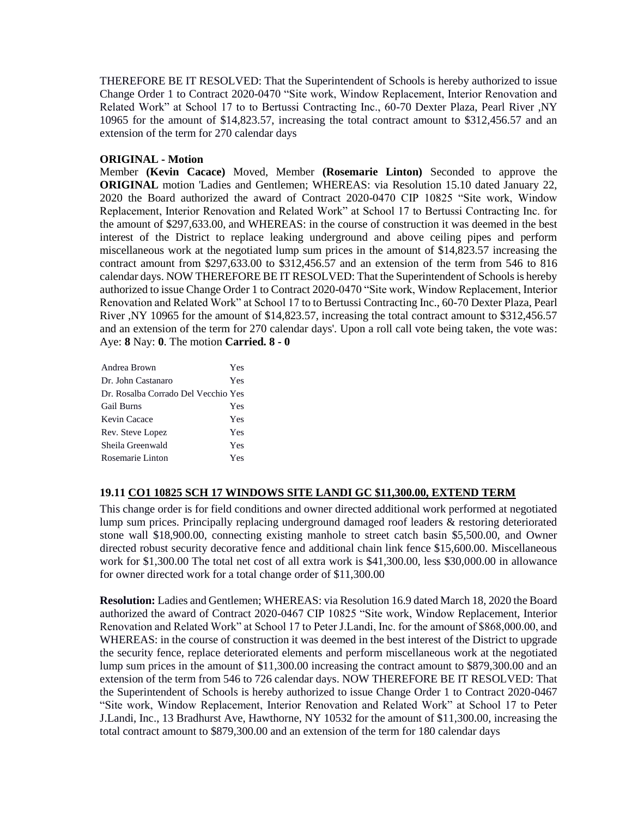THEREFORE BE IT RESOLVED: That the Superintendent of Schools is hereby authorized to issue Change Order 1 to Contract 2020-0470 "Site work, Window Replacement, Interior Renovation and Related Work" at School 17 to to Bertussi Contracting Inc., 60-70 Dexter Plaza, Pearl River ,NY 10965 for the amount of \$14,823.57, increasing the total contract amount to \$312,456.57 and an extension of the term for 270 calendar days

### **ORIGINAL - Motion**

Member **(Kevin Cacace)** Moved, Member **(Rosemarie Linton)** Seconded to approve the **ORIGINAL** motion 'Ladies and Gentlemen; WHEREAS: via Resolution 15.10 dated January 22, 2020 the Board authorized the award of Contract 2020-0470 CIP 10825 "Site work, Window Replacement, Interior Renovation and Related Work" at School 17 to Bertussi Contracting Inc. for the amount of \$297,633.00, and WHEREAS: in the course of construction it was deemed in the best interest of the District to replace leaking underground and above ceiling pipes and perform miscellaneous work at the negotiated lump sum prices in the amount of \$14,823.57 increasing the contract amount from \$297,633.00 to \$312,456.57 and an extension of the term from 546 to 816 calendar days. NOW THEREFORE BE IT RESOLVED: That the Superintendent of Schools is hereby authorized to issue Change Order 1 to Contract 2020-0470 "Site work, Window Replacement, Interior Renovation and Related Work" at School 17 to to Bertussi Contracting Inc., 60-70 Dexter Plaza, Pearl River ,NY 10965 for the amount of \$14,823.57, increasing the total contract amount to \$312,456.57 and an extension of the term for 270 calendar days'. Upon a roll call vote being taken, the vote was: Aye: **8** Nay: **0**. The motion **Carried. 8 - 0** 

| Andrea Brown                        | Yes |
|-------------------------------------|-----|
| Dr. John Castanaro                  | Yes |
| Dr. Rosalba Corrado Del Vecchio Yes |     |
| <b>Gail Burns</b>                   | Yes |
| Kevin Cacace                        | Yes |
| Rev. Steve Lopez                    | Yes |
| Sheila Greenwald                    | Yes |
| Rosemarie Linton                    | Yes |

### **19.11 CO1 10825 SCH 17 WINDOWS SITE LANDI GC \$11,300.00, EXTEND TERM**

This change order is for field conditions and owner directed additional work performed at negotiated lump sum prices. Principally replacing underground damaged roof leaders & restoring deteriorated stone wall \$18,900.00, connecting existing manhole to street catch basin \$5,500.00, and Owner directed robust security decorative fence and additional chain link fence \$15,600.00. Miscellaneous work for \$1,300.00 The total net cost of all extra work is \$41,300.00, less \$30,000.00 in allowance for owner directed work for a total change order of \$11,300.00

**Resolution:** Ladies and Gentlemen; WHEREAS: via Resolution 16.9 dated March 18, 2020 the Board authorized the award of Contract 2020-0467 CIP 10825 "Site work, Window Replacement, Interior Renovation and Related Work" at School 17 to Peter J.Landi, Inc. for the amount of \$868,000.00, and WHEREAS: in the course of construction it was deemed in the best interest of the District to upgrade the security fence, replace deteriorated elements and perform miscellaneous work at the negotiated lump sum prices in the amount of \$11,300.00 increasing the contract amount to \$879,300.00 and an extension of the term from 546 to 726 calendar days. NOW THEREFORE BE IT RESOLVED: That the Superintendent of Schools is hereby authorized to issue Change Order 1 to Contract 2020-0467 "Site work, Window Replacement, Interior Renovation and Related Work" at School 17 to Peter J.Landi, Inc., 13 Bradhurst Ave, Hawthorne, NY 10532 for the amount of \$11,300.00, increasing the total contract amount to \$879,300.00 and an extension of the term for 180 calendar days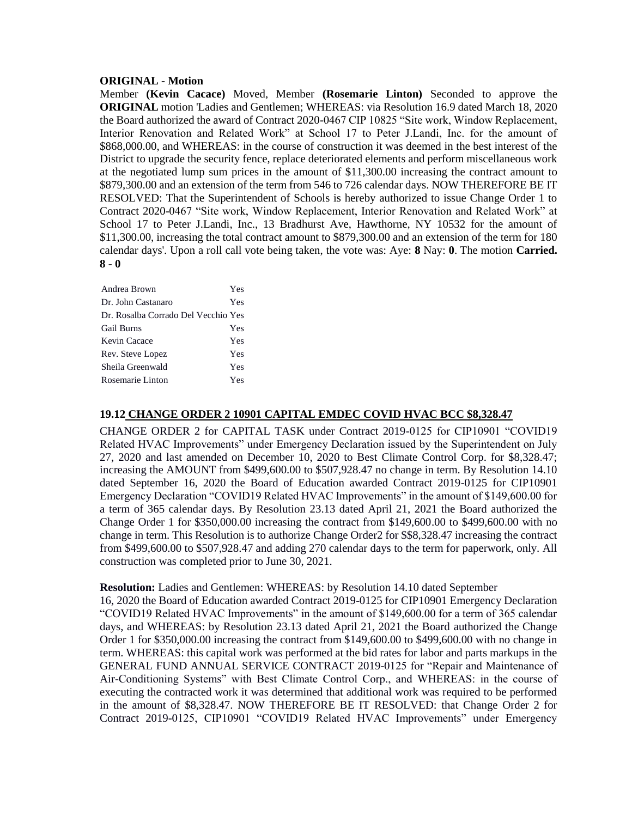#### **ORIGINAL - Motion**

Member **(Kevin Cacace)** Moved, Member **(Rosemarie Linton)** Seconded to approve the **ORIGINAL** motion 'Ladies and Gentlemen; WHEREAS: via Resolution 16.9 dated March 18, 2020 the Board authorized the award of Contract 2020-0467 CIP 10825 "Site work, Window Replacement, Interior Renovation and Related Work" at School 17 to Peter J.Landi, Inc. for the amount of \$868,000.00, and WHEREAS: in the course of construction it was deemed in the best interest of the District to upgrade the security fence, replace deteriorated elements and perform miscellaneous work at the negotiated lump sum prices in the amount of \$11,300.00 increasing the contract amount to \$879,300.00 and an extension of the term from 546 to 726 calendar days. NOW THEREFORE BE IT RESOLVED: That the Superintendent of Schools is hereby authorized to issue Change Order 1 to Contract 2020-0467 "Site work, Window Replacement, Interior Renovation and Related Work" at School 17 to Peter J.Landi, Inc., 13 Bradhurst Ave, Hawthorne, NY 10532 for the amount of \$11,300.00, increasing the total contract amount to \$879,300.00 and an extension of the term for 180 calendar days'. Upon a roll call vote being taken, the vote was: Aye: **8** Nay: **0**. The motion **Carried. 8 - 0** 

| Andrea Brown                        | Yes |
|-------------------------------------|-----|
| Dr. John Castanaro                  | Yes |
| Dr. Rosalba Corrado Del Vecchio Yes |     |
| Gail Burns                          | Yes |
| Kevin Cacace                        | Yes |
| Rev. Steve Lopez                    | Yes |
| Sheila Greenwald                    | Yes |
| Rosemarie Linton                    | Yes |

### **19.12 CHANGE ORDER 2 10901 CAPITAL EMDEC COVID HVAC BCC \$8,328.47**

CHANGE ORDER 2 for CAPITAL TASK under Contract 2019-0125 for CIP10901 "COVID19 Related HVAC Improvements" under Emergency Declaration issued by the Superintendent on July 27, 2020 and last amended on December 10, 2020 to Best Climate Control Corp. for \$8,328.47; increasing the AMOUNT from \$499,600.00 to \$507,928.47 no change in term. By Resolution 14.10 dated September 16, 2020 the Board of Education awarded Contract 2019-0125 for CIP10901 Emergency Declaration "COVID19 Related HVAC Improvements" in the amount of \$149,600.00 for a term of 365 calendar days. By Resolution 23.13 dated April 21, 2021 the Board authorized the Change Order 1 for \$350,000.00 increasing the contract from \$149,600.00 to \$499,600.00 with no change in term. This Resolution is to authorize Change Order2 for \$\$8,328.47 increasing the contract from \$499,600.00 to \$507,928.47 and adding 270 calendar days to the term for paperwork, only. All construction was completed prior to June 30, 2021.

#### **Resolution:** Ladies and Gentlemen: WHEREAS: by Resolution 14.10 dated September

16, 2020 the Board of Education awarded Contract 2019-0125 for CIP10901 Emergency Declaration "COVID19 Related HVAC Improvements" in the amount of \$149,600.00 for a term of 365 calendar days, and WHEREAS: by Resolution 23.13 dated April 21, 2021 the Board authorized the Change Order 1 for \$350,000.00 increasing the contract from \$149,600.00 to \$499,600.00 with no change in term. WHEREAS: this capital work was performed at the bid rates for labor and parts markups in the GENERAL FUND ANNUAL SERVICE CONTRACT 2019-0125 for "Repair and Maintenance of Air-Conditioning Systems" with Best Climate Control Corp., and WHEREAS: in the course of executing the contracted work it was determined that additional work was required to be performed in the amount of \$8,328.47. NOW THEREFORE BE IT RESOLVED: that Change Order 2 for Contract 2019-0125, CIP10901 "COVID19 Related HVAC Improvements" under Emergency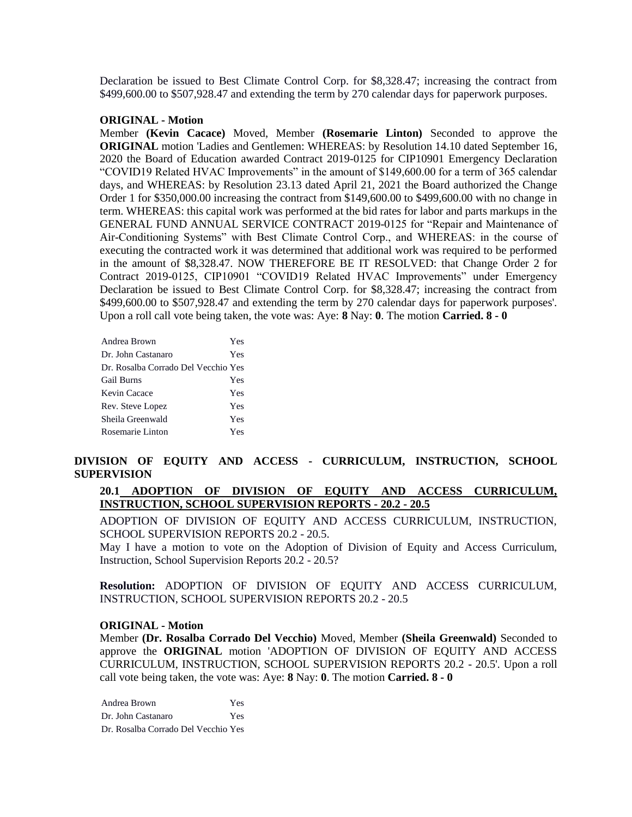Declaration be issued to Best Climate Control Corp. for \$8,328.47; increasing the contract from \$499,600.00 to \$507,928.47 and extending the term by 270 calendar days for paperwork purposes.

#### **ORIGINAL - Motion**

Member **(Kevin Cacace)** Moved, Member **(Rosemarie Linton)** Seconded to approve the **ORIGINAL** motion 'Ladies and Gentlemen: WHEREAS: by Resolution 14.10 dated September 16, 2020 the Board of Education awarded Contract 2019-0125 for CIP10901 Emergency Declaration "COVID19 Related HVAC Improvements" in the amount of \$149,600.00 for a term of 365 calendar days, and WHEREAS: by Resolution 23.13 dated April 21, 2021 the Board authorized the Change Order 1 for \$350,000.00 increasing the contract from \$149,600.00 to \$499,600.00 with no change in term. WHEREAS: this capital work was performed at the bid rates for labor and parts markups in the GENERAL FUND ANNUAL SERVICE CONTRACT 2019-0125 for "Repair and Maintenance of Air-Conditioning Systems" with Best Climate Control Corp., and WHEREAS: in the course of executing the contracted work it was determined that additional work was required to be performed in the amount of \$8,328.47. NOW THEREFORE BE IT RESOLVED: that Change Order 2 for Contract 2019-0125, CIP10901 "COVID19 Related HVAC Improvements" under Emergency Declaration be issued to Best Climate Control Corp. for \$8,328.47; increasing the contract from \$499,600.00 to \$507,928.47 and extending the term by 270 calendar days for paperwork purposes'. Upon a roll call vote being taken, the vote was: Aye: **8** Nay: **0**. The motion **Carried. 8 - 0** 

| Andrea Brown                        | Yes |
|-------------------------------------|-----|
| Dr. John Castanaro                  | Yes |
| Dr. Rosalba Corrado Del Vecchio Yes |     |
| <b>Gail Burns</b>                   | Yes |
| Kevin Cacace                        | Yes |
| Rev. Steve Lopez                    | Yes |
| Sheila Greenwald                    | Yes |
| Rosemarie Linton                    | Yes |

### **DIVISION OF EQUITY AND ACCESS - CURRICULUM, INSTRUCTION, SCHOOL SUPERVISION**

### **20.1 ADOPTION OF DIVISION OF EQUITY AND ACCESS CURRICULUM, INSTRUCTION, SCHOOL SUPERVISION REPORTS - 20.2 - 20.5**

ADOPTION OF DIVISION OF EQUITY AND ACCESS CURRICULUM, INSTRUCTION, SCHOOL SUPERVISION REPORTS 20.2 - 20.5.

May I have a motion to vote on the Adoption of Division of Equity and Access Curriculum, Instruction, School Supervision Reports 20.2 - 20.5?

**Resolution:** ADOPTION OF DIVISION OF EQUITY AND ACCESS CURRICULUM, INSTRUCTION, SCHOOL SUPERVISION REPORTS 20.2 - 20.5

#### **ORIGINAL - Motion**

Member **(Dr. Rosalba Corrado Del Vecchio)** Moved, Member **(Sheila Greenwald)** Seconded to approve the **ORIGINAL** motion 'ADOPTION OF DIVISION OF EQUITY AND ACCESS CURRICULUM, INSTRUCTION, SCHOOL SUPERVISION REPORTS 20.2 - 20.5'. Upon a roll call vote being taken, the vote was: Aye: **8** Nay: **0**. The motion **Carried. 8 - 0** 

Andrea Brown Yes Dr. John Castanaro Yes Dr. Rosalba Corrado Del Vecchio Yes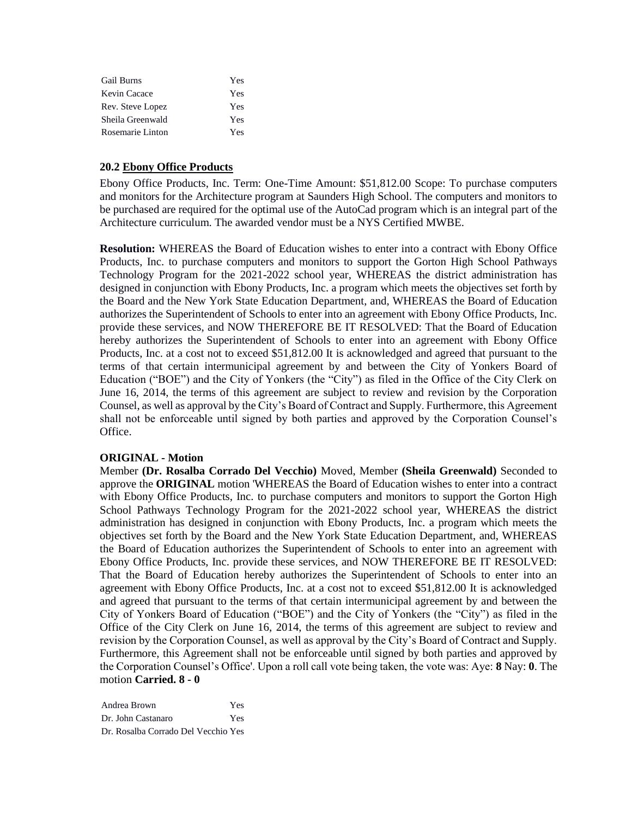| <b>Gail Burns</b> | Yes |
|-------------------|-----|
| Kevin Cacace      | Yes |
| Rev. Steve Lopez  | Yes |
| Sheila Greenwald  | Yes |
| Rosemarie Linton  | Yes |

### **20.2 Ebony Office Products**

Ebony Office Products, Inc. Term: One-Time Amount: \$51,812.00 Scope: To purchase computers and monitors for the Architecture program at Saunders High School. The computers and monitors to be purchased are required for the optimal use of the AutoCad program which is an integral part of the Architecture curriculum. The awarded vendor must be a NYS Certified MWBE.

**Resolution:** WHEREAS the Board of Education wishes to enter into a contract with Ebony Office Products, Inc. to purchase computers and monitors to support the Gorton High School Pathways Technology Program for the 2021-2022 school year, WHEREAS the district administration has designed in conjunction with Ebony Products, Inc. a program which meets the objectives set forth by the Board and the New York State Education Department, and, WHEREAS the Board of Education authorizes the Superintendent of Schools to enter into an agreement with Ebony Office Products, Inc. provide these services, and NOW THEREFORE BE IT RESOLVED: That the Board of Education hereby authorizes the Superintendent of Schools to enter into an agreement with Ebony Office Products, Inc. at a cost not to exceed \$51,812.00 It is acknowledged and agreed that pursuant to the terms of that certain intermunicipal agreement by and between the City of Yonkers Board of Education ("BOE") and the City of Yonkers (the "City") as filed in the Office of the City Clerk on June 16, 2014, the terms of this agreement are subject to review and revision by the Corporation Counsel, as well as approval by the City's Board of Contract and Supply. Furthermore, this Agreement shall not be enforceable until signed by both parties and approved by the Corporation Counsel's Office.

### **ORIGINAL - Motion**

Member **(Dr. Rosalba Corrado Del Vecchio)** Moved, Member **(Sheila Greenwald)** Seconded to approve the **ORIGINAL** motion 'WHEREAS the Board of Education wishes to enter into a contract with Ebony Office Products, Inc. to purchase computers and monitors to support the Gorton High School Pathways Technology Program for the 2021-2022 school year, WHEREAS the district administration has designed in conjunction with Ebony Products, Inc. a program which meets the objectives set forth by the Board and the New York State Education Department, and, WHEREAS the Board of Education authorizes the Superintendent of Schools to enter into an agreement with Ebony Office Products, Inc. provide these services, and NOW THEREFORE BE IT RESOLVED: That the Board of Education hereby authorizes the Superintendent of Schools to enter into an agreement with Ebony Office Products, Inc. at a cost not to exceed \$51,812.00 It is acknowledged and agreed that pursuant to the terms of that certain intermunicipal agreement by and between the City of Yonkers Board of Education ("BOE") and the City of Yonkers (the "City") as filed in the Office of the City Clerk on June 16, 2014, the terms of this agreement are subject to review and revision by the Corporation Counsel, as well as approval by the City's Board of Contract and Supply. Furthermore, this Agreement shall not be enforceable until signed by both parties and approved by the Corporation Counsel's Office'. Upon a roll call vote being taken, the vote was: Aye: **8** Nay: **0**. The motion **Carried. 8 - 0** 

Andrea Brown Yes Dr. John Castanaro Yes Dr. Rosalba Corrado Del Vecchio Yes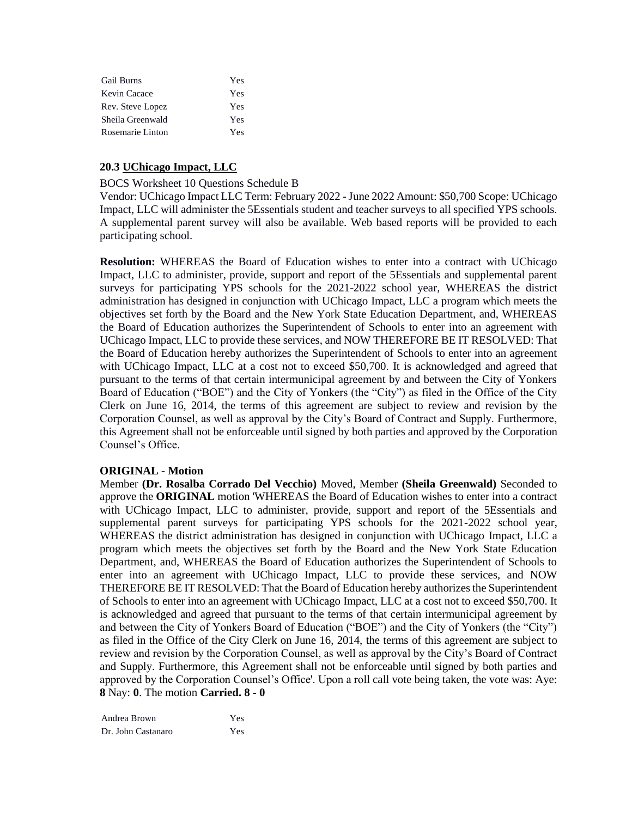| <b>Gail Burns</b> | Yes |
|-------------------|-----|
| Kevin Cacace      | Yes |
| Rev. Steve Lopez  | Yes |
| Sheila Greenwald  | Yes |
| Rosemarie Linton  | Yes |

### **20.3 UChicago Impact, LLC**

#### BOCS Worksheet 10 Questions Schedule B

Vendor: UChicago Impact LLC Term: February 2022 -June 2022 Amount: \$50,700 Scope: UChicago Impact, LLC will administer the 5Essentials student and teacher surveys to all specified YPS schools. A supplemental parent survey will also be available. Web based reports will be provided to each participating school.

**Resolution:** WHEREAS the Board of Education wishes to enter into a contract with UChicago Impact, LLC to administer, provide, support and report of the 5Essentials and supplemental parent surveys for participating YPS schools for the 2021-2022 school year, WHEREAS the district administration has designed in conjunction with UChicago Impact, LLC a program which meets the objectives set forth by the Board and the New York State Education Department, and, WHEREAS the Board of Education authorizes the Superintendent of Schools to enter into an agreement with UChicago Impact, LLC to provide these services, and NOW THEREFORE BE IT RESOLVED: That the Board of Education hereby authorizes the Superintendent of Schools to enter into an agreement with UChicago Impact, LLC at a cost not to exceed \$50,700. It is acknowledged and agreed that pursuant to the terms of that certain intermunicipal agreement by and between the City of Yonkers Board of Education ("BOE") and the City of Yonkers (the "City") as filed in the Office of the City Clerk on June 16, 2014, the terms of this agreement are subject to review and revision by the Corporation Counsel, as well as approval by the City's Board of Contract and Supply. Furthermore, this Agreement shall not be enforceable until signed by both parties and approved by the Corporation Counsel's Office.

### **ORIGINAL - Motion**

Member **(Dr. Rosalba Corrado Del Vecchio)** Moved, Member **(Sheila Greenwald)** Seconded to approve the **ORIGINAL** motion 'WHEREAS the Board of Education wishes to enter into a contract with UChicago Impact, LLC to administer, provide, support and report of the 5Essentials and supplemental parent surveys for participating YPS schools for the 2021-2022 school year, WHEREAS the district administration has designed in conjunction with UChicago Impact, LLC a program which meets the objectives set forth by the Board and the New York State Education Department, and, WHEREAS the Board of Education authorizes the Superintendent of Schools to enter into an agreement with UChicago Impact, LLC to provide these services, and NOW THEREFORE BE IT RESOLVED: That the Board of Education hereby authorizes the Superintendent of Schools to enter into an agreement with UChicago Impact, LLC at a cost not to exceed \$50,700. It is acknowledged and agreed that pursuant to the terms of that certain intermunicipal agreement by and between the City of Yonkers Board of Education ("BOE") and the City of Yonkers (the "City") as filed in the Office of the City Clerk on June 16, 2014, the terms of this agreement are subject to review and revision by the Corporation Counsel, as well as approval by the City's Board of Contract and Supply. Furthermore, this Agreement shall not be enforceable until signed by both parties and approved by the Corporation Counsel's Office'. Upon a roll call vote being taken, the vote was: Aye: **8** Nay: **0**. The motion **Carried. 8 - 0** 

Andrea Brown Yes Dr. John Castanaro Yes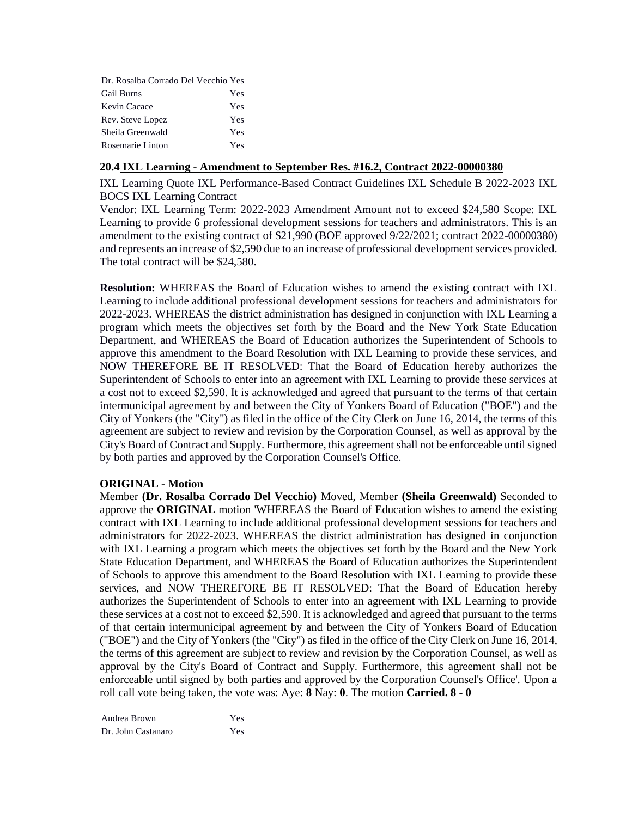| Dr. Rosalba Corrado Del Vecchio Yes |     |
|-------------------------------------|-----|
| <b>Gail Burns</b>                   | Yes |
| Kevin Cacace                        | Yes |
| Rev. Steve Lopez                    | Yes |
| Sheila Greenwald                    | Yes |
| Rosemarie Linton                    | Yes |

### **20.4 IXL Learning - Amendment to September Res. #16.2, Contract 2022-00000380**

IXL Learning Quote IXL Performance-Based Contract Guidelines IXL Schedule B 2022-2023 IXL BOCS IXL Learning Contract

Vendor: IXL Learning Term: 2022-2023 Amendment Amount not to exceed \$24,580 Scope: IXL Learning to provide 6 professional development sessions for teachers and administrators. This is an amendment to the existing contract of \$21,990 (BOE approved 9/22/2021; contract 2022-00000380) and represents an increase of \$2,590 due to an increase of professional development services provided. The total contract will be \$24,580.

**Resolution:** WHEREAS the Board of Education wishes to amend the existing contract with IXL Learning to include additional professional development sessions for teachers and administrators for 2022-2023. WHEREAS the district administration has designed in conjunction with IXL Learning a program which meets the objectives set forth by the Board and the New York State Education Department, and WHEREAS the Board of Education authorizes the Superintendent of Schools to approve this amendment to the Board Resolution with IXL Learning to provide these services, and NOW THEREFORE BE IT RESOLVED: That the Board of Education hereby authorizes the Superintendent of Schools to enter into an agreement with IXL Learning to provide these services at a cost not to exceed \$2,590. It is acknowledged and agreed that pursuant to the terms of that certain intermunicipal agreement by and between the City of Yonkers Board of Education ("BOE") and the City of Yonkers (the "City") as filed in the office of the City Clerk on June 16, 2014, the terms of this agreement are subject to review and revision by the Corporation Counsel, as well as approval by the City's Board of Contract and Supply. Furthermore, this agreement shall not be enforceable until signed by both parties and approved by the Corporation Counsel's Office.

### **ORIGINAL - Motion**

Member **(Dr. Rosalba Corrado Del Vecchio)** Moved, Member **(Sheila Greenwald)** Seconded to approve the **ORIGINAL** motion 'WHEREAS the Board of Education wishes to amend the existing contract with IXL Learning to include additional professional development sessions for teachers and administrators for 2022-2023. WHEREAS the district administration has designed in conjunction with IXL Learning a program which meets the objectives set forth by the Board and the New York State Education Department, and WHEREAS the Board of Education authorizes the Superintendent of Schools to approve this amendment to the Board Resolution with IXL Learning to provide these services, and NOW THEREFORE BE IT RESOLVED: That the Board of Education hereby authorizes the Superintendent of Schools to enter into an agreement with IXL Learning to provide these services at a cost not to exceed \$2,590. It is acknowledged and agreed that pursuant to the terms of that certain intermunicipal agreement by and between the City of Yonkers Board of Education ("BOE") and the City of Yonkers (the "City") as filed in the office of the City Clerk on June 16, 2014, the terms of this agreement are subject to review and revision by the Corporation Counsel, as well as approval by the City's Board of Contract and Supply. Furthermore, this agreement shall not be enforceable until signed by both parties and approved by the Corporation Counsel's Office'. Upon a roll call vote being taken, the vote was: Aye: **8** Nay: **0**. The motion **Carried. 8 - 0** 

Andrea Brown Yes Dr. John Castanaro Yes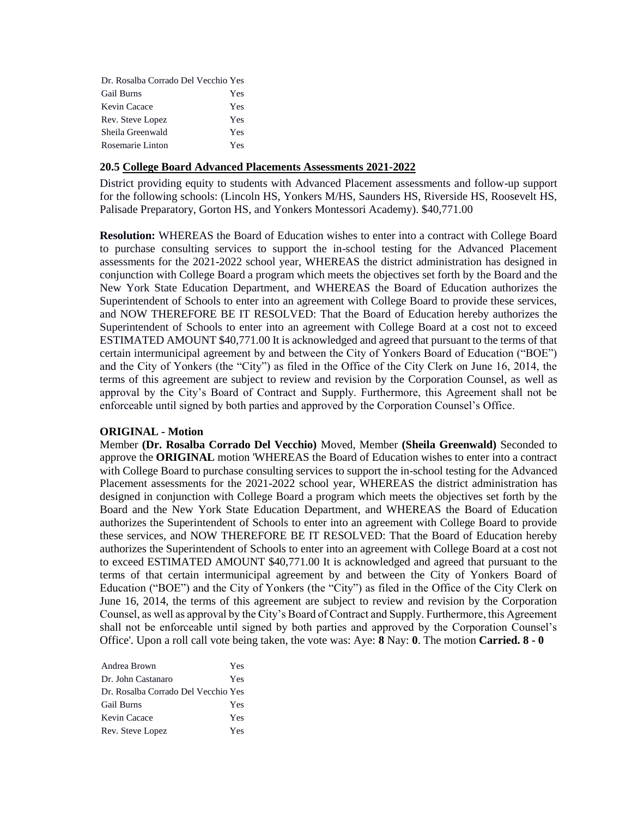| Dr. Rosalba Corrado Del Vecchio Yes |     |
|-------------------------------------|-----|
| <b>Gail Burns</b>                   | Yes |
| Kevin Cacace                        | Yes |
| Rev. Steve Lopez                    | Yes |
| Sheila Greenwald                    | Yes |
| Rosemarie Linton                    | Yes |

### **20.5 College Board Advanced Placements Assessments 2021-2022**

District providing equity to students with Advanced Placement assessments and follow-up support for the following schools: (Lincoln HS, Yonkers M/HS, Saunders HS, Riverside HS, Roosevelt HS, Palisade Preparatory, Gorton HS, and Yonkers Montessori Academy). \$40,771.00

**Resolution:** WHEREAS the Board of Education wishes to enter into a contract with College Board to purchase consulting services to support the in-school testing for the Advanced Placement assessments for the 2021-2022 school year, WHEREAS the district administration has designed in conjunction with College Board a program which meets the objectives set forth by the Board and the New York State Education Department, and WHEREAS the Board of Education authorizes the Superintendent of Schools to enter into an agreement with College Board to provide these services, and NOW THEREFORE BE IT RESOLVED: That the Board of Education hereby authorizes the Superintendent of Schools to enter into an agreement with College Board at a cost not to exceed ESTIMATED AMOUNT \$40,771.00 It is acknowledged and agreed that pursuant to the terms of that certain intermunicipal agreement by and between the City of Yonkers Board of Education ("BOE") and the City of Yonkers (the "City") as filed in the Office of the City Clerk on June 16, 2014, the terms of this agreement are subject to review and revision by the Corporation Counsel, as well as approval by the City's Board of Contract and Supply. Furthermore, this Agreement shall not be enforceable until signed by both parties and approved by the Corporation Counsel's Office.

#### **ORIGINAL - Motion**

Member **(Dr. Rosalba Corrado Del Vecchio)** Moved, Member **(Sheila Greenwald)** Seconded to approve the **ORIGINAL** motion 'WHEREAS the Board of Education wishes to enter into a contract with College Board to purchase consulting services to support the in-school testing for the Advanced Placement assessments for the 2021-2022 school year, WHEREAS the district administration has designed in conjunction with College Board a program which meets the objectives set forth by the Board and the New York State Education Department, and WHEREAS the Board of Education authorizes the Superintendent of Schools to enter into an agreement with College Board to provide these services, and NOW THEREFORE BE IT RESOLVED: That the Board of Education hereby authorizes the Superintendent of Schools to enter into an agreement with College Board at a cost not to exceed ESTIMATED AMOUNT \$40,771.00 It is acknowledged and agreed that pursuant to the terms of that certain intermunicipal agreement by and between the City of Yonkers Board of Education ("BOE") and the City of Yonkers (the "City") as filed in the Office of the City Clerk on June 16, 2014, the terms of this agreement are subject to review and revision by the Corporation Counsel, as well as approval by the City's Board of Contract and Supply. Furthermore, this Agreement shall not be enforceable until signed by both parties and approved by the Corporation Counsel's Office'. Upon a roll call vote being taken, the vote was: Aye: **8** Nay: **0**. The motion **Carried. 8 - 0** 

| Andrea Brown                        | Yes |
|-------------------------------------|-----|
| Dr. John Castanaro                  | Yes |
| Dr. Rosalba Corrado Del Vecchio Yes |     |
| <b>Gail Burns</b>                   | Yes |
| Kevin Cacace                        | Yes |
| Rev. Steve Lopez                    | Yes |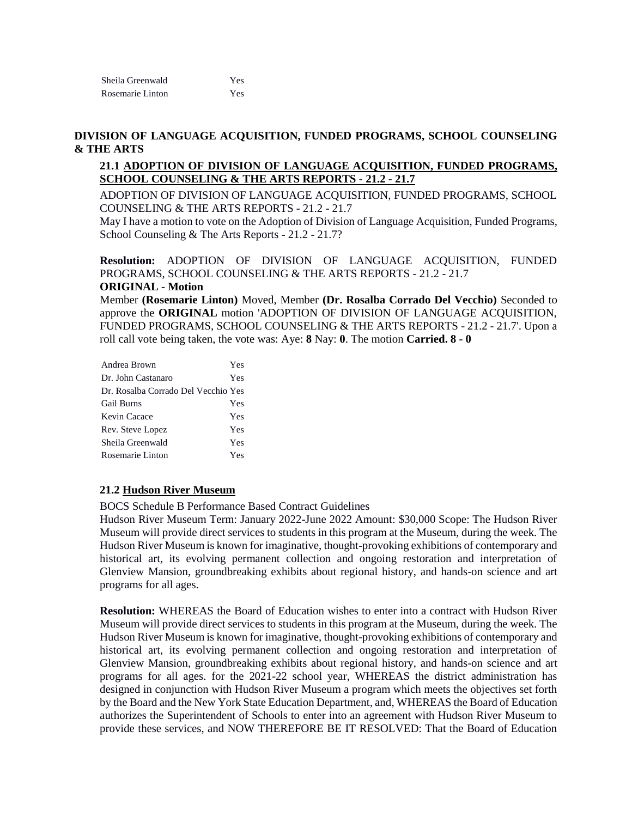| Sheila Greenwald | Yes |
|------------------|-----|
| Rosemarie Linton | Yes |

### **DIVISION OF LANGUAGE ACQUISITION, FUNDED PROGRAMS, SCHOOL COUNSELING & THE ARTS**

### **21.1 ADOPTION OF DIVISION OF LANGUAGE ACQUISITION, FUNDED PROGRAMS, SCHOOL COUNSELING & THE ARTS REPORTS - 21.2 - 21.7**

ADOPTION OF DIVISION OF LANGUAGE ACQUISITION, FUNDED PROGRAMS, SCHOOL COUNSELING & THE ARTS REPORTS - 21.2 - 21.7

May I have a motion to vote on the Adoption of Division of Language Acquisition, Funded Programs, School Counseling & The Arts Reports - 21.2 - 21.7?

**Resolution:** ADOPTION OF DIVISION OF LANGUAGE ACQUISITION, FUNDED PROGRAMS, SCHOOL COUNSELING & THE ARTS REPORTS - 21.2 - 21.7 **ORIGINAL - Motion**

Member **(Rosemarie Linton)** Moved, Member **(Dr. Rosalba Corrado Del Vecchio)** Seconded to approve the **ORIGINAL** motion 'ADOPTION OF DIVISION OF LANGUAGE ACQUISITION, FUNDED PROGRAMS, SCHOOL COUNSELING & THE ARTS REPORTS - 21.2 - 21.7'. Upon a roll call vote being taken, the vote was: Aye: **8** Nay: **0**. The motion **Carried. 8 - 0** 

| Andrea Brown                        | Yes |
|-------------------------------------|-----|
| Dr. John Castanaro                  | Yes |
| Dr. Rosalba Corrado Del Vecchio Yes |     |
| <b>Gail Burns</b>                   | Yes |
| Kevin Cacace                        | Yes |
| Rev. Steve Lopez                    | Yes |
| Sheila Greenwald                    | Yes |
| Rosemarie Linton                    | Yes |

### **21.2 Hudson River Museum**

BOCS Schedule B Performance Based Contract Guidelines

Hudson River Museum Term: January 2022-June 2022 Amount: \$30,000 Scope: The Hudson River Museum will provide direct services to students in this program at the Museum, during the week. The Hudson River Museum is known for imaginative, thought-provoking exhibitions of contemporary and historical art, its evolving permanent collection and ongoing restoration and interpretation of Glenview Mansion, groundbreaking exhibits about regional history, and hands-on science and art programs for all ages.

**Resolution:** WHEREAS the Board of Education wishes to enter into a contract with Hudson River Museum will provide direct services to students in this program at the Museum, during the week. The Hudson River Museum is known for imaginative, thought-provoking exhibitions of contemporary and historical art, its evolving permanent collection and ongoing restoration and interpretation of Glenview Mansion, groundbreaking exhibits about regional history, and hands-on science and art programs for all ages. for the 2021-22 school year, WHEREAS the district administration has designed in conjunction with Hudson River Museum a program which meets the objectives set forth by the Board and the New York State Education Department, and, WHEREAS the Board of Education authorizes the Superintendent of Schools to enter into an agreement with Hudson River Museum to provide these services, and NOW THEREFORE BE IT RESOLVED: That the Board of Education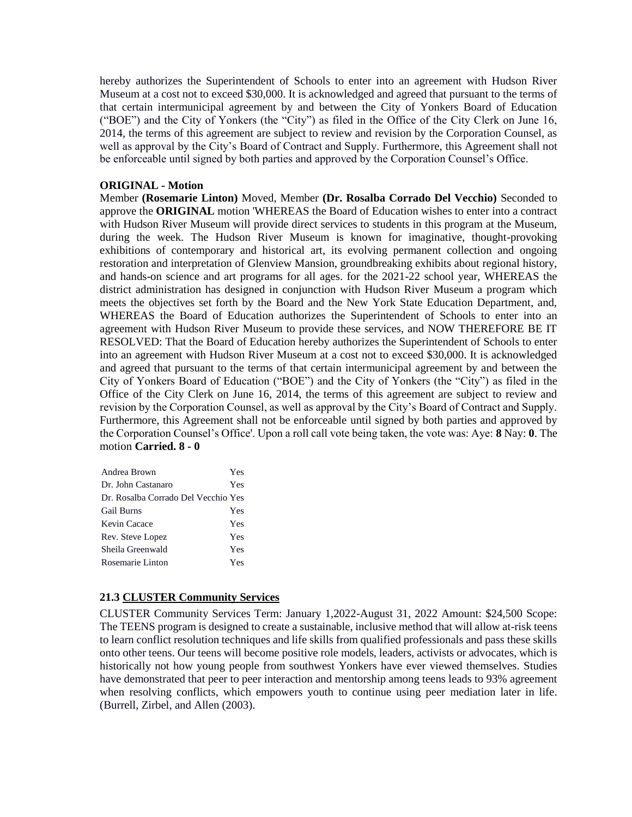hereby authorizes the Superintendent of Schools to enter into an agreement with Hudson River Museum at a cost not to exceed \$30,000. It is acknowledged and agreed that pursuant to the terms of that certain intermunicipal agreement by and between the City of Yonkers Board of Education ("BOE") and the City of Yonkers (the "City") as filed in the Office of the City Clerk on June 16, 2014, the terms of this agreement are subject to review and revision by the Corporation Counsel, as well as approval by the City's Board of Contract and Supply. Furthermore, this Agreement shall not be enforceable until signed by both parties and approved by the Corporation Counsel's Office.

### **ORIGINAL - Motion**

Member **(Rosemarie Linton)** Moved, Member **(Dr. Rosalba Corrado Del Vecchio)** Seconded to approve the **ORIGINAL** motion 'WHEREAS the Board of Education wishes to enter into a contract with Hudson River Museum will provide direct services to students in this program at the Museum, during the week. The Hudson River Museum is known for imaginative, thought-provoking exhibitions of contemporary and historical art, its evolving permanent collection and ongoing restoration and interpretation of Glenview Mansion, groundbreaking exhibits about regional history, and hands-on science and art programs for all ages. for the 2021-22 school year, WHEREAS the district administration has designed in conjunction with Hudson River Museum a program which meets the objectives set forth by the Board and the New York State Education Department, and, WHEREAS the Board of Education authorizes the Superintendent of Schools to enter into an agreement with Hudson River Museum to provide these services, and NOW THEREFORE BE IT RESOLVED: That the Board of Education hereby authorizes the Superintendent of Schools to enter into an agreement with Hudson River Museum at a cost not to exceed \$30,000. It is acknowledged and agreed that pursuant to the terms of that certain intermunicipal agreement by and between the City of Yonkers Board of Education ("BOE") and the City of Yonkers (the "City") as filed in the Office of the City Clerk on June 16, 2014, the terms of this agreement are subject to review and revision by the Corporation Counsel, as well as approval by the City's Board of Contract and Supply. Furthermore, this Agreement shall not be enforceable until signed by both parties and approved by the Corporation Counsel's Office'. Upon a roll call vote being taken, the vote was: Aye: **8** Nay: **0**. The motion **Carried. 8 - 0** 

| Andrea Brown                        | Yes |
|-------------------------------------|-----|
| Dr. John Castanaro                  | Yes |
| Dr. Rosalba Corrado Del Vecchio Yes |     |
| <b>Gail Burns</b>                   | Yes |
| Kevin Cacace                        | Yes |
| Rev. Steve Lopez                    | Yes |
| Sheila Greenwald                    | Yes |
| Rosemarie Linton                    | Yes |

# **21.3 CLUSTER Community Services**

CLUSTER Community Services Term: January 1,2022-August 31, 2022 Amount: \$24,500 Scope: The TEENS program is designed to create a sustainable, inclusive method that will allow at-risk teens to learn conflict resolution techniques and life skills from qualified professionals and pass these skills onto other teens. Our teens will become positive role models, leaders, activists or advocates, which is historically not how young people from southwest Yonkers have ever viewed themselves. Studies have demonstrated that peer to peer interaction and mentorship among teens leads to 93% agreement when resolving conflicts, which empowers youth to continue using peer mediation later in life. (Burrell, Zirbel, and Allen (2003).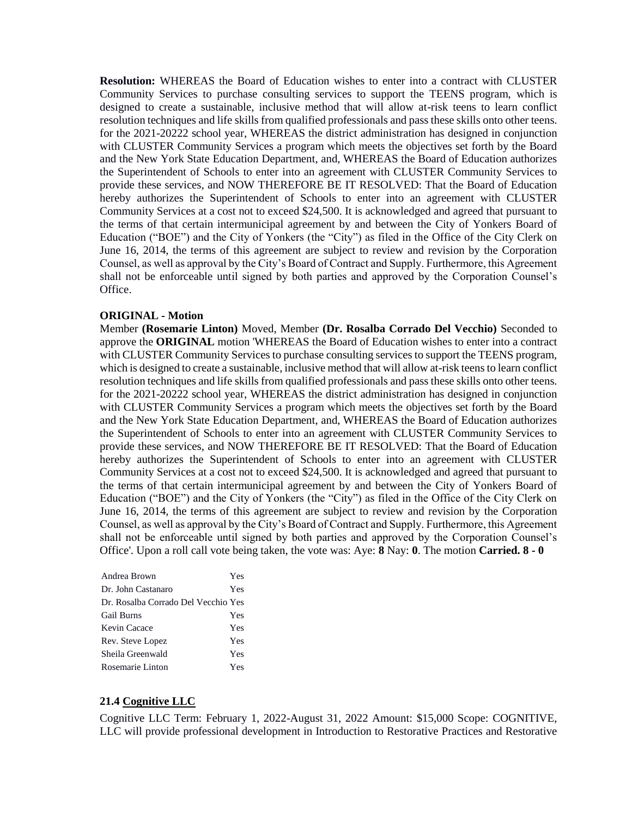**Resolution:** WHEREAS the Board of Education wishes to enter into a contract with CLUSTER Community Services to purchase consulting services to support the TEENS program, which is designed to create a sustainable, inclusive method that will allow at-risk teens to learn conflict resolution techniques and life skills from qualified professionals and pass these skills onto other teens. for the 2021-20222 school year, WHEREAS the district administration has designed in conjunction with CLUSTER Community Services a program which meets the objectives set forth by the Board and the New York State Education Department, and, WHEREAS the Board of Education authorizes the Superintendent of Schools to enter into an agreement with CLUSTER Community Services to provide these services, and NOW THEREFORE BE IT RESOLVED: That the Board of Education hereby authorizes the Superintendent of Schools to enter into an agreement with CLUSTER Community Services at a cost not to exceed \$24,500. It is acknowledged and agreed that pursuant to the terms of that certain intermunicipal agreement by and between the City of Yonkers Board of Education ("BOE") and the City of Yonkers (the "City") as filed in the Office of the City Clerk on June 16, 2014, the terms of this agreement are subject to review and revision by the Corporation Counsel, as well as approval by the City's Board of Contract and Supply. Furthermore, this Agreement shall not be enforceable until signed by both parties and approved by the Corporation Counsel's Office.

#### **ORIGINAL - Motion**

Member **(Rosemarie Linton)** Moved, Member **(Dr. Rosalba Corrado Del Vecchio)** Seconded to approve the **ORIGINAL** motion 'WHEREAS the Board of Education wishes to enter into a contract with CLUSTER Community Services to purchase consulting services to support the TEENS program, which is designed to create a sustainable, inclusive method that will allow at-risk teens to learn conflict resolution techniques and life skills from qualified professionals and pass these skills onto other teens. for the 2021-20222 school year, WHEREAS the district administration has designed in conjunction with CLUSTER Community Services a program which meets the objectives set forth by the Board and the New York State Education Department, and, WHEREAS the Board of Education authorizes the Superintendent of Schools to enter into an agreement with CLUSTER Community Services to provide these services, and NOW THEREFORE BE IT RESOLVED: That the Board of Education hereby authorizes the Superintendent of Schools to enter into an agreement with CLUSTER Community Services at a cost not to exceed \$24,500. It is acknowledged and agreed that pursuant to the terms of that certain intermunicipal agreement by and between the City of Yonkers Board of Education ("BOE") and the City of Yonkers (the "City") as filed in the Office of the City Clerk on June 16, 2014, the terms of this agreement are subject to review and revision by the Corporation Counsel, as well as approval by the City's Board of Contract and Supply. Furthermore, this Agreement shall not be enforceable until signed by both parties and approved by the Corporation Counsel's Office'. Upon a roll call vote being taken, the vote was: Aye: **8** Nay: **0**. The motion **Carried. 8 - 0** 

| Andrea Brown                        | Yes |
|-------------------------------------|-----|
| Dr. John Castanaro                  | Yes |
| Dr. Rosalba Corrado Del Vecchio Yes |     |
| <b>Gail Burns</b>                   | Yes |
| Kevin Cacace                        | Yes |
| Rev. Steve Lopez                    | Yes |
| Sheila Greenwald                    | Yes |
| Rosemarie Linton                    | Yes |

### **21.4 Cognitive LLC**

Cognitive LLC Term: February 1, 2022-August 31, 2022 Amount: \$15,000 Scope: COGNITIVE, LLC will provide professional development in Introduction to Restorative Practices and Restorative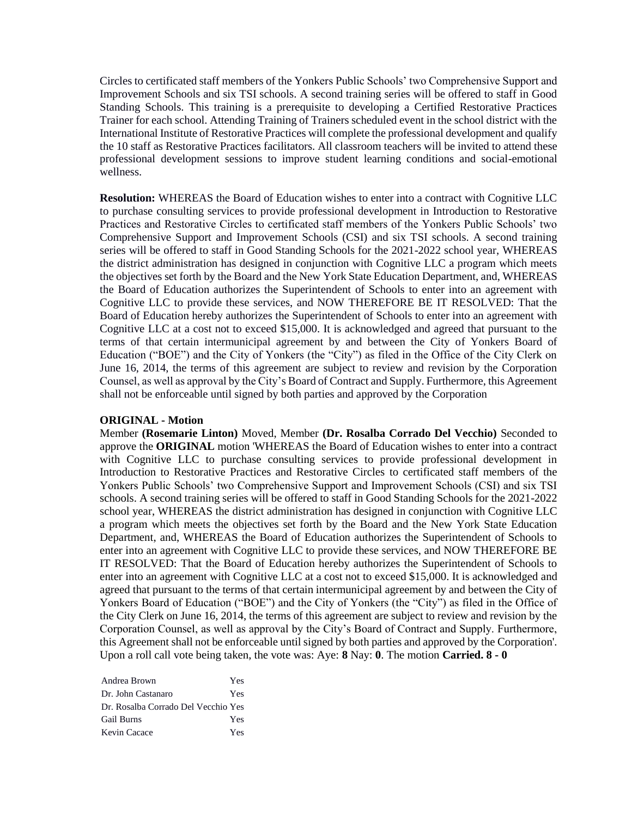Circles to certificated staff members of the Yonkers Public Schools' two Comprehensive Support and Improvement Schools and six TSI schools. A second training series will be offered to staff in Good Standing Schools. This training is a prerequisite to developing a Certified Restorative Practices Trainer for each school. Attending Training of Trainers scheduled event in the school district with the International Institute of Restorative Practices will complete the professional development and qualify the 10 staff as Restorative Practices facilitators. All classroom teachers will be invited to attend these professional development sessions to improve student learning conditions and social-emotional wellness.

**Resolution:** WHEREAS the Board of Education wishes to enter into a contract with Cognitive LLC to purchase consulting services to provide professional development in Introduction to Restorative Practices and Restorative Circles to certificated staff members of the Yonkers Public Schools' two Comprehensive Support and Improvement Schools (CSI) and six TSI schools. A second training series will be offered to staff in Good Standing Schools for the 2021-2022 school year, WHEREAS the district administration has designed in conjunction with Cognitive LLC a program which meets the objectives set forth by the Board and the New York State Education Department, and, WHEREAS the Board of Education authorizes the Superintendent of Schools to enter into an agreement with Cognitive LLC to provide these services, and NOW THEREFORE BE IT RESOLVED: That the Board of Education hereby authorizes the Superintendent of Schools to enter into an agreement with Cognitive LLC at a cost not to exceed \$15,000. It is acknowledged and agreed that pursuant to the terms of that certain intermunicipal agreement by and between the City of Yonkers Board of Education ("BOE") and the City of Yonkers (the "City") as filed in the Office of the City Clerk on June 16, 2014, the terms of this agreement are subject to review and revision by the Corporation Counsel, as well as approval by the City's Board of Contract and Supply. Furthermore, this Agreement shall not be enforceable until signed by both parties and approved by the Corporation

#### **ORIGINAL - Motion**

Member **(Rosemarie Linton)** Moved, Member **(Dr. Rosalba Corrado Del Vecchio)** Seconded to approve the **ORIGINAL** motion 'WHEREAS the Board of Education wishes to enter into a contract with Cognitive LLC to purchase consulting services to provide professional development in Introduction to Restorative Practices and Restorative Circles to certificated staff members of the Yonkers Public Schools' two Comprehensive Support and Improvement Schools (CSI) and six TSI schools. A second training series will be offered to staff in Good Standing Schools for the 2021-2022 school year, WHEREAS the district administration has designed in conjunction with Cognitive LLC a program which meets the objectives set forth by the Board and the New York State Education Department, and, WHEREAS the Board of Education authorizes the Superintendent of Schools to enter into an agreement with Cognitive LLC to provide these services, and NOW THEREFORE BE IT RESOLVED: That the Board of Education hereby authorizes the Superintendent of Schools to enter into an agreement with Cognitive LLC at a cost not to exceed \$15,000. It is acknowledged and agreed that pursuant to the terms of that certain intermunicipal agreement by and between the City of Yonkers Board of Education ("BOE") and the City of Yonkers (the "City") as filed in the Office of the City Clerk on June 16, 2014, the terms of this agreement are subject to review and revision by the Corporation Counsel, as well as approval by the City's Board of Contract and Supply. Furthermore, this Agreement shall not be enforceable until signed by both parties and approved by the Corporation'. Upon a roll call vote being taken, the vote was: Aye: **8** Nay: **0**. The motion **Carried. 8 - 0** 

| Andrea Brown                        | Yes |
|-------------------------------------|-----|
| Dr. John Castanaro                  | Yes |
| Dr. Rosalba Corrado Del Vecchio Yes |     |
| <b>Gail Burns</b>                   | Yes |
| Kevin Cacace                        | Yes |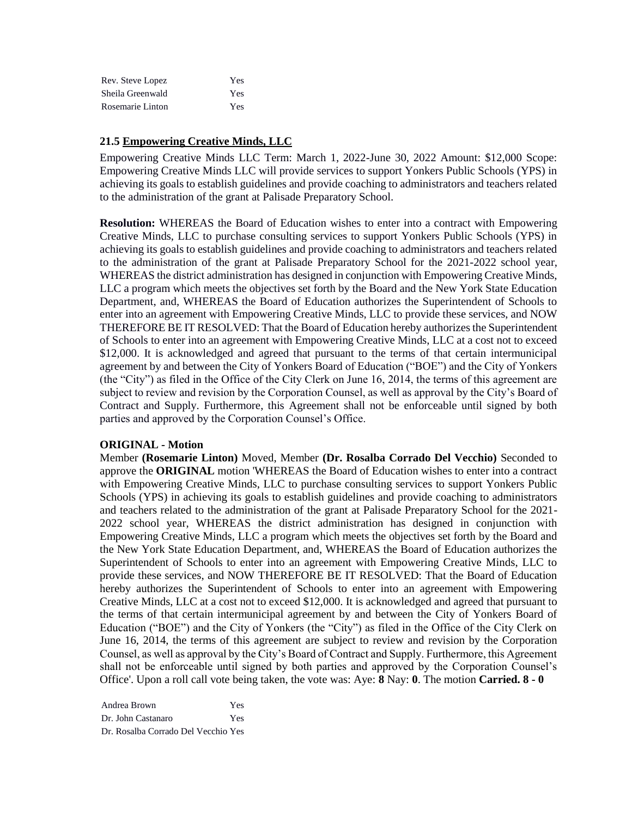| Rev. Steve Lopez | Yes |
|------------------|-----|
| Sheila Greenwald | Yes |
| Rosemarie Linton | Yes |

### **21.5 Empowering Creative Minds, LLC**

Empowering Creative Minds LLC Term: March 1, 2022-June 30, 2022 Amount: \$12,000 Scope: Empowering Creative Minds LLC will provide services to support Yonkers Public Schools (YPS) in achieving its goals to establish guidelines and provide coaching to administrators and teachers related to the administration of the grant at Palisade Preparatory School.

**Resolution:** WHEREAS the Board of Education wishes to enter into a contract with Empowering Creative Minds, LLC to purchase consulting services to support Yonkers Public Schools (YPS) in achieving its goals to establish guidelines and provide coaching to administrators and teachers related to the administration of the grant at Palisade Preparatory School for the 2021-2022 school year, WHEREAS the district administration has designed in conjunction with Empowering Creative Minds, LLC a program which meets the objectives set forth by the Board and the New York State Education Department, and, WHEREAS the Board of Education authorizes the Superintendent of Schools to enter into an agreement with Empowering Creative Minds, LLC to provide these services, and NOW THEREFORE BE IT RESOLVED: That the Board of Education hereby authorizes the Superintendent of Schools to enter into an agreement with Empowering Creative Minds, LLC at a cost not to exceed \$12,000. It is acknowledged and agreed that pursuant to the terms of that certain intermunicipal agreement by and between the City of Yonkers Board of Education ("BOE") and the City of Yonkers (the "City") as filed in the Office of the City Clerk on June 16, 2014, the terms of this agreement are subject to review and revision by the Corporation Counsel, as well as approval by the City's Board of Contract and Supply. Furthermore, this Agreement shall not be enforceable until signed by both parties and approved by the Corporation Counsel's Office.

### **ORIGINAL - Motion**

Member **(Rosemarie Linton)** Moved, Member **(Dr. Rosalba Corrado Del Vecchio)** Seconded to approve the **ORIGINAL** motion 'WHEREAS the Board of Education wishes to enter into a contract with Empowering Creative Minds, LLC to purchase consulting services to support Yonkers Public Schools (YPS) in achieving its goals to establish guidelines and provide coaching to administrators and teachers related to the administration of the grant at Palisade Preparatory School for the 2021- 2022 school year, WHEREAS the district administration has designed in conjunction with Empowering Creative Minds, LLC a program which meets the objectives set forth by the Board and the New York State Education Department, and, WHEREAS the Board of Education authorizes the Superintendent of Schools to enter into an agreement with Empowering Creative Minds, LLC to provide these services, and NOW THEREFORE BE IT RESOLVED: That the Board of Education hereby authorizes the Superintendent of Schools to enter into an agreement with Empowering Creative Minds, LLC at a cost not to exceed \$12,000. It is acknowledged and agreed that pursuant to the terms of that certain intermunicipal agreement by and between the City of Yonkers Board of Education ("BOE") and the City of Yonkers (the "City") as filed in the Office of the City Clerk on June 16, 2014, the terms of this agreement are subject to review and revision by the Corporation Counsel, as well as approval by the City's Board of Contract and Supply. Furthermore, this Agreement shall not be enforceable until signed by both parties and approved by the Corporation Counsel's Office'. Upon a roll call vote being taken, the vote was: Aye: **8** Nay: **0**. The motion **Carried. 8 - 0** 

Andrea Brown Yes Dr. John Castanaro Yes Dr. Rosalba Corrado Del Vecchio Yes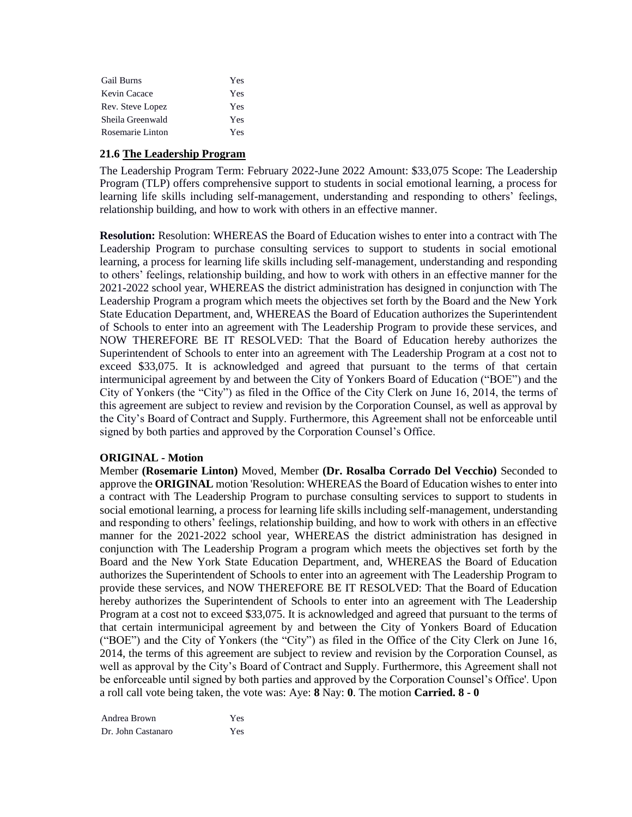| <b>Gail Burns</b> | Yes |
|-------------------|-----|
| Kevin Cacace      | Yes |
| Rev. Steve Lopez  | Yes |
| Sheila Greenwald  | Yes |
| Rosemarie Linton  | Yes |

### **21.6 The Leadership Program**

The Leadership Program Term: February 2022-June 2022 Amount: \$33,075 Scope: The Leadership Program (TLP) offers comprehensive support to students in social emotional learning, a process for learning life skills including self-management, understanding and responding to others' feelings, relationship building, and how to work with others in an effective manner.

**Resolution:** Resolution: WHEREAS the Board of Education wishes to enter into a contract with The Leadership Program to purchase consulting services to support to students in social emotional learning, a process for learning life skills including self-management, understanding and responding to others' feelings, relationship building, and how to work with others in an effective manner for the 2021-2022 school year, WHEREAS the district administration has designed in conjunction with The Leadership Program a program which meets the objectives set forth by the Board and the New York State Education Department, and, WHEREAS the Board of Education authorizes the Superintendent of Schools to enter into an agreement with The Leadership Program to provide these services, and NOW THEREFORE BE IT RESOLVED: That the Board of Education hereby authorizes the Superintendent of Schools to enter into an agreement with The Leadership Program at a cost not to exceed \$33,075. It is acknowledged and agreed that pursuant to the terms of that certain intermunicipal agreement by and between the City of Yonkers Board of Education ("BOE") and the City of Yonkers (the "City") as filed in the Office of the City Clerk on June 16, 2014, the terms of this agreement are subject to review and revision by the Corporation Counsel, as well as approval by the City's Board of Contract and Supply. Furthermore, this Agreement shall not be enforceable until signed by both parties and approved by the Corporation Counsel's Office.

### **ORIGINAL - Motion**

Member **(Rosemarie Linton)** Moved, Member **(Dr. Rosalba Corrado Del Vecchio)** Seconded to approve the **ORIGINAL** motion 'Resolution: WHEREAS the Board of Education wishes to enter into a contract with The Leadership Program to purchase consulting services to support to students in social emotional learning, a process for learning life skills including self-management, understanding and responding to others' feelings, relationship building, and how to work with others in an effective manner for the 2021-2022 school year, WHEREAS the district administration has designed in conjunction with The Leadership Program a program which meets the objectives set forth by the Board and the New York State Education Department, and, WHEREAS the Board of Education authorizes the Superintendent of Schools to enter into an agreement with The Leadership Program to provide these services, and NOW THEREFORE BE IT RESOLVED: That the Board of Education hereby authorizes the Superintendent of Schools to enter into an agreement with The Leadership Program at a cost not to exceed \$33,075. It is acknowledged and agreed that pursuant to the terms of that certain intermunicipal agreement by and between the City of Yonkers Board of Education ("BOE") and the City of Yonkers (the "City") as filed in the Office of the City Clerk on June 16, 2014, the terms of this agreement are subject to review and revision by the Corporation Counsel, as well as approval by the City's Board of Contract and Supply. Furthermore, this Agreement shall not be enforceable until signed by both parties and approved by the Corporation Counsel's Office'. Upon a roll call vote being taken, the vote was: Aye: **8** Nay: **0**. The motion **Carried. 8 - 0** 

Andrea Brown Yes Dr. John Castanaro Yes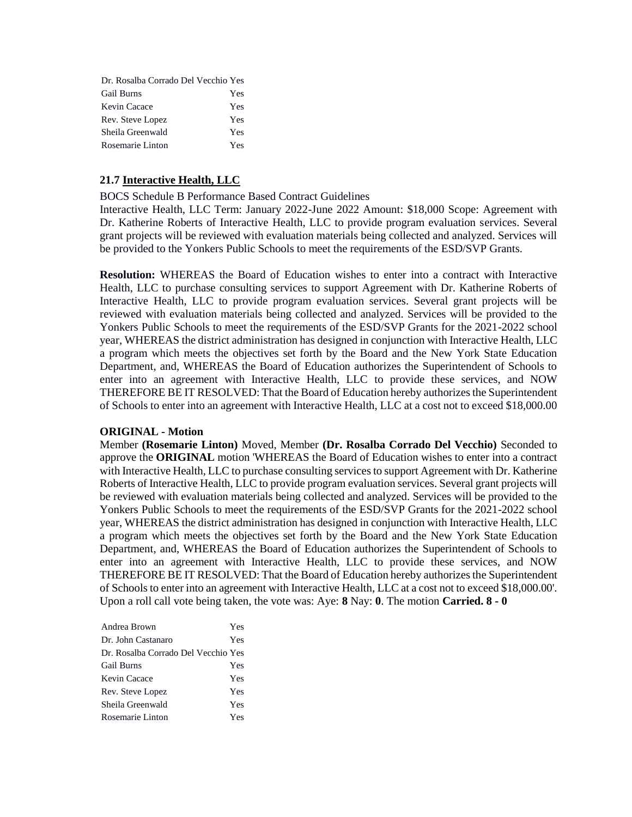| Dr. Rosalba Corrado Del Vecchio Yes |     |
|-------------------------------------|-----|
| <b>Gail Burns</b>                   | Yes |
| Kevin Cacace                        | Yes |
| Rev. Steve Lopez                    | Yes |
| Sheila Greenwald                    | Yes |
| Rosemarie Linton                    | Yes |

# **21.7 Interactive Health, LLC**

BOCS Schedule B Performance Based Contract Guidelines

Interactive Health, LLC Term: January 2022-June 2022 Amount: \$18,000 Scope: Agreement with Dr. Katherine Roberts of Interactive Health, LLC to provide program evaluation services. Several grant projects will be reviewed with evaluation materials being collected and analyzed. Services will be provided to the Yonkers Public Schools to meet the requirements of the ESD/SVP Grants.

**Resolution:** WHEREAS the Board of Education wishes to enter into a contract with Interactive Health, LLC to purchase consulting services to support Agreement with Dr. Katherine Roberts of Interactive Health, LLC to provide program evaluation services. Several grant projects will be reviewed with evaluation materials being collected and analyzed. Services will be provided to the Yonkers Public Schools to meet the requirements of the ESD/SVP Grants for the 2021-2022 school year, WHEREAS the district administration has designed in conjunction with Interactive Health, LLC a program which meets the objectives set forth by the Board and the New York State Education Department, and, WHEREAS the Board of Education authorizes the Superintendent of Schools to enter into an agreement with Interactive Health, LLC to provide these services, and NOW THEREFORE BE IT RESOLVED: That the Board of Education hereby authorizes the Superintendent of Schools to enter into an agreement with Interactive Health, LLC at a cost not to exceed \$18,000.00

#### **ORIGINAL - Motion**

Member **(Rosemarie Linton)** Moved, Member **(Dr. Rosalba Corrado Del Vecchio)** Seconded to approve the **ORIGINAL** motion 'WHEREAS the Board of Education wishes to enter into a contract with Interactive Health, LLC to purchase consulting services to support Agreement with Dr. Katherine Roberts of Interactive Health, LLC to provide program evaluation services. Several grant projects will be reviewed with evaluation materials being collected and analyzed. Services will be provided to the Yonkers Public Schools to meet the requirements of the ESD/SVP Grants for the 2021-2022 school year, WHEREAS the district administration has designed in conjunction with Interactive Health, LLC a program which meets the objectives set forth by the Board and the New York State Education Department, and, WHEREAS the Board of Education authorizes the Superintendent of Schools to enter into an agreement with Interactive Health, LLC to provide these services, and NOW THEREFORE BE IT RESOLVED: That the Board of Education hereby authorizes the Superintendent of Schools to enter into an agreement with Interactive Health, LLC at a cost not to exceed \$18,000.00'. Upon a roll call vote being taken, the vote was: Aye: **8** Nay: **0**. The motion **Carried. 8 - 0** 

| Andrea Brown                        | Yes |
|-------------------------------------|-----|
| Dr. John Castanaro                  | Yes |
| Dr. Rosalba Corrado Del Vecchio Yes |     |
| <b>Gail Burns</b>                   | Yes |
| Kevin Cacace                        | Yes |
| Rev. Steve Lopez                    | Yes |
| Sheila Greenwald                    | Yes |
| Rosemarie Linton                    | Yes |